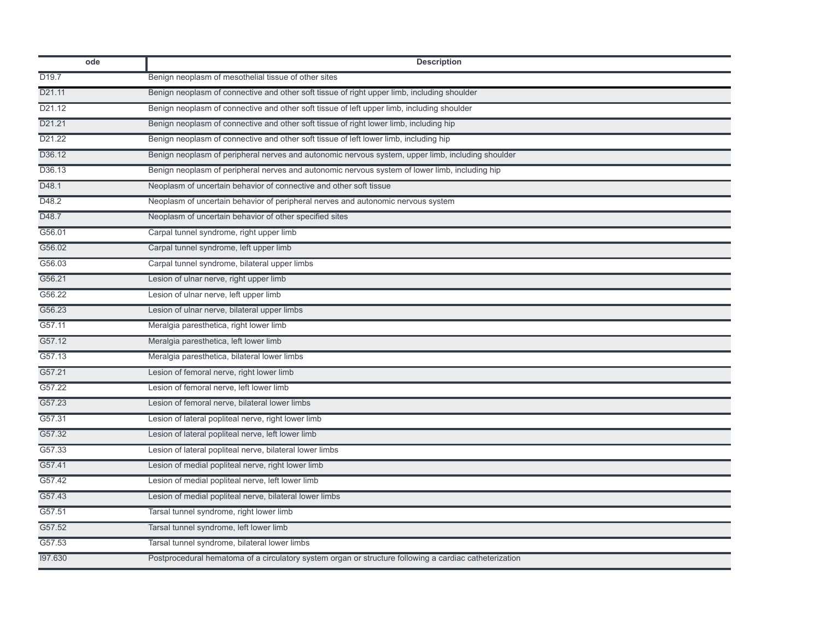| ode               | <b>Description</b>                                                                                     |
|-------------------|--------------------------------------------------------------------------------------------------------|
| D <sub>19.7</sub> | Benign neoplasm of mesothelial tissue of other sites                                                   |
| D21.11            | Benign neoplasm of connective and other soft tissue of right upper limb, including shoulder            |
| D21.12            | Benign neoplasm of connective and other soft tissue of left upper limb, including shoulder             |
| D21.21            | Benign neoplasm of connective and other soft tissue of right lower limb, including hip                 |
| D21.22            | Benign neoplasm of connective and other soft tissue of left lower limb, including hip                  |
| D36.12            | Benign neoplasm of peripheral nerves and autonomic nervous system, upper limb, including shoulder      |
| D36.13            | Benign neoplasm of peripheral nerves and autonomic nervous system of lower limb, including hip         |
| D48.1             | Neoplasm of uncertain behavior of connective and other soft tissue                                     |
| D48.2             | Neoplasm of uncertain behavior of peripheral nerves and autonomic nervous system                       |
| D48.7             | Neoplasm of uncertain behavior of other specified sites                                                |
| G56.01            | Carpal tunnel syndrome, right upper limb                                                               |
| G56.02            | Carpal tunnel syndrome, left upper limb                                                                |
| G56.03            | Carpal tunnel syndrome, bilateral upper limbs                                                          |
| G56.21            | Lesion of ulnar nerve, right upper limb                                                                |
| G56.22            | Lesion of ulnar nerve, left upper limb                                                                 |
| G56.23            | Lesion of ulnar nerve, bilateral upper limbs                                                           |
| G57.11            | Meralgia paresthetica, right lower limb                                                                |
| G57.12            | Meralgia paresthetica, left lower limb                                                                 |
| G57.13            | Meralgia paresthetica, bilateral lower limbs                                                           |
| G57.21            | Lesion of femoral nerve, right lower limb                                                              |
| G57.22            | Lesion of femoral nerve, left lower limb                                                               |
| G57.23            | Lesion of femoral nerve, bilateral lower limbs                                                         |
| G57.31            | Lesion of lateral popliteal nerve, right lower limb                                                    |
| G57.32            | Lesion of lateral popliteal nerve, left lower limb                                                     |
| G57.33            | Lesion of lateral popliteal nerve, bilateral lower limbs                                               |
| G57.41            | Lesion of medial popliteal nerve, right lower limb                                                     |
| G57.42            | Lesion of medial popliteal nerve, left lower limb                                                      |
| G57.43            | Lesion of medial popliteal nerve, bilateral lower limbs                                                |
| G57.51            | Tarsal tunnel syndrome, right lower limb                                                               |
| G57.52            | Tarsal tunnel syndrome, left lower limb                                                                |
| G57.53            | Tarsal tunnel syndrome, bilateral lower limbs                                                          |
| 197.630           | Postprocedural hematoma of a circulatory system organ or structure following a cardiac catheterization |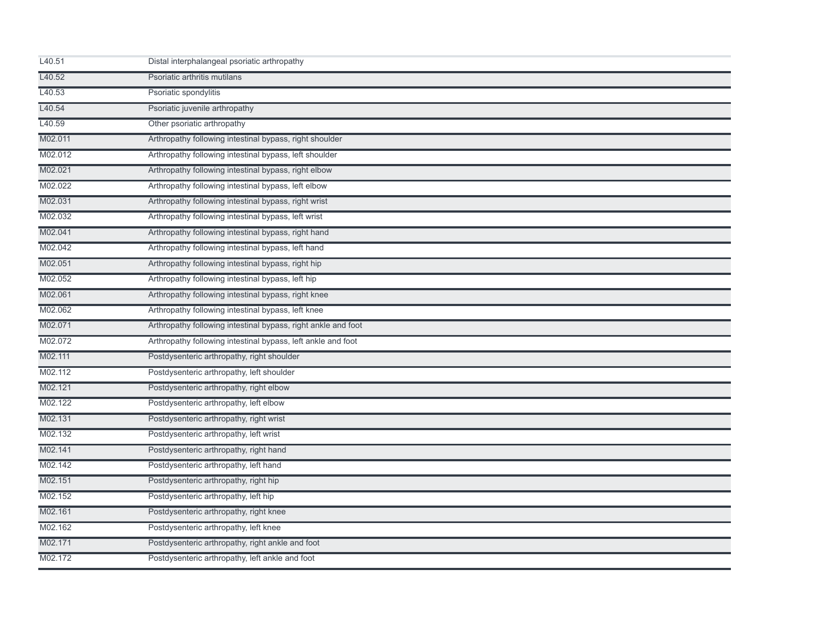| L40.51  | Distal interphalangeal psoriatic arthropathy                  |
|---------|---------------------------------------------------------------|
| L40.52  | Psoriatic arthritis mutilans                                  |
| L40.53  | Psoriatic spondylitis                                         |
| L40.54  | Psoriatic juvenile arthropathy                                |
| L40.59  | Other psoriatic arthropathy                                   |
| M02.011 | Arthropathy following intestinal bypass, right shoulder       |
| M02.012 | Arthropathy following intestinal bypass, left shoulder        |
| M02.021 | Arthropathy following intestinal bypass, right elbow          |
| M02.022 | Arthropathy following intestinal bypass, left elbow           |
| M02.031 | Arthropathy following intestinal bypass, right wrist          |
| M02.032 | Arthropathy following intestinal bypass, left wrist           |
| M02.041 | Arthropathy following intestinal bypass, right hand           |
| M02.042 | Arthropathy following intestinal bypass, left hand            |
| M02.051 | Arthropathy following intestinal bypass, right hip            |
| M02.052 | Arthropathy following intestinal bypass, left hip             |
| M02.061 | Arthropathy following intestinal bypass, right knee           |
| M02.062 | Arthropathy following intestinal bypass, left knee            |
| M02.071 | Arthropathy following intestinal bypass, right ankle and foot |
| M02.072 | Arthropathy following intestinal bypass, left ankle and foot  |
| M02.111 | Postdysenteric arthropathy, right shoulder                    |
| M02.112 | Postdysenteric arthropathy, left shoulder                     |
| M02.121 | Postdysenteric arthropathy, right elbow                       |
| M02.122 | Postdysenteric arthropathy, left elbow                        |
| M02.131 | Postdysenteric arthropathy, right wrist                       |
| M02.132 | Postdysenteric arthropathy, left wrist                        |
| M02.141 | Postdysenteric arthropathy, right hand                        |
| M02.142 | Postdysenteric arthropathy, left hand                         |
| M02.151 | Postdysenteric arthropathy, right hip                         |
| M02.152 | Postdysenteric arthropathy, left hip                          |
| M02.161 | Postdysenteric arthropathy, right knee                        |
| M02.162 | Postdysenteric arthropathy, left knee                         |
| M02.171 | Postdysenteric arthropathy, right ankle and foot              |
| M02.172 | Postdysenteric arthropathy, left ankle and foot               |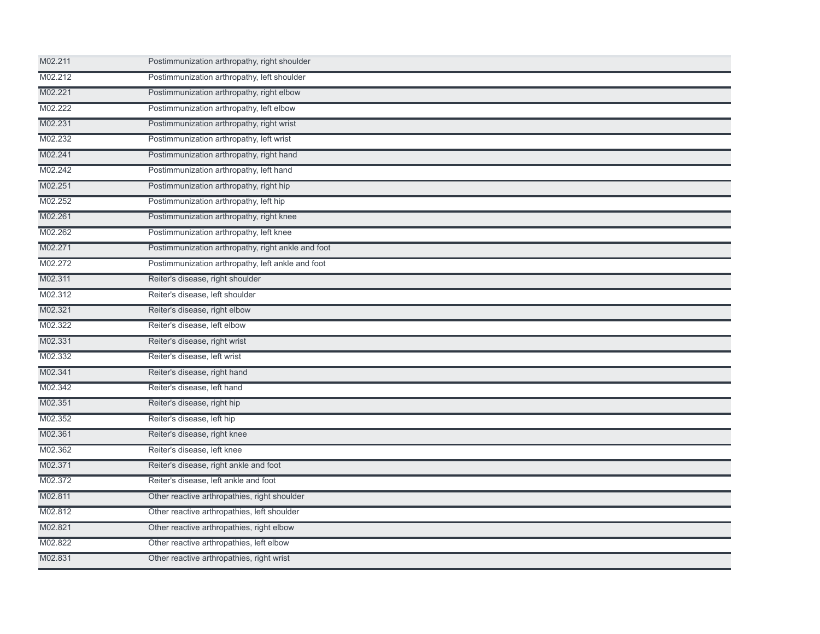| M02.211 | Postimmunization arthropathy, right shoulder       |  |
|---------|----------------------------------------------------|--|
| M02.212 | Postimmunization arthropathy, left shoulder        |  |
| M02.221 | Postimmunization arthropathy, right elbow          |  |
| M02.222 | Postimmunization arthropathy, left elbow           |  |
| M02.231 | Postimmunization arthropathy, right wrist          |  |
| M02.232 | Postimmunization arthropathy, left wrist           |  |
| M02.241 | Postimmunization arthropathy, right hand           |  |
| M02.242 | Postimmunization arthropathy, left hand            |  |
| M02.251 | Postimmunization arthropathy, right hip            |  |
| M02.252 | Postimmunization arthropathy, left hip             |  |
| M02.261 | Postimmunization arthropathy, right knee           |  |
| M02.262 | Postimmunization arthropathy, left knee            |  |
| M02.271 | Postimmunization arthropathy, right ankle and foot |  |
| M02.272 | Postimmunization arthropathy, left ankle and foot  |  |
| M02.311 | Reiter's disease, right shoulder                   |  |
| M02.312 | Reiter's disease, left shoulder                    |  |
| M02.321 | Reiter's disease, right elbow                      |  |
| M02.322 | Reiter's disease, left elbow                       |  |
| M02.331 | Reiter's disease, right wrist                      |  |
| M02.332 | Reiter's disease, left wrist                       |  |
| M02.341 | Reiter's disease, right hand                       |  |
| M02.342 | Reiter's disease, left hand                        |  |
| M02.351 | Reiter's disease, right hip                        |  |
| M02.352 | Reiter's disease, left hip                         |  |
| M02.361 | Reiter's disease, right knee                       |  |
| M02.362 | Reiter's disease, left knee                        |  |
| M02.371 | Reiter's disease, right ankle and foot             |  |
| M02.372 | Reiter's disease, left ankle and foot              |  |
| M02.811 | Other reactive arthropathies, right shoulder       |  |
| M02.812 | Other reactive arthropathies, left shoulder        |  |
| M02.821 | Other reactive arthropathies, right elbow          |  |
| M02.822 | Other reactive arthropathies, left elbow           |  |
| M02.831 | Other reactive arthropathies, right wrist          |  |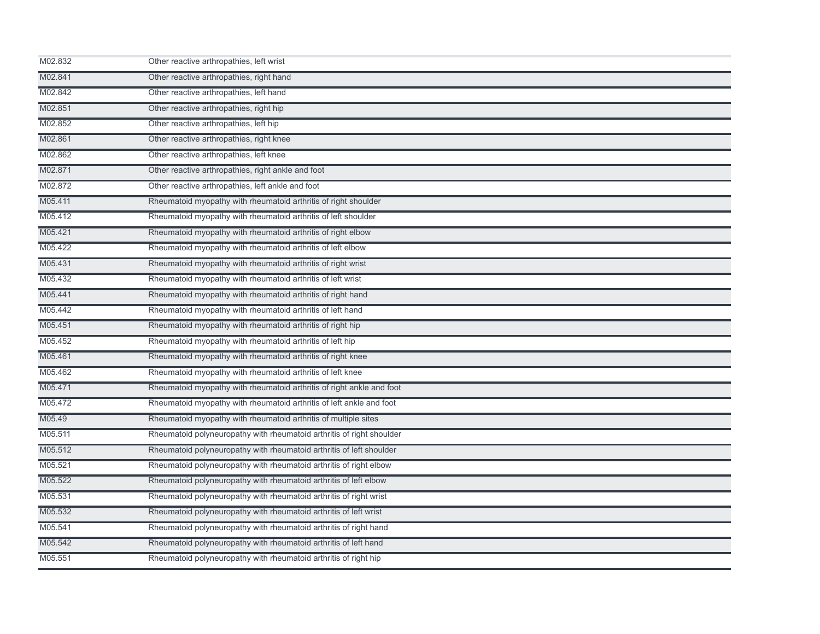| M02.832 | Other reactive arthropathies, left wrist                              |
|---------|-----------------------------------------------------------------------|
| M02.841 | Other reactive arthropathies, right hand                              |
| M02.842 | Other reactive arthropathies, left hand                               |
| M02.851 | Other reactive arthropathies, right hip                               |
| M02.852 | Other reactive arthropathies, left hip                                |
| M02.861 | Other reactive arthropathies, right knee                              |
| M02.862 | Other reactive arthropathies, left knee                               |
| M02.871 | Other reactive arthropathies, right ankle and foot                    |
| M02.872 | Other reactive arthropathies, left ankle and foot                     |
| M05.411 | Rheumatoid myopathy with rheumatoid arthritis of right shoulder       |
| M05.412 | Rheumatoid myopathy with rheumatoid arthritis of left shoulder        |
| M05.421 | Rheumatoid myopathy with rheumatoid arthritis of right elbow          |
| M05.422 | Rheumatoid myopathy with rheumatoid arthritis of left elbow           |
| M05.431 | Rheumatoid myopathy with rheumatoid arthritis of right wrist          |
| M05.432 | Rheumatoid myopathy with rheumatoid arthritis of left wrist           |
| M05.441 | Rheumatoid myopathy with rheumatoid arthritis of right hand           |
| M05.442 | Rheumatoid myopathy with rheumatoid arthritis of left hand            |
| M05.451 | Rheumatoid myopathy with rheumatoid arthritis of right hip            |
| M05.452 | Rheumatoid myopathy with rheumatoid arthritis of left hip             |
| M05.461 | Rheumatoid myopathy with rheumatoid arthritis of right knee           |
| M05.462 | Rheumatoid myopathy with rheumatoid arthritis of left knee            |
| M05.471 | Rheumatoid myopathy with rheumatoid arthritis of right ankle and foot |
| M05.472 | Rheumatoid myopathy with rheumatoid arthritis of left ankle and foot  |
| M05.49  | Rheumatoid myopathy with rheumatoid arthritis of multiple sites       |
| M05.511 | Rheumatoid polyneuropathy with rheumatoid arthritis of right shoulder |
| M05.512 | Rheumatoid polyneuropathy with rheumatoid arthritis of left shoulder  |
| M05.521 | Rheumatoid polyneuropathy with rheumatoid arthritis of right elbow    |
| M05.522 | Rheumatoid polyneuropathy with rheumatoid arthritis of left elbow     |
| M05.531 | Rheumatoid polyneuropathy with rheumatoid arthritis of right wrist    |
| M05.532 | Rheumatoid polyneuropathy with rheumatoid arthritis of left wrist     |
| M05.541 | Rheumatoid polyneuropathy with rheumatoid arthritis of right hand     |
| M05.542 | Rheumatoid polyneuropathy with rheumatoid arthritis of left hand      |
| M05.551 | Rheumatoid polyneuropathy with rheumatoid arthritis of right hip      |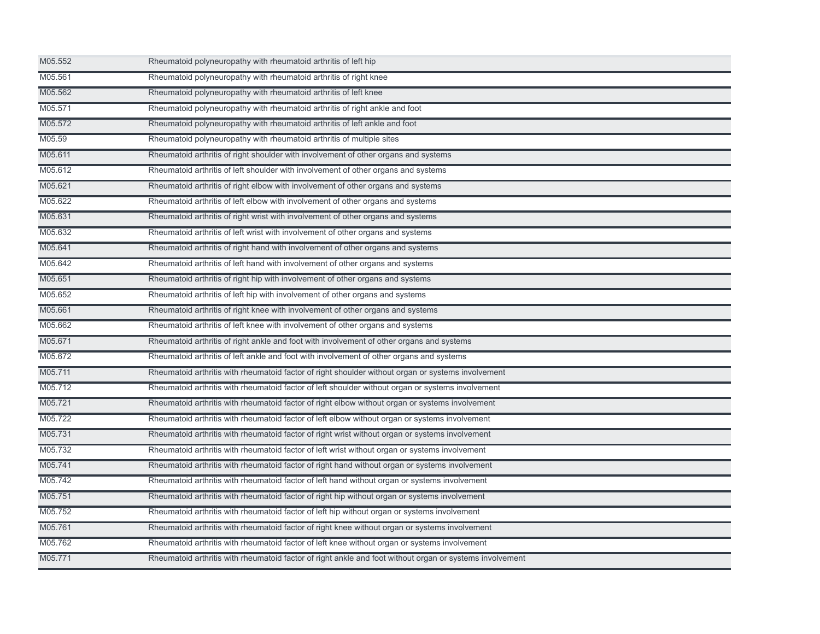| M05.552 | Rheumatoid polyneuropathy with rheumatoid arthritis of left hip                                          |
|---------|----------------------------------------------------------------------------------------------------------|
| M05.561 | Rheumatoid polyneuropathy with rheumatoid arthritis of right knee                                        |
| M05.562 | Rheumatoid polyneuropathy with rheumatoid arthritis of left knee                                         |
| M05.571 | Rheumatoid polyneuropathy with rheumatoid arthritis of right ankle and foot                              |
| M05.572 | Rheumatoid polyneuropathy with rheumatoid arthritis of left ankle and foot                               |
| M05.59  | Rheumatoid polyneuropathy with rheumatoid arthritis of multiple sites                                    |
| M05.611 | Rheumatoid arthritis of right shoulder with involvement of other organs and systems                      |
| M05.612 | Rheumatoid arthritis of left shoulder with involvement of other organs and systems                       |
| M05.621 | Rheumatoid arthritis of right elbow with involvement of other organs and systems                         |
| M05.622 | Rheumatoid arthritis of left elbow with involvement of other organs and systems                          |
| M05.631 | Rheumatoid arthritis of right wrist with involvement of other organs and systems                         |
| M05.632 | Rheumatoid arthritis of left wrist with involvement of other organs and systems                          |
| M05.641 | Rheumatoid arthritis of right hand with involvement of other organs and systems                          |
| M05.642 | Rheumatoid arthritis of left hand with involvement of other organs and systems                           |
| M05.651 | Rheumatoid arthritis of right hip with involvement of other organs and systems                           |
| M05.652 | Rheumatoid arthritis of left hip with involvement of other organs and systems                            |
| M05.661 | Rheumatoid arthritis of right knee with involvement of other organs and systems                          |
| M05.662 | Rheumatoid arthritis of left knee with involvement of other organs and systems                           |
| M05.671 | Rheumatoid arthritis of right ankle and foot with involvement of other organs and systems                |
| M05.672 | Rheumatoid arthritis of left ankle and foot with involvement of other organs and systems                 |
| M05.711 | Rheumatoid arthritis with rheumatoid factor of right shoulder without organ or systems involvement       |
| M05.712 | Rheumatoid arthritis with rheumatoid factor of left shoulder without organ or systems involvement        |
| M05.721 | Rheumatoid arthritis with rheumatoid factor of right elbow without organ or systems involvement          |
| M05.722 | Rheumatoid arthritis with rheumatoid factor of left elbow without organ or systems involvement           |
| M05.731 | Rheumatoid arthritis with rheumatoid factor of right wrist without organ or systems involvement          |
| M05.732 | Rheumatoid arthritis with rheumatoid factor of left wrist without organ or systems involvement           |
| M05.741 | Rheumatoid arthritis with rheumatoid factor of right hand without organ or systems involvement           |
| M05.742 | Rheumatoid arthritis with rheumatoid factor of left hand without organ or systems involvement            |
| M05.751 | Rheumatoid arthritis with rheumatoid factor of right hip without organ or systems involvement            |
| M05.752 | Rheumatoid arthritis with rheumatoid factor of left hip without organ or systems involvement             |
| M05.761 | Rheumatoid arthritis with rheumatoid factor of right knee without organ or systems involvement           |
| M05.762 | Rheumatoid arthritis with rheumatoid factor of left knee without organ or systems involvement            |
| M05.771 | Rheumatoid arthritis with rheumatoid factor of right ankle and foot without organ or systems involvement |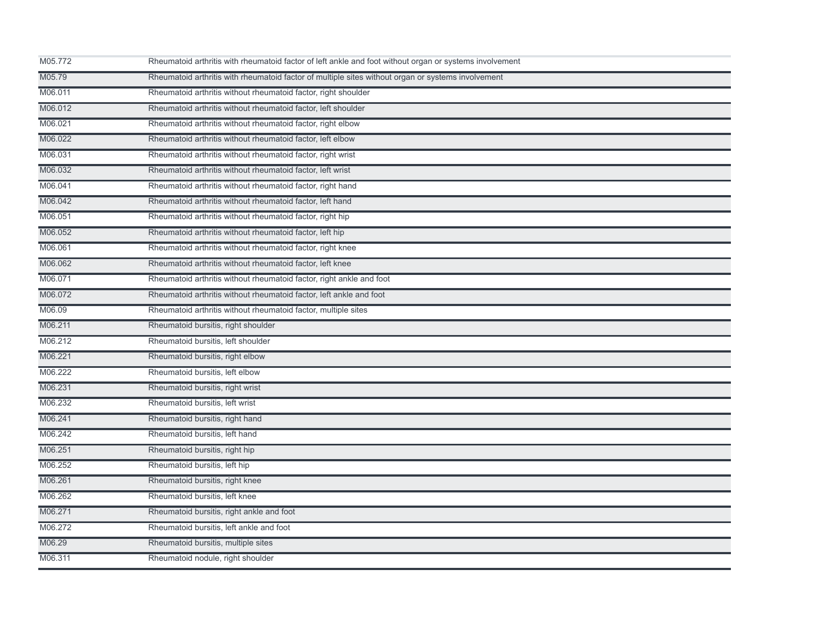| M05.772 | Rheumatoid arthritis with rheumatoid factor of left ankle and foot without organ or systems involvement |
|---------|---------------------------------------------------------------------------------------------------------|
| M05.79  | Rheumatoid arthritis with rheumatoid factor of multiple sites without organ or systems involvement      |
| M06.011 | Rheumatoid arthritis without rheumatoid factor, right shoulder                                          |
| M06.012 | Rheumatoid arthritis without rheumatoid factor, left shoulder                                           |
| M06.021 | Rheumatoid arthritis without rheumatoid factor, right elbow                                             |
| M06.022 | Rheumatoid arthritis without rheumatoid factor, left elbow                                              |
| M06.031 | Rheumatoid arthritis without rheumatoid factor, right wrist                                             |
| M06.032 | Rheumatoid arthritis without rheumatoid factor, left wrist                                              |
| M06.041 | Rheumatoid arthritis without rheumatoid factor, right hand                                              |
| M06.042 | Rheumatoid arthritis without rheumatoid factor, left hand                                               |
| M06.051 | Rheumatoid arthritis without rheumatoid factor, right hip                                               |
| M06.052 | Rheumatoid arthritis without rheumatoid factor, left hip                                                |
| M06.061 | Rheumatoid arthritis without rheumatoid factor, right knee                                              |
| M06.062 | Rheumatoid arthritis without rheumatoid factor, left knee                                               |
| M06.071 | Rheumatoid arthritis without rheumatoid factor, right ankle and foot                                    |
| M06.072 | Rheumatoid arthritis without rheumatoid factor, left ankle and foot                                     |
| M06.09  | Rheumatoid arthritis without rheumatoid factor, multiple sites                                          |
| M06.211 | Rheumatoid bursitis, right shoulder                                                                     |
| M06.212 | Rheumatoid bursitis, left shoulder                                                                      |
| M06.221 | Rheumatoid bursitis, right elbow                                                                        |
| M06.222 | Rheumatoid bursitis, left elbow                                                                         |
| M06.231 | Rheumatoid bursitis, right wrist                                                                        |
| M06.232 | Rheumatoid bursitis, left wrist                                                                         |
| M06.241 | Rheumatoid bursitis, right hand                                                                         |
| M06.242 | Rheumatoid bursitis, left hand                                                                          |
| M06.251 | Rheumatoid bursitis, right hip                                                                          |
| M06.252 | Rheumatoid bursitis, left hip                                                                           |
| M06.261 | Rheumatoid bursitis, right knee                                                                         |
| M06.262 | Rheumatoid bursitis, left knee                                                                          |
| M06.271 | Rheumatoid bursitis, right ankle and foot                                                               |
| M06.272 | Rheumatoid bursitis, left ankle and foot                                                                |
| M06.29  | Rheumatoid bursitis, multiple sites                                                                     |
| M06.311 | Rheumatoid nodule, right shoulder                                                                       |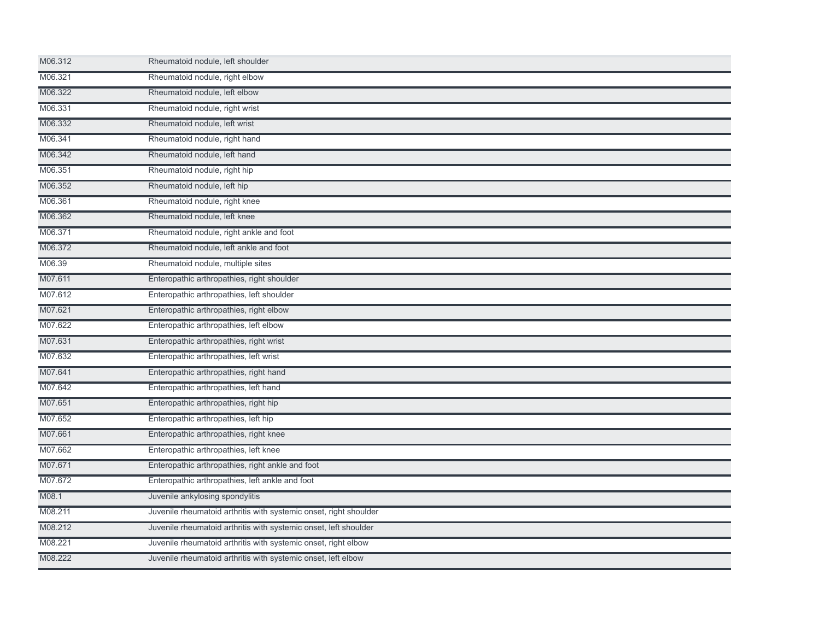| M06.312 | Rheumatoid nodule, left shoulder                                  |  |
|---------|-------------------------------------------------------------------|--|
| M06.321 | Rheumatoid nodule, right elbow                                    |  |
| M06.322 | Rheumatoid nodule, left elbow                                     |  |
| M06.331 | Rheumatoid nodule, right wrist                                    |  |
| M06.332 | Rheumatoid nodule, left wrist                                     |  |
| M06.341 | Rheumatoid nodule, right hand                                     |  |
| M06.342 | Rheumatoid nodule, left hand                                      |  |
| M06.351 | Rheumatoid nodule, right hip                                      |  |
| M06.352 | Rheumatoid nodule, left hip                                       |  |
| M06.361 | Rheumatoid nodule, right knee                                     |  |
| M06.362 | Rheumatoid nodule, left knee                                      |  |
| M06.371 | Rheumatoid nodule, right ankle and foot                           |  |
| M06.372 | Rheumatoid nodule, left ankle and foot                            |  |
| M06.39  | Rheumatoid nodule, multiple sites                                 |  |
| M07.611 | Enteropathic arthropathies, right shoulder                        |  |
| M07.612 | Enteropathic arthropathies, left shoulder                         |  |
| M07.621 | Enteropathic arthropathies, right elbow                           |  |
| M07.622 | Enteropathic arthropathies, left elbow                            |  |
| M07.631 | Enteropathic arthropathies, right wrist                           |  |
| M07.632 | Enteropathic arthropathies, left wrist                            |  |
| M07.641 | Enteropathic arthropathies, right hand                            |  |
| M07.642 | Enteropathic arthropathies, left hand                             |  |
| M07.651 | Enteropathic arthropathies, right hip                             |  |
| M07.652 | Enteropathic arthropathies, left hip                              |  |
| M07.661 | Enteropathic arthropathies, right knee                            |  |
| M07.662 | Enteropathic arthropathies, left knee                             |  |
| M07.671 | Enteropathic arthropathies, right ankle and foot                  |  |
| M07.672 | Enteropathic arthropathies, left ankle and foot                   |  |
| M08.1   | Juvenile ankylosing spondylitis                                   |  |
| M08.211 | Juvenile rheumatoid arthritis with systemic onset, right shoulder |  |
| M08.212 | Juvenile rheumatoid arthritis with systemic onset, left shoulder  |  |
| M08.221 | Juvenile rheumatoid arthritis with systemic onset, right elbow    |  |
| M08.222 | Juvenile rheumatoid arthritis with systemic onset, left elbow     |  |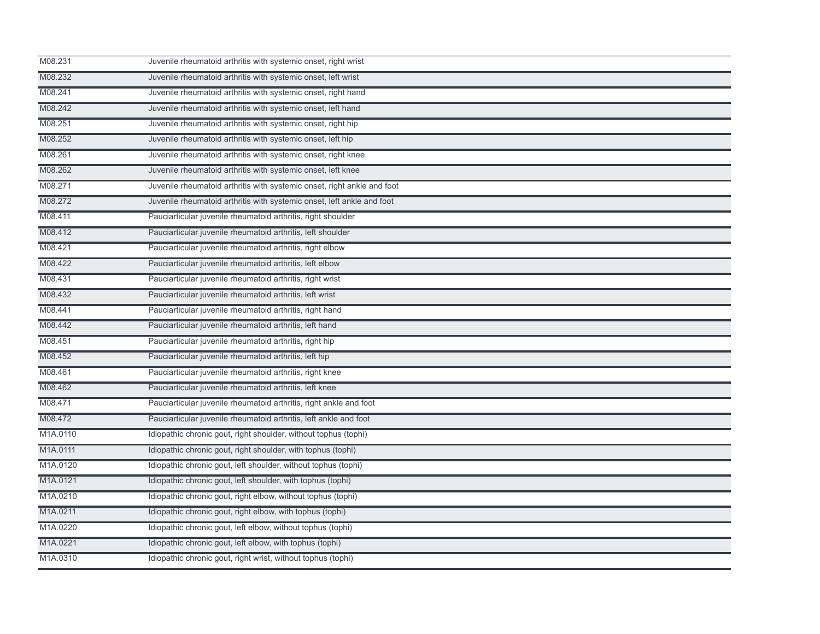| M08.231  | Juvenile rheumatoid arthritis with systemic onset, right wrist          |
|----------|-------------------------------------------------------------------------|
| M08.232  | Juvenile rheumatoid arthritis with systemic onset, left wrist           |
| M08.241  | Juvenile rheumatoid arthritis with systemic onset, right hand           |
| M08.242  | Juvenile rheumatoid arthritis with systemic onset, left hand            |
| M08.251  | Juvenile rheumatoid arthritis with systemic onset, right hip            |
| M08.252  | Juvenile rheumatoid arthritis with systemic onset, left hip             |
| M08.261  | Juvenile rheumatoid arthritis with systemic onset, right knee           |
| M08.262  | Juvenile rheumatoid arthritis with systemic onset, left knee            |
| M08.271  | Juvenile rheumatoid arthritis with systemic onset, right ankle and foot |
| M08.272  | Juvenile rheumatoid arthritis with systemic onset, left ankle and foot  |
| M08.411  | Pauciarticular juvenile rheumatoid arthritis, right shoulder            |
| M08.412  | Pauciarticular juvenile rheumatoid arthritis, left shoulder             |
| M08.421  | Pauciarticular juvenile rheumatoid arthritis, right elbow               |
| M08.422  | Pauciarticular juvenile rheumatoid arthritis, left elbow                |
| M08.431  | Pauciarticular juvenile rheumatoid arthritis, right wrist               |
| M08.432  | Pauciarticular juvenile rheumatoid arthritis, left wrist                |
| M08.441  | Pauciarticular juvenile rheumatoid arthritis, right hand                |
| M08.442  | Pauciarticular juvenile rheumatoid arthritis, left hand                 |
| M08.451  | Pauciarticular juvenile rheumatoid arthritis, right hip                 |
| M08.452  | Pauciarticular juvenile rheumatoid arthritis, left hip                  |
| M08.461  | Pauciarticular juvenile rheumatoid arthritis, right knee                |
| M08.462  | Pauciarticular juvenile rheumatoid arthritis, left knee                 |
| M08.471  | Pauciarticular juvenile rheumatoid arthritis, right ankle and foot      |
| M08.472  | Pauciarticular juvenile rheumatoid arthritis, left ankle and foot       |
| M1A.0110 | Idiopathic chronic gout, right shoulder, without tophus (tophi)         |
| M1A.0111 | Idiopathic chronic gout, right shoulder, with tophus (tophi)            |
| M1A.0120 | Idiopathic chronic gout, left shoulder, without tophus (tophi)          |
| M1A.0121 | Idiopathic chronic gout, left shoulder, with tophus (tophi)             |
| M1A.0210 | Idiopathic chronic gout, right elbow, without tophus (tophi)            |
| M1A.0211 | Idiopathic chronic gout, right elbow, with tophus (tophi)               |
| M1A.0220 | Idiopathic chronic gout, left elbow, without tophus (tophi)             |
| M1A.0221 | Idiopathic chronic gout, left elbow, with tophus (tophi)                |
| M1A.0310 | Idiopathic chronic gout, right wrist, without tophus (tophi)            |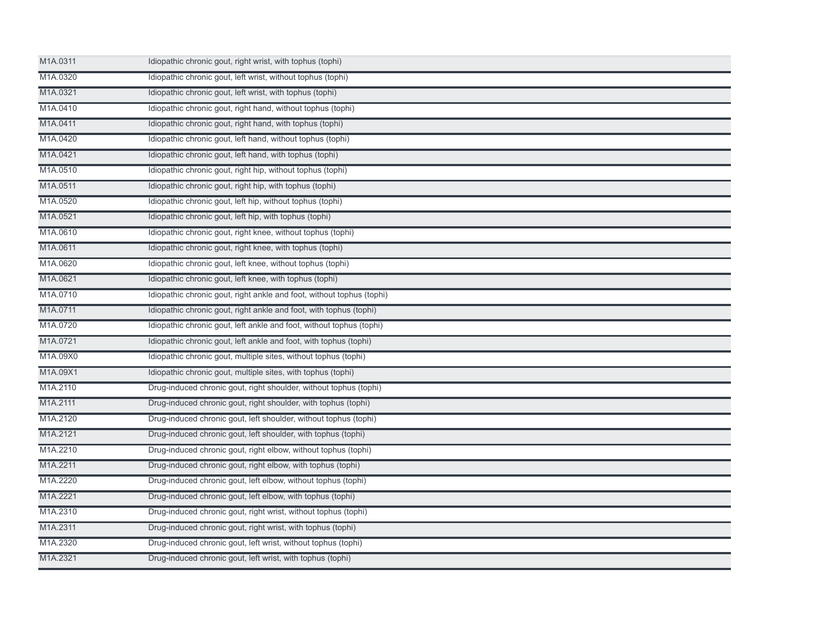| M1A.0311 | Idiopathic chronic gout, right wrist, with tophus (tophi)             |  |
|----------|-----------------------------------------------------------------------|--|
| M1A.0320 | Idiopathic chronic gout, left wrist, without tophus (tophi)           |  |
| M1A.0321 | Idiopathic chronic gout, left wrist, with tophus (tophi)              |  |
| M1A.0410 | Idiopathic chronic gout, right hand, without tophus (tophi)           |  |
| M1A.0411 | Idiopathic chronic gout, right hand, with tophus (tophi)              |  |
| M1A.0420 | Idiopathic chronic gout, left hand, without tophus (tophi)            |  |
| M1A.0421 | Idiopathic chronic gout, left hand, with tophus (tophi)               |  |
| M1A.0510 | Idiopathic chronic gout, right hip, without tophus (tophi)            |  |
| M1A.0511 | Idiopathic chronic gout, right hip, with tophus (tophi)               |  |
| M1A.0520 | Idiopathic chronic gout, left hip, without tophus (tophi)             |  |
| M1A.0521 | Idiopathic chronic gout, left hip, with tophus (tophi)                |  |
| M1A.0610 | Idiopathic chronic gout, right knee, without tophus (tophi)           |  |
| M1A.0611 | Idiopathic chronic gout, right knee, with tophus (tophi)              |  |
| M1A.0620 | Idiopathic chronic gout, left knee, without tophus (tophi)            |  |
| M1A.0621 | Idiopathic chronic gout, left knee, with tophus (tophi)               |  |
| M1A.0710 | Idiopathic chronic gout, right ankle and foot, without tophus (tophi) |  |
| M1A.0711 | Idiopathic chronic gout, right ankle and foot, with tophus (tophi)    |  |
| M1A.0720 | Idiopathic chronic gout, left ankle and foot, without tophus (tophi)  |  |
| M1A.0721 | Idiopathic chronic gout, left ankle and foot, with tophus (tophi)     |  |
| M1A.09X0 | Idiopathic chronic gout, multiple sites, without tophus (tophi)       |  |
| M1A.09X1 | Idiopathic chronic gout, multiple sites, with tophus (tophi)          |  |
| M1A.2110 | Drug-induced chronic gout, right shoulder, without tophus (tophi)     |  |
| M1A.2111 | Drug-induced chronic gout, right shoulder, with tophus (tophi)        |  |
| M1A.2120 | Drug-induced chronic gout, left shoulder, without tophus (tophi)      |  |
| M1A.2121 | Drug-induced chronic gout, left shoulder, with tophus (tophi)         |  |
| M1A.2210 | Drug-induced chronic gout, right elbow, without tophus (tophi)        |  |
| M1A.2211 | Drug-induced chronic gout, right elbow, with tophus (tophi)           |  |
| M1A.2220 | Drug-induced chronic gout, left elbow, without tophus (tophi)         |  |
| M1A.2221 | Drug-induced chronic gout, left elbow, with tophus (tophi)            |  |
| M1A.2310 | Drug-induced chronic gout, right wrist, without tophus (tophi)        |  |
| M1A.2311 | Drug-induced chronic gout, right wrist, with tophus (tophi)           |  |
| M1A.2320 | Drug-induced chronic gout, left wrist, without tophus (tophi)         |  |
| M1A.2321 | Drug-induced chronic gout, left wrist, with tophus (tophi)            |  |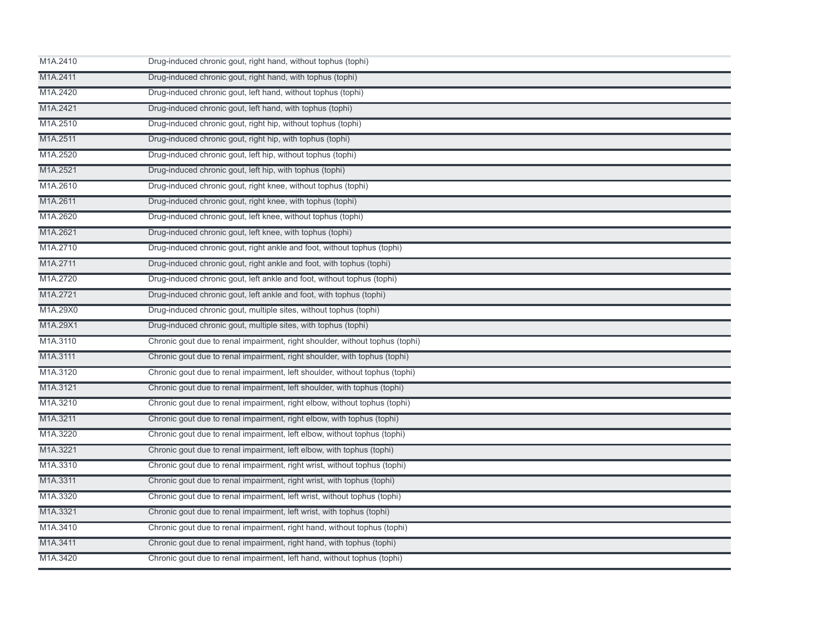| M1A.2410 | Drug-induced chronic gout, right hand, without tophus (tophi)                |
|----------|------------------------------------------------------------------------------|
| M1A.2411 | Drug-induced chronic gout, right hand, with tophus (tophi)                   |
| M1A.2420 | Drug-induced chronic gout, left hand, without tophus (tophi)                 |
| M1A.2421 | Drug-induced chronic gout, left hand, with tophus (tophi)                    |
| M1A.2510 | Drug-induced chronic gout, right hip, without tophus (tophi)                 |
| M1A.2511 | Drug-induced chronic gout, right hip, with tophus (tophi)                    |
| M1A.2520 | Drug-induced chronic gout, left hip, without tophus (tophi)                  |
| M1A.2521 | Drug-induced chronic gout, left hip, with tophus (tophi)                     |
| M1A.2610 | Drug-induced chronic gout, right knee, without tophus (tophi)                |
| M1A.2611 | Drug-induced chronic gout, right knee, with tophus (tophi)                   |
| M1A.2620 | Drug-induced chronic gout, left knee, without tophus (tophi)                 |
| M1A.2621 | Drug-induced chronic gout, left knee, with tophus (tophi)                    |
| M1A.2710 | Drug-induced chronic gout, right ankle and foot, without tophus (tophi)      |
| M1A.2711 | Drug-induced chronic gout, right ankle and foot, with tophus (tophi)         |
| M1A.2720 | Drug-induced chronic gout, left ankle and foot, without tophus (tophi)       |
| M1A.2721 | Drug-induced chronic gout, left ankle and foot, with tophus (tophi)          |
| M1A.29X0 | Drug-induced chronic gout, multiple sites, without tophus (tophi)            |
| M1A.29X1 | Drug-induced chronic gout, multiple sites, with tophus (tophi)               |
| M1A.3110 | Chronic gout due to renal impairment, right shoulder, without tophus (tophi) |
| M1A.3111 | Chronic gout due to renal impairment, right shoulder, with tophus (tophi)    |
| M1A.3120 | Chronic gout due to renal impairment, left shoulder, without tophus (tophi)  |
| M1A.3121 | Chronic gout due to renal impairment, left shoulder, with tophus (tophi)     |
| M1A.3210 | Chronic gout due to renal impairment, right elbow, without tophus (tophi)    |
| M1A.3211 | Chronic gout due to renal impairment, right elbow, with tophus (tophi)       |
| M1A.3220 | Chronic gout due to renal impairment, left elbow, without tophus (tophi)     |
| M1A.3221 | Chronic gout due to renal impairment, left elbow, with tophus (tophi)        |
| M1A.3310 | Chronic gout due to renal impairment, right wrist, without tophus (tophi)    |
| M1A.3311 | Chronic gout due to renal impairment, right wrist, with tophus (tophi)       |
| M1A.3320 | Chronic gout due to renal impairment, left wrist, without tophus (tophi)     |
| M1A.3321 | Chronic gout due to renal impairment, left wrist, with tophus (tophi)        |
| M1A.3410 | Chronic gout due to renal impairment, right hand, without tophus (tophi)     |
| M1A.3411 | Chronic gout due to renal impairment, right hand, with tophus (tophi)        |
| M1A.3420 | Chronic gout due to renal impairment, left hand, without tophus (tophi)      |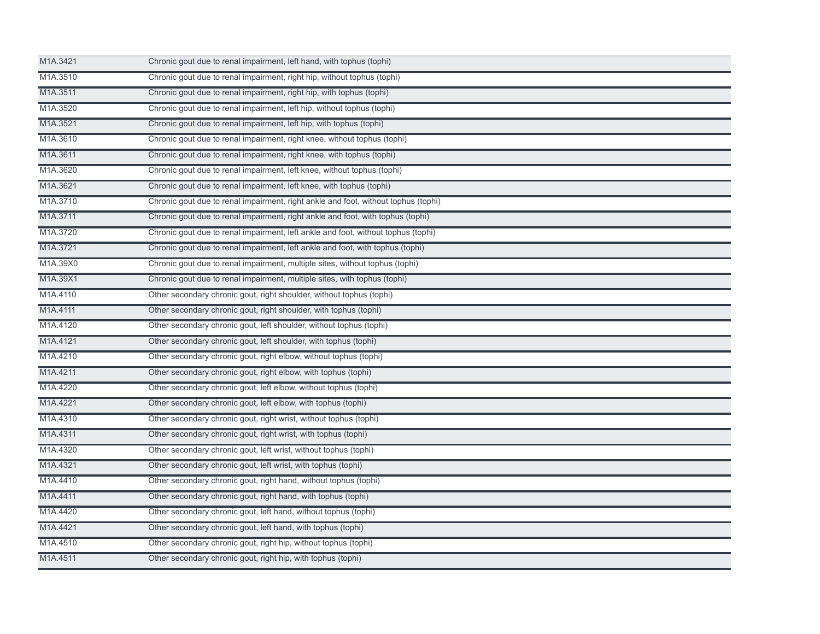| M1A.3421 | Chronic gout due to renal impairment, left hand, with tophus (tophi)               |
|----------|------------------------------------------------------------------------------------|
| M1A.3510 | Chronic gout due to renal impairment, right hip, without tophus (tophi)            |
| M1A.3511 | Chronic gout due to renal impairment, right hip, with tophus (tophi)               |
| M1A.3520 | Chronic gout due to renal impairment, left hip, without tophus (tophi)             |
| M1A.3521 | Chronic gout due to renal impairment, left hip, with tophus (tophi)                |
| M1A.3610 | Chronic gout due to renal impairment, right knee, without tophus (tophi)           |
| M1A.3611 | Chronic gout due to renal impairment, right knee, with tophus (tophi)              |
| M1A.3620 | Chronic gout due to renal impairment, left knee, without tophus (tophi)            |
| M1A.3621 | Chronic gout due to renal impairment, left knee, with tophus (tophi)               |
| M1A.3710 | Chronic gout due to renal impairment, right ankle and foot, without tophus (tophi) |
| M1A.3711 | Chronic gout due to renal impairment, right ankle and foot, with tophus (tophi)    |
| M1A.3720 | Chronic gout due to renal impairment, left ankle and foot, without tophus (tophi)  |
| M1A.3721 | Chronic gout due to renal impairment, left ankle and foot, with tophus (tophi)     |
| M1A.39X0 | Chronic gout due to renal impairment, multiple sites, without tophus (tophi)       |
| M1A.39X1 | Chronic gout due to renal impairment, multiple sites, with tophus (tophi)          |
| M1A.4110 | Other secondary chronic gout, right shoulder, without tophus (tophi)               |
| M1A.4111 | Other secondary chronic gout, right shoulder, with tophus (tophi)                  |
| M1A.4120 | Other secondary chronic gout, left shoulder, without tophus (tophi)                |
| M1A.4121 | Other secondary chronic gout, left shoulder, with tophus (tophi)                   |
| M1A.4210 | Other secondary chronic gout, right elbow, without tophus (tophi)                  |
| M1A.4211 | Other secondary chronic gout, right elbow, with tophus (tophi)                     |
| M1A.4220 | Other secondary chronic gout, left elbow, without tophus (tophi)                   |
| M1A.4221 | Other secondary chronic gout, left elbow, with tophus (tophi)                      |
| M1A.4310 | Other secondary chronic gout, right wrist, without tophus (tophi)                  |
| M1A.4311 | Other secondary chronic gout, right wrist, with tophus (tophi)                     |
| M1A.4320 | Other secondary chronic gout, left wrist, without tophus (tophi)                   |
| M1A.4321 | Other secondary chronic gout, left wrist, with tophus (tophi)                      |
| M1A.4410 | Other secondary chronic gout, right hand, without tophus (tophi)                   |
| M1A.4411 | Other secondary chronic gout, right hand, with tophus (tophi)                      |
| M1A.4420 | Other secondary chronic gout, left hand, without tophus (tophi)                    |
| M1A.4421 | Other secondary chronic gout, left hand, with tophus (tophi)                       |
| M1A.4510 | Other secondary chronic gout, right hip, without tophus (tophi)                    |
| M1A.4511 | Other secondary chronic gout, right hip, with tophus (tophi)                       |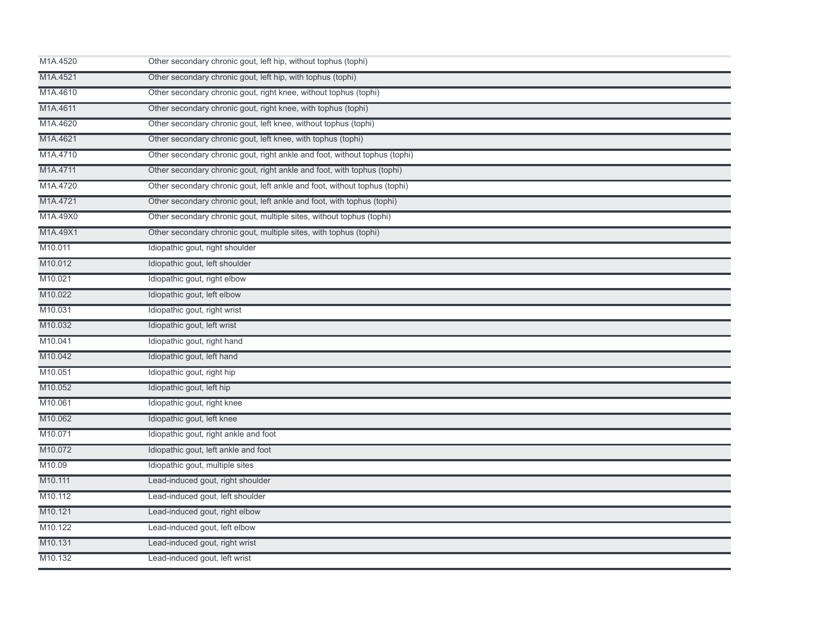| M1A.4520 | Other secondary chronic gout, left hip, without tophus (tophi)             |
|----------|----------------------------------------------------------------------------|
| M1A.4521 | Other secondary chronic gout, left hip, with tophus (tophi)                |
| M1A.4610 | Other secondary chronic gout, right knee, without tophus (tophi)           |
| M1A.4611 | Other secondary chronic gout, right knee, with tophus (tophi)              |
| M1A.4620 | Other secondary chronic gout, left knee, without tophus (tophi)            |
| M1A.4621 | Other secondary chronic gout, left knee, with tophus (tophi)               |
| M1A.4710 | Other secondary chronic gout, right ankle and foot, without tophus (tophi) |
| M1A.4711 | Other secondary chronic gout, right ankle and foot, with tophus (tophi)    |
| M1A.4720 | Other secondary chronic gout, left ankle and foot, without tophus (tophi)  |
| M1A.4721 | Other secondary chronic gout, left ankle and foot, with tophus (tophi)     |
| M1A.49X0 | Other secondary chronic gout, multiple sites, without tophus (tophi)       |
| M1A.49X1 | Other secondary chronic gout, multiple sites, with tophus (tophi)          |
| M10.011  | Idiopathic gout, right shoulder                                            |
| M10.012  | Idiopathic gout, left shoulder                                             |
| M10.021  | Idiopathic gout, right elbow                                               |
| M10.022  | Idiopathic gout, left elbow                                                |
| M10.031  | Idiopathic gout, right wrist                                               |
| M10.032  | Idiopathic gout, left wrist                                                |
| M10.041  | Idiopathic gout, right hand                                                |
| M10.042  | Idiopathic gout, left hand                                                 |
| M10.051  | Idiopathic gout, right hip                                                 |
| M10.052  | Idiopathic gout, left hip                                                  |
| M10.061  | Idiopathic gout, right knee                                                |
| M10.062  | Idiopathic gout, left knee                                                 |
| M10.071  | Idiopathic gout, right ankle and foot                                      |
| M10.072  | Idiopathic gout, left ankle and foot                                       |
| M10.09   | Idiopathic gout, multiple sites                                            |
| M10.111  | Lead-induced gout, right shoulder                                          |
| M10.112  | Lead-induced gout, left shoulder                                           |
| M10.121  | Lead-induced gout, right elbow                                             |
| M10.122  | Lead-induced gout, left elbow                                              |
| M10.131  | Lead-induced gout, right wrist                                             |
| M10.132  | Lead-induced gout, left wrist                                              |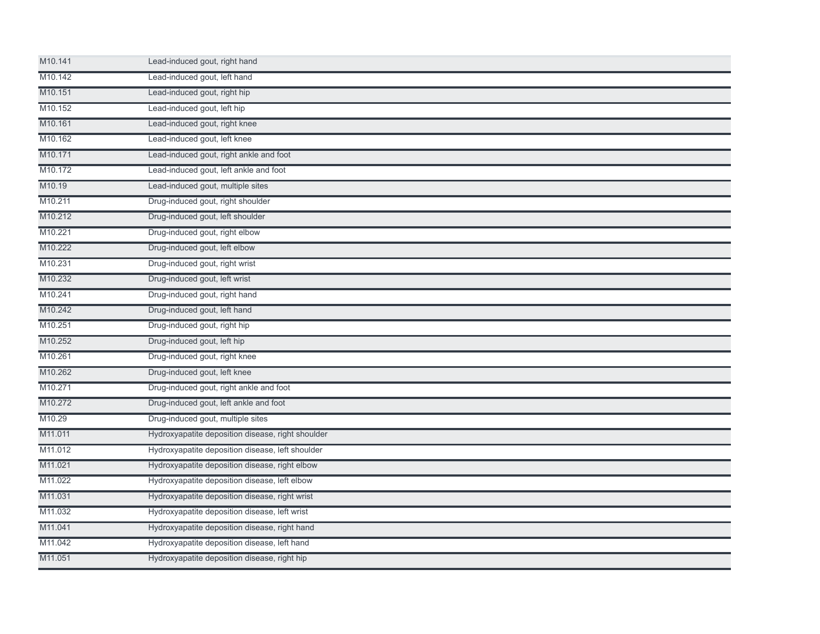| M10.141             | Lead-induced gout, right hand                     |  |
|---------------------|---------------------------------------------------|--|
| M10.142             | Lead-induced gout, left hand                      |  |
| M10.151             | Lead-induced gout, right hip                      |  |
| M10.152             | Lead-induced gout, left hip                       |  |
| M10.161             | Lead-induced gout, right knee                     |  |
| M10.162             | Lead-induced gout, left knee                      |  |
| M10.171             | Lead-induced gout, right ankle and foot           |  |
| M <sub>10.172</sub> | Lead-induced gout, left ankle and foot            |  |
| M10.19              | Lead-induced gout, multiple sites                 |  |
| M10.211             | Drug-induced gout, right shoulder                 |  |
| M10.212             | Drug-induced gout, left shoulder                  |  |
| M10.221             | Drug-induced gout, right elbow                    |  |
| M10.222             | Drug-induced gout, left elbow                     |  |
| M10.231             | Drug-induced gout, right wrist                    |  |
| M10.232             | Drug-induced gout, left wrist                     |  |
| M10.241             | Drug-induced gout, right hand                     |  |
| M10.242             | Drug-induced gout, left hand                      |  |
| M10.251             | Drug-induced gout, right hip                      |  |
| M10.252             | Drug-induced gout, left hip                       |  |
| M10.261             | Drug-induced gout, right knee                     |  |
| M10.262             | Drug-induced gout, left knee                      |  |
| M10.271             | Drug-induced gout, right ankle and foot           |  |
| M10.272             | Drug-induced gout, left ankle and foot            |  |
| M10.29              | Drug-induced gout, multiple sites                 |  |
| M11.011             | Hydroxyapatite deposition disease, right shoulder |  |
| M11.012             | Hydroxyapatite deposition disease, left shoulder  |  |
| M11.021             | Hydroxyapatite deposition disease, right elbow    |  |
| M11.022             | Hydroxyapatite deposition disease, left elbow     |  |
| M11.031             | Hydroxyapatite deposition disease, right wrist    |  |
| M11.032             | Hydroxyapatite deposition disease, left wrist     |  |
| M11.041             | Hydroxyapatite deposition disease, right hand     |  |
| M11.042             | Hydroxyapatite deposition disease, left hand      |  |
| M11.051             | Hydroxyapatite deposition disease, right hip      |  |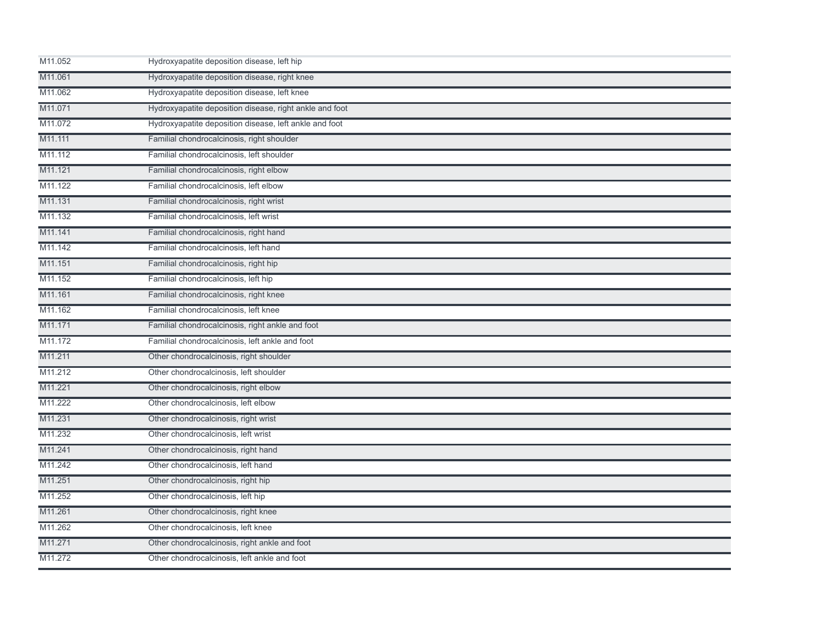| M11.052 | Hydroxyapatite deposition disease, left hip             |  |
|---------|---------------------------------------------------------|--|
| M11.061 | Hydroxyapatite deposition disease, right knee           |  |
| M11.062 | Hydroxyapatite deposition disease, left knee            |  |
| M11.071 | Hydroxyapatite deposition disease, right ankle and foot |  |
| M11.072 | Hydroxyapatite deposition disease, left ankle and foot  |  |
| M11.111 | Familial chondrocalcinosis, right shoulder              |  |
| M11.112 | Familial chondrocalcinosis, left shoulder               |  |
| M11.121 | Familial chondrocalcinosis, right elbow                 |  |
| M11.122 | Familial chondrocalcinosis, left elbow                  |  |
| M11.131 | Familial chondrocalcinosis, right wrist                 |  |
| M11.132 | Familial chondrocalcinosis, left wrist                  |  |
| M11.141 | Familial chondrocalcinosis, right hand                  |  |
| M11.142 | Familial chondrocalcinosis, left hand                   |  |
| M11.151 | Familial chondrocalcinosis, right hip                   |  |
| M11.152 | Familial chondrocalcinosis, left hip                    |  |
| M11.161 | Familial chondrocalcinosis, right knee                  |  |
| M11.162 | Familial chondrocalcinosis, left knee                   |  |
| M11.171 | Familial chondrocalcinosis, right ankle and foot        |  |
| M11.172 | Familial chondrocalcinosis, left ankle and foot         |  |
| M11.211 | Other chondrocalcinosis, right shoulder                 |  |
| M11.212 | Other chondrocalcinosis, left shoulder                  |  |
| M11.221 | Other chondrocalcinosis, right elbow                    |  |
| M11.222 | Other chondrocalcinosis, left elbow                     |  |
| M11.231 | Other chondrocalcinosis, right wrist                    |  |
| M11.232 | Other chondrocalcinosis, left wrist                     |  |
| M11.241 | Other chondrocalcinosis, right hand                     |  |
| M11.242 | Other chondrocalcinosis, left hand                      |  |
| M11.251 | Other chondrocalcinosis, right hip                      |  |
| M11.252 | Other chondrocalcinosis, left hip                       |  |
| M11.261 | Other chondrocalcinosis, right knee                     |  |
| M11.262 | Other chondrocalcinosis, left knee                      |  |
| M11.271 | Other chondrocalcinosis, right ankle and foot           |  |
| M11.272 | Other chondrocalcinosis, left ankle and foot            |  |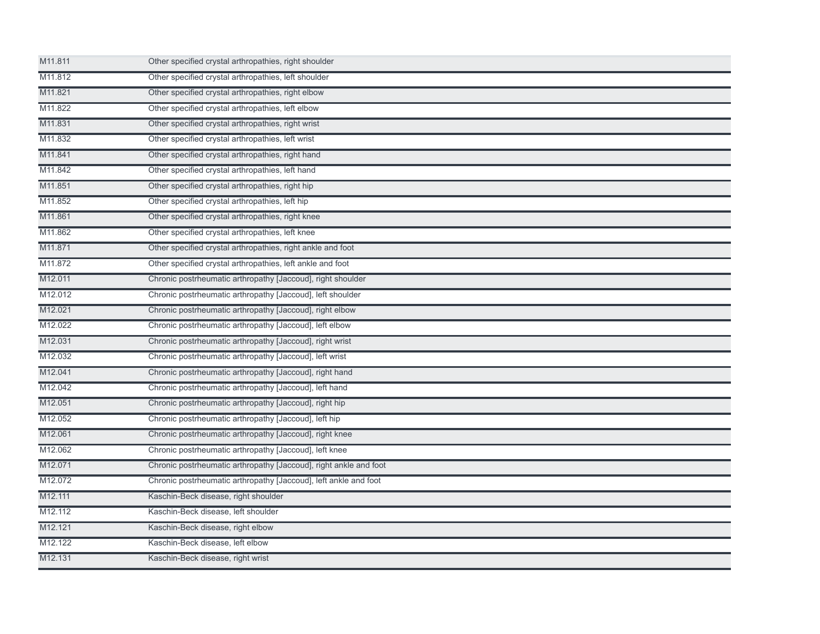| M11.811             | Other specified crystal arthropathies, right shoulder             |
|---------------------|-------------------------------------------------------------------|
| M11.812             | Other specified crystal arthropathies, left shoulder              |
| M11.821             | Other specified crystal arthropathies, right elbow                |
| M11.822             | Other specified crystal arthropathies, left elbow                 |
| M11.831             | Other specified crystal arthropathies, right wrist                |
| M11.832             | Other specified crystal arthropathies, left wrist                 |
| M11.841             | Other specified crystal arthropathies, right hand                 |
| M11.842             | Other specified crystal arthropathies, left hand                  |
| M11.851             | Other specified crystal arthropathies, right hip                  |
| M11.852             | Other specified crystal arthropathies, left hip                   |
| M11.861             | Other specified crystal arthropathies, right knee                 |
| M11.862             | Other specified crystal arthropathies, left knee                  |
| M11.871             | Other specified crystal arthropathies, right ankle and foot       |
| M11.872             | Other specified crystal arthropathies, left ankle and foot        |
| M12.011             | Chronic postrheumatic arthropathy [Jaccoud], right shoulder       |
| M12.012             | Chronic postrheumatic arthropathy [Jaccoud], left shoulder        |
| M12.021             | Chronic postrheumatic arthropathy [Jaccoud], right elbow          |
| M12.022             | Chronic postrheumatic arthropathy [Jaccoud], left elbow           |
| M12.031             | Chronic postrheumatic arthropathy [Jaccoud], right wrist          |
| M12.032             | Chronic postrheumatic arthropathy [Jaccoud], left wrist           |
| M12.041             | Chronic postrheumatic arthropathy [Jaccoud], right hand           |
| M <sub>12.042</sub> | Chronic postrheumatic arthropathy [Jaccoud], left hand            |
| M12.051             | Chronic postrheumatic arthropathy [Jaccoud], right hip            |
| M12.052             | Chronic postrheumatic arthropathy [Jaccoud], left hip             |
| M12.061             | Chronic postrheumatic arthropathy [Jaccoud], right knee           |
| M12.062             | Chronic postrheumatic arthropathy [Jaccoud], left knee            |
| M12.071             | Chronic postrheumatic arthropathy [Jaccoud], right ankle and foot |
| M12.072             | Chronic postrheumatic arthropathy [Jaccoud], left ankle and foot  |
| M12.111             | Kaschin-Beck disease, right shoulder                              |
| M <sub>12.112</sub> | Kaschin-Beck disease, left shoulder                               |
| M12.121             | Kaschin-Beck disease, right elbow                                 |
| M12.122             | Kaschin-Beck disease, left elbow                                  |
| M12.131             | Kaschin-Beck disease, right wrist                                 |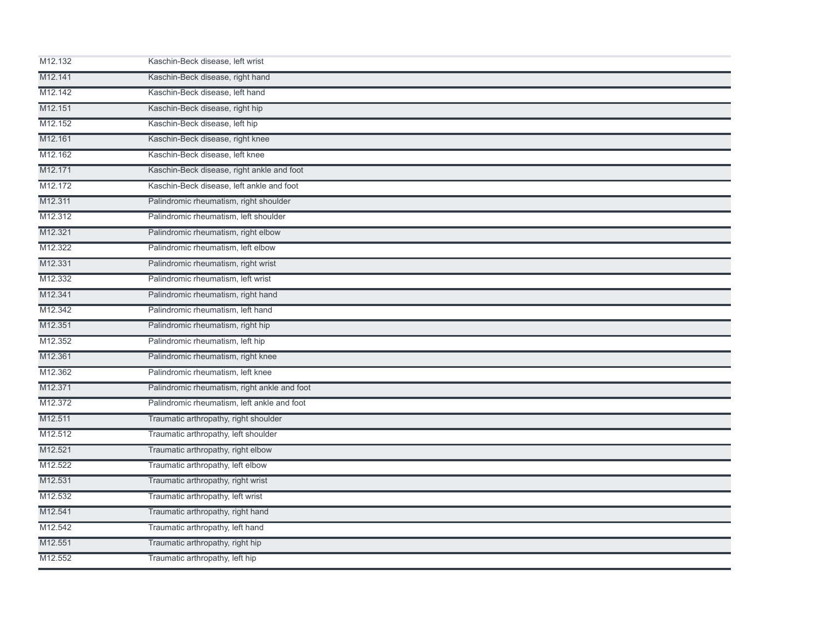| M12.132 | Kaschin-Beck disease, left wrist             |  |
|---------|----------------------------------------------|--|
| M12.141 | Kaschin-Beck disease, right hand             |  |
| M12.142 | Kaschin-Beck disease, left hand              |  |
| M12.151 | Kaschin-Beck disease, right hip              |  |
| M12.152 | Kaschin-Beck disease, left hip               |  |
| M12.161 | Kaschin-Beck disease, right knee             |  |
| M12.162 | Kaschin-Beck disease, left knee              |  |
| M12.171 | Kaschin-Beck disease, right ankle and foot   |  |
| M12.172 | Kaschin-Beck disease, left ankle and foot    |  |
| M12.311 | Palindromic rheumatism, right shoulder       |  |
| M12.312 | Palindromic rheumatism, left shoulder        |  |
| M12.321 | Palindromic rheumatism, right elbow          |  |
| M12.322 | Palindromic rheumatism, left elbow           |  |
| M12.331 | Palindromic rheumatism, right wrist          |  |
| M12.332 | Palindromic rheumatism, left wrist           |  |
| M12.341 | Palindromic rheumatism, right hand           |  |
| M12.342 | Palindromic rheumatism, left hand            |  |
| M12.351 | Palindromic rheumatism, right hip            |  |
| M12.352 | Palindromic rheumatism, left hip             |  |
| M12.361 | Palindromic rheumatism, right knee           |  |
| M12.362 | Palindromic rheumatism, left knee            |  |
| M12.371 | Palindromic rheumatism, right ankle and foot |  |
| M12.372 | Palindromic rheumatism, left ankle and foot  |  |
| M12.511 | Traumatic arthropathy, right shoulder        |  |
| M12.512 | Traumatic arthropathy, left shoulder         |  |
| M12.521 | Traumatic arthropathy, right elbow           |  |
| M12.522 | Traumatic arthropathy, left elbow            |  |
| M12.531 | Traumatic arthropathy, right wrist           |  |
| M12.532 | Traumatic arthropathy, left wrist            |  |
| M12.541 | Traumatic arthropathy, right hand            |  |
| M12.542 | Traumatic arthropathy, left hand             |  |
| M12.551 | Traumatic arthropathy, right hip             |  |
| M12.552 | Traumatic arthropathy, left hip              |  |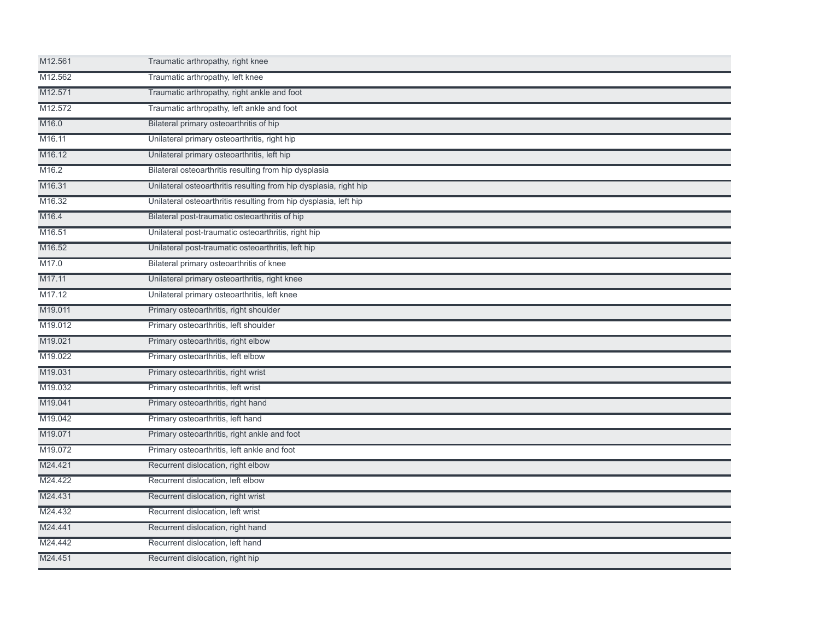| M12.561            | Traumatic arthropathy, right knee                                 |
|--------------------|-------------------------------------------------------------------|
| M12.562            | Traumatic arthropathy, left knee                                  |
| M12.571            | Traumatic arthropathy, right ankle and foot                       |
| M12.572            | Traumatic arthropathy, left ankle and foot                        |
| M <sub>16.0</sub>  | Bilateral primary osteoarthritis of hip                           |
| M16.11             | Unilateral primary osteoarthritis, right hip                      |
| M <sub>16.12</sub> | Unilateral primary osteoarthritis, left hip                       |
| M16.2              | Bilateral osteoarthritis resulting from hip dysplasia             |
| M16.31             | Unilateral osteoarthritis resulting from hip dysplasia, right hip |
| M16.32             | Unilateral osteoarthritis resulting from hip dysplasia, left hip  |
| M <sub>16.4</sub>  | Bilateral post-traumatic osteoarthritis of hip                    |
| M16.51             | Unilateral post-traumatic osteoarthritis, right hip               |
| M16.52             | Unilateral post-traumatic osteoarthritis, left hip                |
| M17.0              | Bilateral primary osteoarthritis of knee                          |
| M17.11             | Unilateral primary osteoarthritis, right knee                     |
| M17.12             | Unilateral primary osteoarthritis, left knee                      |
| M19.011            | Primary osteoarthritis, right shoulder                            |
| M19.012            | Primary osteoarthritis, left shoulder                             |
| M19.021            | Primary osteoarthritis, right elbow                               |
| M19.022            | Primary osteoarthritis, left elbow                                |
| M19.031            | Primary osteoarthritis, right wrist                               |
| M19.032            | Primary osteoarthritis, left wrist                                |
| M19.041            | Primary osteoarthritis, right hand                                |
| M19.042            | Primary osteoarthritis, left hand                                 |
| M19.071            | Primary osteoarthritis, right ankle and foot                      |
| M19.072            | Primary osteoarthritis, left ankle and foot                       |
| M24.421            | Recurrent dislocation, right elbow                                |
| M24.422            | Recurrent dislocation, left elbow                                 |
| M24.431            | Recurrent dislocation, right wrist                                |
| M24.432            | Recurrent dislocation, left wrist                                 |
| M24.441            | Recurrent dislocation, right hand                                 |
| M24.442            | Recurrent dislocation, left hand                                  |
| M24.451            | Recurrent dislocation, right hip                                  |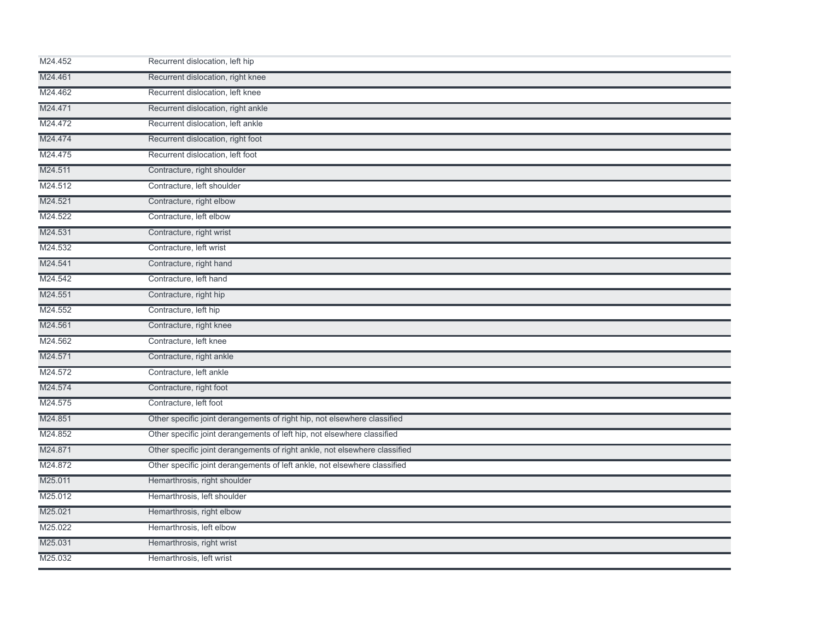| M24.452 | Recurrent dislocation, left hip                                            |  |
|---------|----------------------------------------------------------------------------|--|
| M24.461 | Recurrent dislocation, right knee                                          |  |
| M24.462 | Recurrent dislocation, left knee                                           |  |
| M24.471 | Recurrent dislocation, right ankle                                         |  |
| M24.472 | Recurrent dislocation, left ankle                                          |  |
| M24.474 | Recurrent dislocation, right foot                                          |  |
| M24.475 | Recurrent dislocation, left foot                                           |  |
| M24.511 | Contracture, right shoulder                                                |  |
| M24.512 | Contracture, left shoulder                                                 |  |
| M24.521 | Contracture, right elbow                                                   |  |
| M24.522 | Contracture, left elbow                                                    |  |
| M24.531 | Contracture, right wrist                                                   |  |
| M24.532 | Contracture, left wrist                                                    |  |
| M24.541 | Contracture, right hand                                                    |  |
| M24.542 | Contracture, left hand                                                     |  |
| M24.551 | Contracture, right hip                                                     |  |
| M24.552 | Contracture, left hip                                                      |  |
| M24.561 | Contracture, right knee                                                    |  |
| M24.562 | Contracture, left knee                                                     |  |
| M24.571 | Contracture, right ankle                                                   |  |
| M24.572 | Contracture, left ankle                                                    |  |
| M24.574 | Contracture, right foot                                                    |  |
| M24.575 | Contracture, left foot                                                     |  |
| M24.851 | Other specific joint derangements of right hip, not elsewhere classified   |  |
| M24.852 | Other specific joint derangements of left hip, not elsewhere classified    |  |
| M24.871 | Other specific joint derangements of right ankle, not elsewhere classified |  |
| M24.872 | Other specific joint derangements of left ankle, not elsewhere classified  |  |
| M25.011 | Hemarthrosis, right shoulder                                               |  |
| M25.012 | Hemarthrosis, left shoulder                                                |  |
| M25.021 | Hemarthrosis, right elbow                                                  |  |
| M25.022 | Hemarthrosis, left elbow                                                   |  |
| M25.031 | Hemarthrosis, right wrist                                                  |  |
| M25.032 | Hemarthrosis, left wrist                                                   |  |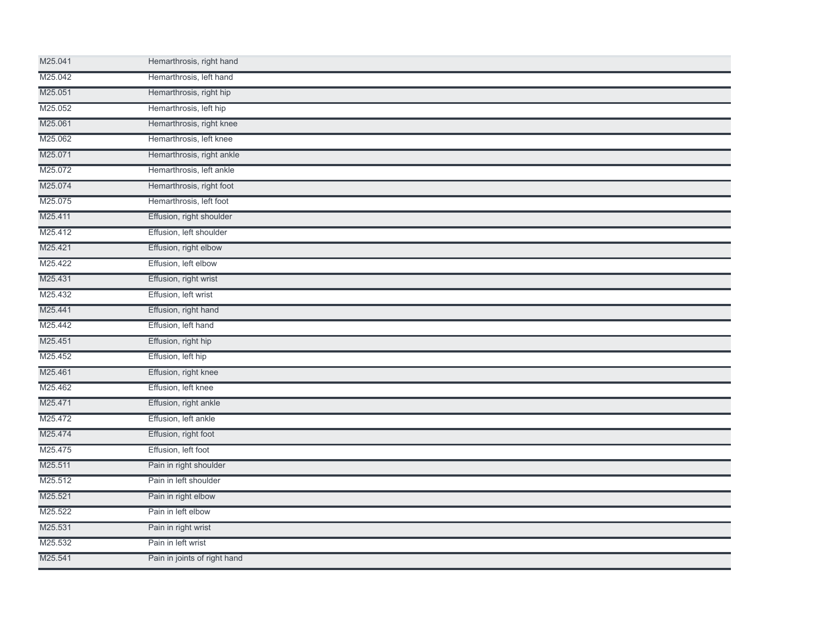| M25.041 | Hemarthrosis, right hand     |  |  |
|---------|------------------------------|--|--|
| M25.042 | Hemarthrosis, left hand      |  |  |
| M25.051 | Hemarthrosis, right hip      |  |  |
| M25.052 | Hemarthrosis, left hip       |  |  |
| M25.061 | Hemarthrosis, right knee     |  |  |
| M25.062 | Hemarthrosis, left knee      |  |  |
| M25.071 | Hemarthrosis, right ankle    |  |  |
| M25.072 | Hemarthrosis, left ankle     |  |  |
| M25.074 | Hemarthrosis, right foot     |  |  |
| M25.075 | Hemarthrosis, left foot      |  |  |
| M25.411 | Effusion, right shoulder     |  |  |
| M25.412 | Effusion, left shoulder      |  |  |
| M25.421 | Effusion, right elbow        |  |  |
| M25.422 | Effusion, left elbow         |  |  |
| M25.431 | Effusion, right wrist        |  |  |
| M25.432 | Effusion, left wrist         |  |  |
| M25.441 | Effusion, right hand         |  |  |
| M25.442 | Effusion, left hand          |  |  |
| M25.451 | Effusion, right hip          |  |  |
| M25.452 | Effusion, left hip           |  |  |
| M25.461 | Effusion, right knee         |  |  |
| M25.462 | Effusion, left knee          |  |  |
| M25.471 | Effusion, right ankle        |  |  |
| M25.472 | Effusion, left ankle         |  |  |
| M25.474 | Effusion, right foot         |  |  |
| M25.475 | Effusion, left foot          |  |  |
| M25.511 | Pain in right shoulder       |  |  |
| M25.512 | Pain in left shoulder        |  |  |
| M25.521 | Pain in right elbow          |  |  |
| M25.522 | Pain in left elbow           |  |  |
| M25.531 | Pain in right wrist          |  |  |
| M25.532 | Pain in left wrist           |  |  |
| M25.541 | Pain in joints of right hand |  |  |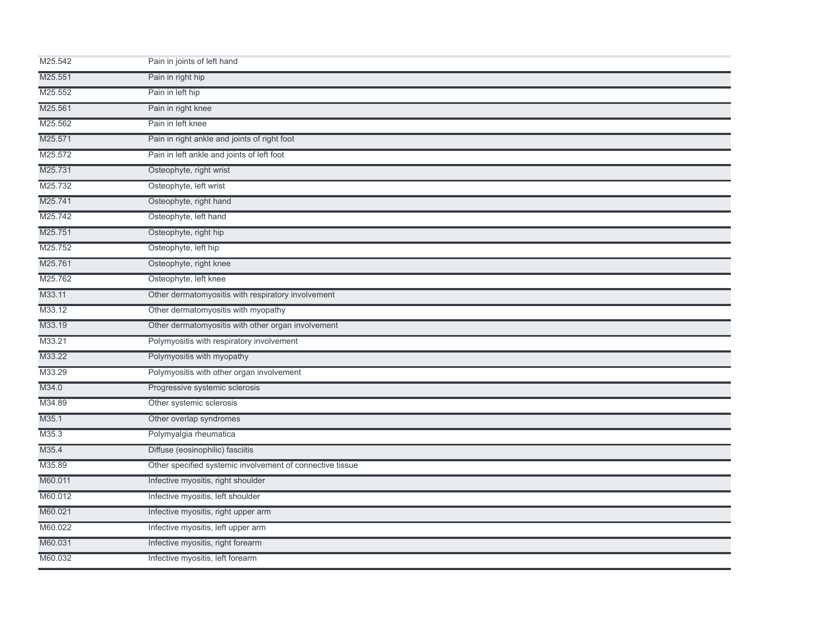| M25.542 | Pain in joints of left hand                               |  |
|---------|-----------------------------------------------------------|--|
| M25.551 | Pain in right hip                                         |  |
| M25.552 | Pain in left hip                                          |  |
| M25.561 | Pain in right knee                                        |  |
| M25.562 | Pain in left knee                                         |  |
| M25.571 | Pain in right ankle and joints of right foot              |  |
| M25.572 | Pain in left ankle and joints of left foot                |  |
| M25.731 | Osteophyte, right wrist                                   |  |
| M25.732 | Osteophyte, left wrist                                    |  |
| M25.741 | Osteophyte, right hand                                    |  |
| M25.742 | Osteophyte, left hand                                     |  |
| M25.751 | Osteophyte, right hip                                     |  |
| M25.752 | Osteophyte, left hip                                      |  |
| M25.761 | Osteophyte, right knee                                    |  |
| M25.762 | Osteophyte, left knee                                     |  |
| M33.11  | Other dermatomyositis with respiratory involvement        |  |
| M33.12  | Other dermatomyositis with myopathy                       |  |
| M33.19  | Other dermatomyositis with other organ involvement        |  |
| M33.21  | Polymyositis with respiratory involvement                 |  |
| M33.22  | Polymyositis with myopathy                                |  |
| M33.29  | Polymyositis with other organ involvement                 |  |
| M34.0   | Progressive systemic sclerosis                            |  |
| M34.89  | Other systemic sclerosis                                  |  |
| M35.1   | Other overlap syndromes                                   |  |
| M35.3   | Polymyalgia rheumatica                                    |  |
| M35.4   | Diffuse (eosinophilic) fasciitis                          |  |
| M35.89  | Other specified systemic involvement of connective tissue |  |
| M60.011 | Infective myositis, right shoulder                        |  |
| M60.012 | Infective myositis, left shoulder                         |  |
| M60.021 | Infective myositis, right upper arm                       |  |
| M60.022 | Infective myositis, left upper arm                        |  |
| M60.031 | Infective myositis, right forearm                         |  |
| M60.032 | Infective myositis, left forearm                          |  |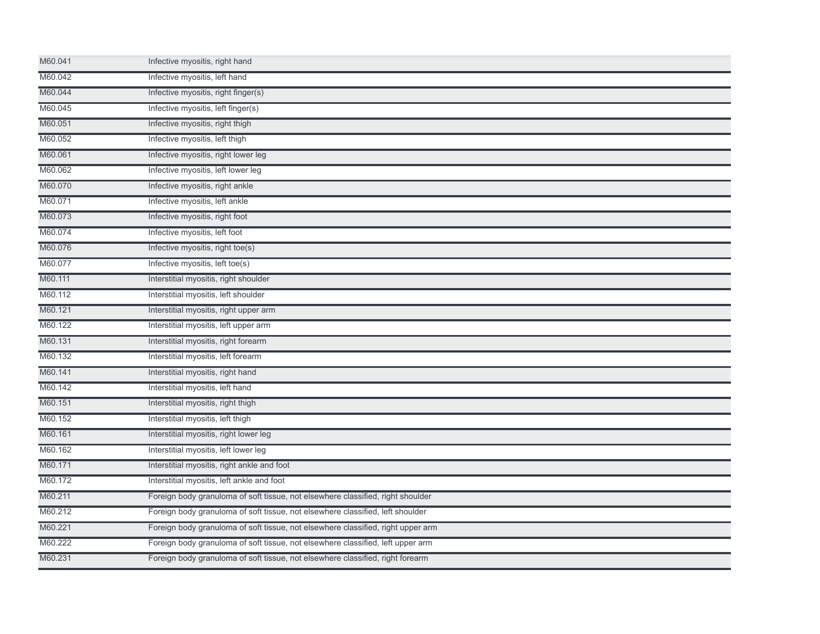| M60.041 | Infective myositis, right hand                                                   |
|---------|----------------------------------------------------------------------------------|
| M60.042 | Infective myositis, left hand                                                    |
| M60.044 | Infective myositis, right finger(s)                                              |
| M60.045 | Infective myositis, left finger(s)                                               |
| M60.051 | Infective myositis, right thigh                                                  |
| M60.052 | Infective myositis, left thigh                                                   |
| M60.061 | Infective myositis, right lower leg                                              |
| M60.062 | Infective myositis, left lower leg                                               |
| M60.070 | Infective myositis, right ankle                                                  |
| M60.071 | Infective myositis, left ankle                                                   |
| M60.073 | Infective myositis, right foot                                                   |
| M60.074 | Infective myositis, left foot                                                    |
| M60.076 | Infective myositis, right toe(s)                                                 |
| M60.077 | Infective myositis, left toe(s)                                                  |
| M60.111 | Interstitial myositis, right shoulder                                            |
| M60.112 | Interstitial myositis, left shoulder                                             |
| M60.121 | Interstitial myositis, right upper arm                                           |
| M60.122 | Interstitial myositis, left upper arm                                            |
| M60.131 | Interstitial myositis, right forearm                                             |
| M60.132 | Interstitial myositis, left forearm                                              |
| M60.141 | Interstitial myositis, right hand                                                |
| M60.142 | Interstitial myositis, left hand                                                 |
| M60.151 | Interstitial myositis, right thigh                                               |
| M60.152 | Interstitial myositis, left thigh                                                |
| M60.161 | Interstitial myositis, right lower leg                                           |
| M60.162 | Interstitial myositis, left lower leg                                            |
| M60.171 | Interstitial myositis, right ankle and foot                                      |
| M60.172 | Interstitial myositis, left ankle and foot                                       |
| M60.211 | Foreign body granuloma of soft tissue, not elsewhere classified, right shoulder  |
| M60.212 | Foreign body granuloma of soft tissue, not elsewhere classified, left shoulder   |
| M60.221 | Foreign body granuloma of soft tissue, not elsewhere classified, right upper arm |
| M60.222 | Foreign body granuloma of soft tissue, not elsewhere classified, left upper arm  |
| M60.231 | Foreign body granuloma of soft tissue, not elsewhere classified, right forearm   |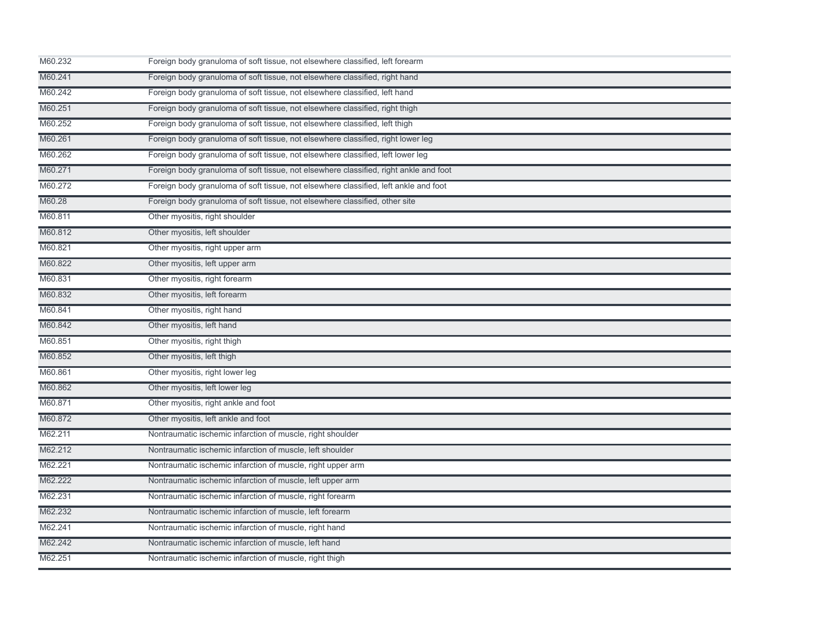| M60.232 | Foreign body granuloma of soft tissue, not elsewhere classified, left forearm         |
|---------|---------------------------------------------------------------------------------------|
| M60.241 | Foreign body granuloma of soft tissue, not elsewhere classified, right hand           |
| M60.242 | Foreign body granuloma of soft tissue, not elsewhere classified, left hand            |
| M60.251 | Foreign body granuloma of soft tissue, not elsewhere classified, right thigh          |
| M60.252 | Foreign body granuloma of soft tissue, not elsewhere classified, left thigh           |
| M60.261 | Foreign body granuloma of soft tissue, not elsewhere classified, right lower leg      |
| M60.262 | Foreign body granuloma of soft tissue, not elsewhere classified, left lower leg       |
| M60.271 | Foreign body granuloma of soft tissue, not elsewhere classified, right ankle and foot |
| M60.272 | Foreign body granuloma of soft tissue, not elsewhere classified, left ankle and foot  |
| M60.28  | Foreign body granuloma of soft tissue, not elsewhere classified, other site           |
| M60.811 | Other myositis, right shoulder                                                        |
| M60.812 | Other myositis, left shoulder                                                         |
| M60.821 | Other myositis, right upper arm                                                       |
| M60.822 | Other myositis, left upper arm                                                        |
| M60.831 | Other myositis, right forearm                                                         |
| M60.832 | Other myositis, left forearm                                                          |
| M60.841 | Other myositis, right hand                                                            |
| M60.842 | Other myositis, left hand                                                             |
| M60.851 | Other myositis, right thigh                                                           |
| M60.852 | Other myositis, left thigh                                                            |
| M60.861 | Other myositis, right lower leg                                                       |
| M60.862 | Other myositis, left lower leg                                                        |
| M60.871 | Other myositis, right ankle and foot                                                  |
| M60.872 | Other myositis, left ankle and foot                                                   |
| M62.211 | Nontraumatic ischemic infarction of muscle, right shoulder                            |
| M62.212 | Nontraumatic ischemic infarction of muscle, left shoulder                             |
| M62.221 | Nontraumatic ischemic infarction of muscle, right upper arm                           |
| M62.222 | Nontraumatic ischemic infarction of muscle, left upper arm                            |
| M62.231 | Nontraumatic ischemic infarction of muscle, right forearm                             |
| M62.232 | Nontraumatic ischemic infarction of muscle, left forearm                              |
| M62.241 | Nontraumatic ischemic infarction of muscle, right hand                                |
| M62.242 | Nontraumatic ischemic infarction of muscle, left hand                                 |
| M62.251 | Nontraumatic ischemic infarction of muscle, right thigh                               |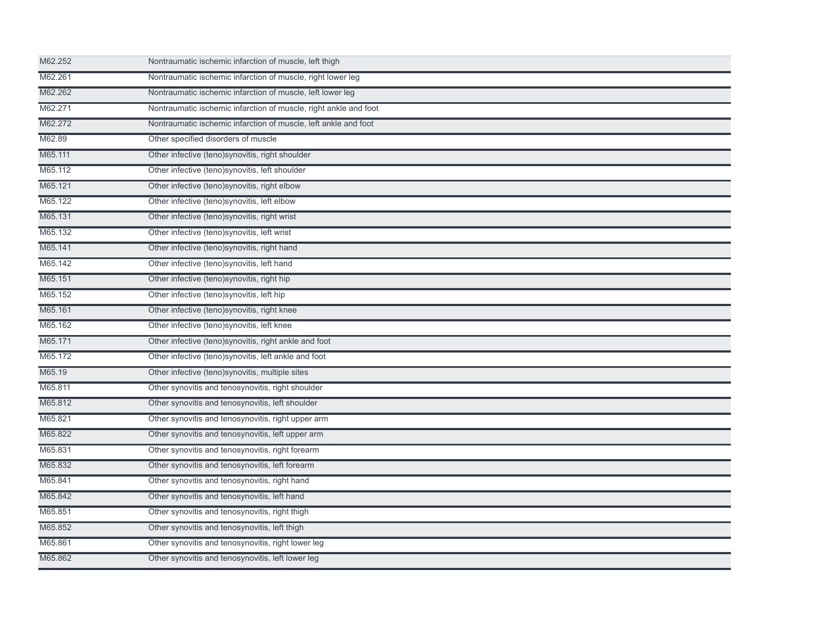| M62.252 | Nontraumatic ischemic infarction of muscle, left thigh           |
|---------|------------------------------------------------------------------|
| M62.261 | Nontraumatic ischemic infarction of muscle, right lower leg      |
| M62.262 | Nontraumatic ischemic infarction of muscle, left lower leg       |
| M62.271 | Nontraumatic ischemic infarction of muscle, right ankle and foot |
| M62.272 | Nontraumatic ischemic infarction of muscle, left ankle and foot  |
| M62.89  | Other specified disorders of muscle                              |
| M65.111 | Other infective (teno)synovitis, right shoulder                  |
| M65.112 | Other infective (teno) synovitis, left shoulder                  |
| M65.121 | Other infective (teno)synovitis, right elbow                     |
| M65.122 | Other infective (teno)synovitis, left elbow                      |
| M65.131 | Other infective (teno) synovitis, right wrist                    |
| M65.132 | Other infective (teno)synovitis, left wrist                      |
| M65.141 | Other infective (teno)synovitis, right hand                      |
| M65.142 | Other infective (teno)synovitis, left hand                       |
| M65.151 | Other infective (teno)synovitis, right hip                       |
| M65.152 | Other infective (teno)synovitis, left hip                        |
| M65.161 | Other infective (teno)synovitis, right knee                      |
| M65.162 | Other infective (teno)synovitis, left knee                       |
| M65.171 | Other infective (teno)synovitis, right ankle and foot            |
| M65.172 | Other infective (teno) synovitis, left ankle and foot            |
| M65.19  | Other infective (teno)synovitis, multiple sites                  |
| M65.811 | Other synovitis and tenosynovitis, right shoulder                |
| M65.812 | Other synovitis and tenosynovitis, left shoulder                 |
| M65.821 | Other synovitis and tenosynovitis, right upper arm               |
| M65.822 | Other synovitis and tenosynovitis, left upper arm                |
| M65.831 | Other synovitis and tenosynovitis, right forearm                 |
| M65.832 | Other synovitis and tenosynovitis, left forearm                  |
| M65.841 | Other synovitis and tenosynovitis, right hand                    |
| M65.842 | Other synovitis and tenosynovitis, left hand                     |
| M65.851 | Other synovitis and tenosynovitis, right thigh                   |
| M65.852 | Other synovitis and tenosynovitis, left thigh                    |
| M65.861 | Other synovitis and tenosynovitis, right lower leg               |
| M65.862 | Other synovitis and tenosynovitis, left lower leg                |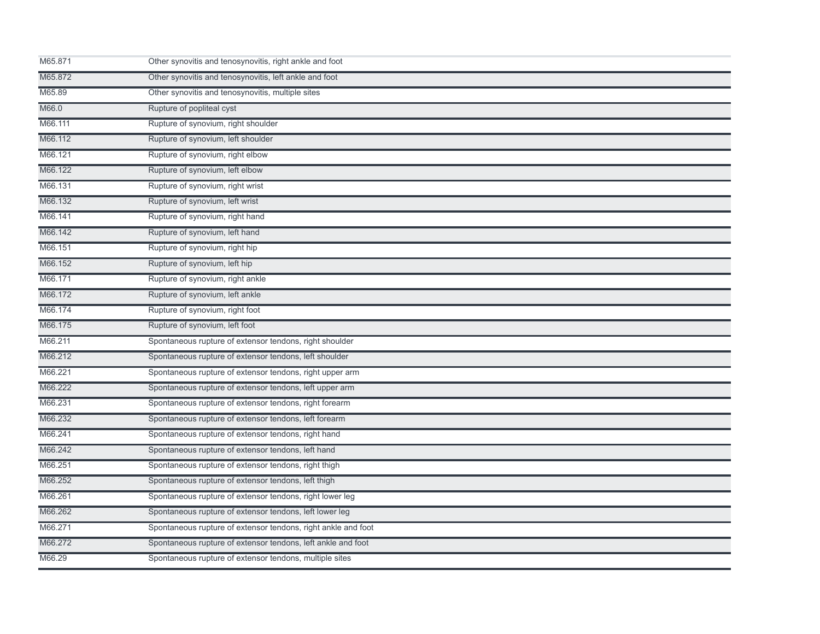| M65.871 | Other synovitis and tenosynovitis, right ankle and foot       |  |
|---------|---------------------------------------------------------------|--|
| M65.872 | Other synovitis and tenosynovitis, left ankle and foot        |  |
| M65.89  | Other synovitis and tenosynovitis, multiple sites             |  |
| M66.0   | Rupture of popliteal cyst                                     |  |
| M66.111 | Rupture of synovium, right shoulder                           |  |
| M66.112 | Rupture of synovium, left shoulder                            |  |
| M66.121 | Rupture of synovium, right elbow                              |  |
| M66.122 | Rupture of synovium, left elbow                               |  |
| M66.131 | Rupture of synovium, right wrist                              |  |
| M66.132 | Rupture of synovium, left wrist                               |  |
| M66.141 | Rupture of synovium, right hand                               |  |
| M66.142 | Rupture of synovium, left hand                                |  |
| M66.151 | Rupture of synovium, right hip                                |  |
| M66.152 | Rupture of synovium, left hip                                 |  |
| M66.171 | Rupture of synovium, right ankle                              |  |
| M66.172 | Rupture of synovium, left ankle                               |  |
| M66.174 | Rupture of synovium, right foot                               |  |
| M66.175 | Rupture of synovium, left foot                                |  |
| M66.211 | Spontaneous rupture of extensor tendons, right shoulder       |  |
| M66.212 | Spontaneous rupture of extensor tendons, left shoulder        |  |
| M66.221 | Spontaneous rupture of extensor tendons, right upper arm      |  |
| M66.222 | Spontaneous rupture of extensor tendons, left upper arm       |  |
| M66.231 | Spontaneous rupture of extensor tendons, right forearm        |  |
| M66.232 | Spontaneous rupture of extensor tendons, left forearm         |  |
| M66.241 | Spontaneous rupture of extensor tendons, right hand           |  |
| M66.242 | Spontaneous rupture of extensor tendons, left hand            |  |
| M66.251 | Spontaneous rupture of extensor tendons, right thigh          |  |
| M66.252 | Spontaneous rupture of extensor tendons, left thigh           |  |
| M66.261 | Spontaneous rupture of extensor tendons, right lower leg      |  |
| M66.262 | Spontaneous rupture of extensor tendons, left lower leg       |  |
| M66.271 | Spontaneous rupture of extensor tendons, right ankle and foot |  |
| M66.272 | Spontaneous rupture of extensor tendons, left ankle and foot  |  |
| M66.29  | Spontaneous rupture of extensor tendons, multiple sites       |  |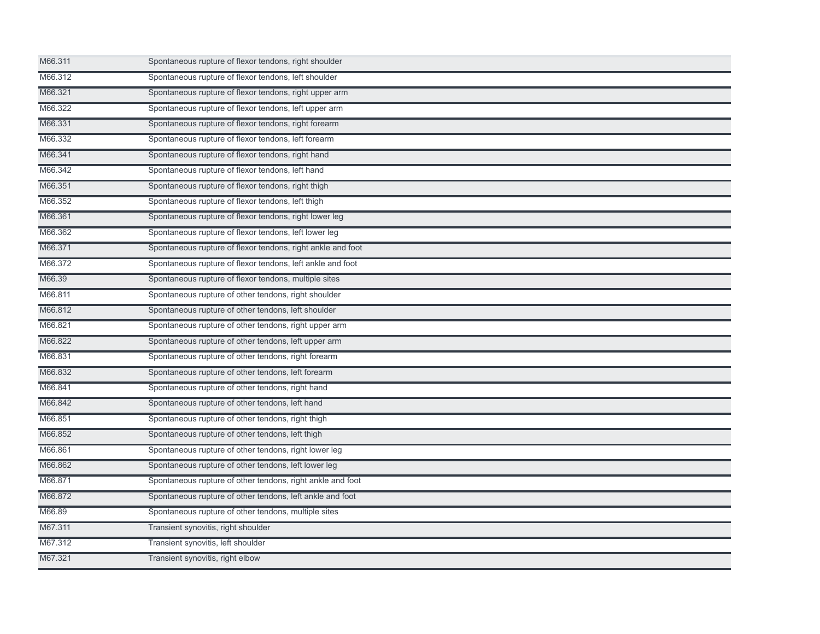| M66.311 | Spontaneous rupture of flexor tendons, right shoulder       |  |
|---------|-------------------------------------------------------------|--|
| M66.312 | Spontaneous rupture of flexor tendons, left shoulder        |  |
| M66.321 | Spontaneous rupture of flexor tendons, right upper arm      |  |
| M66.322 | Spontaneous rupture of flexor tendons, left upper arm       |  |
| M66.331 | Spontaneous rupture of flexor tendons, right forearm        |  |
| M66.332 | Spontaneous rupture of flexor tendons, left forearm         |  |
| M66.341 | Spontaneous rupture of flexor tendons, right hand           |  |
| M66.342 | Spontaneous rupture of flexor tendons, left hand            |  |
| M66.351 | Spontaneous rupture of flexor tendons, right thigh          |  |
| M66.352 | Spontaneous rupture of flexor tendons, left thigh           |  |
| M66.361 | Spontaneous rupture of flexor tendons, right lower leg      |  |
| M66.362 | Spontaneous rupture of flexor tendons, left lower leg       |  |
| M66.371 | Spontaneous rupture of flexor tendons, right ankle and foot |  |
| M66.372 | Spontaneous rupture of flexor tendons, left ankle and foot  |  |
| M66.39  | Spontaneous rupture of flexor tendons, multiple sites       |  |
| M66.811 | Spontaneous rupture of other tendons, right shoulder        |  |
| M66.812 | Spontaneous rupture of other tendons, left shoulder         |  |
| M66.821 | Spontaneous rupture of other tendons, right upper arm       |  |
| M66.822 | Spontaneous rupture of other tendons, left upper arm        |  |
| M66.831 | Spontaneous rupture of other tendons, right forearm         |  |
| M66.832 | Spontaneous rupture of other tendons, left forearm          |  |
| M66.841 | Spontaneous rupture of other tendons, right hand            |  |
| M66.842 | Spontaneous rupture of other tendons, left hand             |  |
| M66.851 | Spontaneous rupture of other tendons, right thigh           |  |
| M66.852 | Spontaneous rupture of other tendons, left thigh            |  |
| M66.861 | Spontaneous rupture of other tendons, right lower leg       |  |
| M66.862 | Spontaneous rupture of other tendons, left lower leg        |  |
| M66.871 | Spontaneous rupture of other tendons, right ankle and foot  |  |
| M66.872 | Spontaneous rupture of other tendons, left ankle and foot   |  |
| M66.89  | Spontaneous rupture of other tendons, multiple sites        |  |
| M67.311 | Transient synovitis, right shoulder                         |  |
| M67.312 | Transient synovitis, left shoulder                          |  |
| M67.321 | Transient synovitis, right elbow                            |  |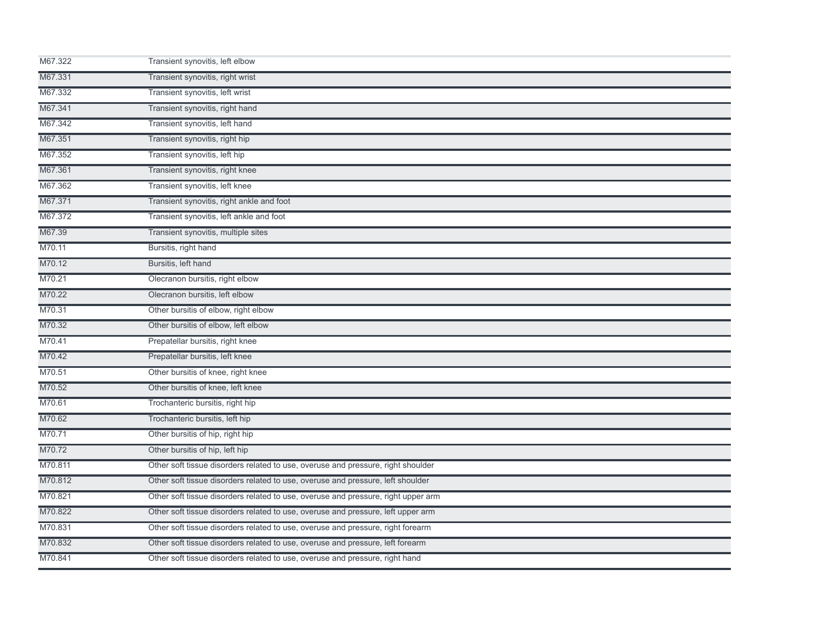| M67.322 | Transient synovitis, left elbow                                                   |
|---------|-----------------------------------------------------------------------------------|
| M67.331 | Transient synovitis, right wrist                                                  |
| M67.332 | Transient synovitis, left wrist                                                   |
| M67.341 | Transient synovitis, right hand                                                   |
| M67.342 | Transient synovitis, left hand                                                    |
| M67.351 | Transient synovitis, right hip                                                    |
| M67.352 | Transient synovitis, left hip                                                     |
| M67.361 | Transient synovitis, right knee                                                   |
| M67.362 | Transient synovitis, left knee                                                    |
| M67.371 | Transient synovitis, right ankle and foot                                         |
| M67.372 | Transient synovitis, left ankle and foot                                          |
| M67.39  | Transient synovitis, multiple sites                                               |
| M70.11  | Bursitis, right hand                                                              |
| M70.12  | Bursitis, left hand                                                               |
| M70.21  | Olecranon bursitis, right elbow                                                   |
| M70.22  | Olecranon bursitis, left elbow                                                    |
| M70.31  | Other bursitis of elbow, right elbow                                              |
| M70.32  | Other bursitis of elbow, left elbow                                               |
| M70.41  | Prepatellar bursitis, right knee                                                  |
| M70.42  | Prepatellar bursitis, left knee                                                   |
| M70.51  | Other bursitis of knee, right knee                                                |
| M70.52  | Other bursitis of knee, left knee                                                 |
| M70.61  | Trochanteric bursitis, right hip                                                  |
| M70.62  | Trochanteric bursitis, left hip                                                   |
| M70.71  | Other bursitis of hip, right hip                                                  |
| M70.72  | Other bursitis of hip, left hip                                                   |
| M70.811 | Other soft tissue disorders related to use, overuse and pressure, right shoulder  |
| M70.812 | Other soft tissue disorders related to use, overuse and pressure, left shoulder   |
| M70.821 | Other soft tissue disorders related to use, overuse and pressure, right upper arm |
| M70.822 | Other soft tissue disorders related to use, overuse and pressure, left upper arm  |
| M70.831 | Other soft tissue disorders related to use, overuse and pressure, right forearm   |
| M70.832 | Other soft tissue disorders related to use, overuse and pressure, left forearm    |
| M70.841 | Other soft tissue disorders related to use, overuse and pressure, right hand      |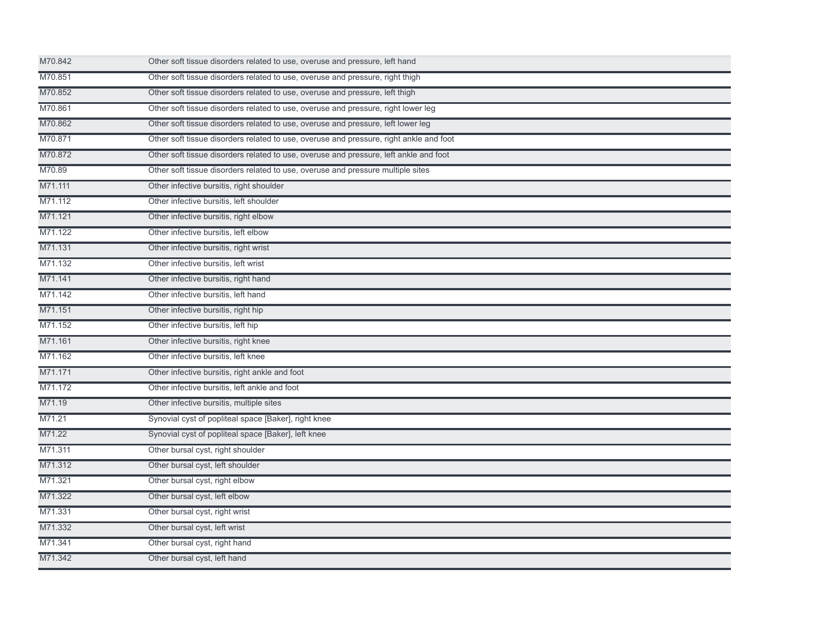| M70.842 | Other soft tissue disorders related to use, overuse and pressure, left hand            |
|---------|----------------------------------------------------------------------------------------|
| M70.851 | Other soft tissue disorders related to use, overuse and pressure, right thigh          |
| M70.852 | Other soft tissue disorders related to use, overuse and pressure, left thigh           |
| M70.861 | Other soft tissue disorders related to use, overuse and pressure, right lower leg      |
| M70.862 | Other soft tissue disorders related to use, overuse and pressure, left lower leg       |
| M70.871 | Other soft tissue disorders related to use, overuse and pressure, right ankle and foot |
| M70.872 | Other soft tissue disorders related to use, overuse and pressure, left ankle and foot  |
| M70.89  | Other soft tissue disorders related to use, overuse and pressure multiple sites        |
| M71.111 | Other infective bursitis, right shoulder                                               |
| M71.112 | Other infective bursitis, left shoulder                                                |
| M71.121 | Other infective bursitis, right elbow                                                  |
| M71.122 | Other infective bursitis, left elbow                                                   |
| M71.131 | Other infective bursitis, right wrist                                                  |
| M71.132 | Other infective bursitis, left wrist                                                   |
| M71.141 | Other infective bursitis, right hand                                                   |
| M71.142 | Other infective bursitis, left hand                                                    |
| M71.151 | Other infective bursitis, right hip                                                    |
| M71.152 | Other infective bursitis, left hip                                                     |
| M71.161 | Other infective bursitis, right knee                                                   |
| M71.162 | Other infective bursitis, left knee                                                    |
| M71.171 | Other infective bursitis, right ankle and foot                                         |
| M71.172 | Other infective bursitis, left ankle and foot                                          |
| M71.19  | Other infective bursitis, multiple sites                                               |
| M71.21  | Synovial cyst of popliteal space [Baker], right knee                                   |
| M71.22  | Synovial cyst of popliteal space [Baker], left knee                                    |
| M71.311 | Other bursal cyst, right shoulder                                                      |
| M71.312 | Other bursal cyst, left shoulder                                                       |
| M71.321 | Other bursal cyst, right elbow                                                         |
| M71.322 | Other bursal cyst, left elbow                                                          |
| M71.331 | Other bursal cyst, right wrist                                                         |
| M71.332 | Other bursal cyst, left wrist                                                          |
| M71.341 | Other bursal cyst, right hand                                                          |
| M71.342 | Other bursal cyst, left hand                                                           |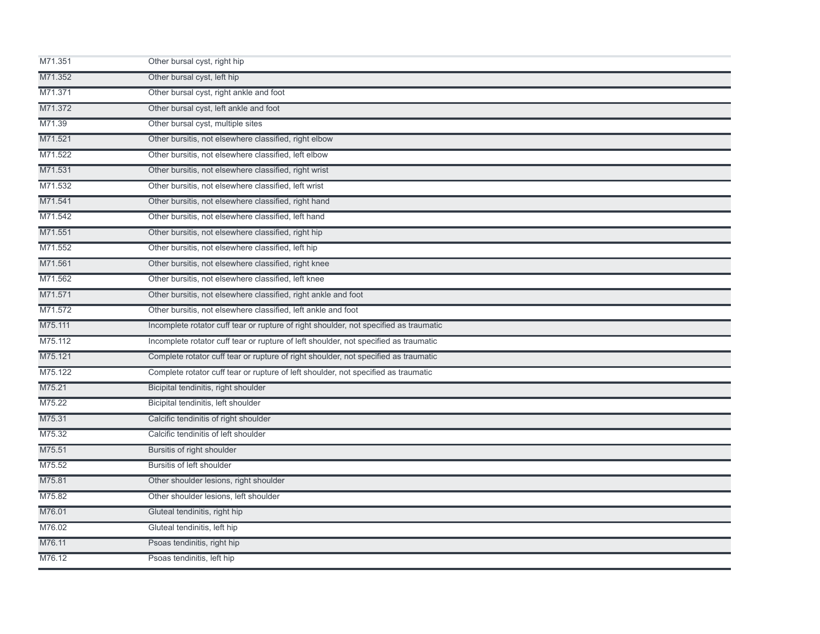| M71.351 | Other bursal cyst, right hip                                                          |
|---------|---------------------------------------------------------------------------------------|
| M71.352 | Other bursal cyst, left hip                                                           |
| M71.371 | Other bursal cyst, right ankle and foot                                               |
| M71.372 | Other bursal cyst, left ankle and foot                                                |
| M71.39  | Other bursal cyst, multiple sites                                                     |
| M71.521 | Other bursitis, not elsewhere classified, right elbow                                 |
| M71.522 | Other bursitis, not elsewhere classified, left elbow                                  |
| M71.531 | Other bursitis, not elsewhere classified, right wrist                                 |
| M71.532 | Other bursitis, not elsewhere classified, left wrist                                  |
| M71.541 | Other bursitis, not elsewhere classified, right hand                                  |
| M71.542 | Other bursitis, not elsewhere classified, left hand                                   |
| M71.551 | Other bursitis, not elsewhere classified, right hip                                   |
| M71.552 | Other bursitis, not elsewhere classified, left hip                                    |
| M71.561 | Other bursitis, not elsewhere classified, right knee                                  |
| M71.562 | Other bursitis, not elsewhere classified, left knee                                   |
| M71.571 | Other bursitis, not elsewhere classified, right ankle and foot                        |
| M71.572 | Other bursitis, not elsewhere classified, left ankle and foot                         |
| M75.111 | Incomplete rotator cuff tear or rupture of right shoulder, not specified as traumatic |
| M75.112 | Incomplete rotator cuff tear or rupture of left shoulder, not specified as traumatic  |
| M75.121 | Complete rotator cuff tear or rupture of right shoulder, not specified as traumatic   |
| M75.122 | Complete rotator cuff tear or rupture of left shoulder, not specified as traumatic    |
| M75.21  | Bicipital tendinitis, right shoulder                                                  |
| M75.22  | Bicipital tendinitis, left shoulder                                                   |
| M75.31  | Calcific tendinitis of right shoulder                                                 |
| M75.32  | Calcific tendinitis of left shoulder                                                  |
| M75.51  | Bursitis of right shoulder                                                            |
| M75.52  | Bursitis of left shoulder                                                             |
| M75.81  | Other shoulder lesions, right shoulder                                                |
| M75.82  | Other shoulder lesions, left shoulder                                                 |
| M76.01  | Gluteal tendinitis, right hip                                                         |
| M76.02  | Gluteal tendinitis, left hip                                                          |
| M76.11  | Psoas tendinitis, right hip                                                           |
| M76.12  | Psoas tendinitis, left hip                                                            |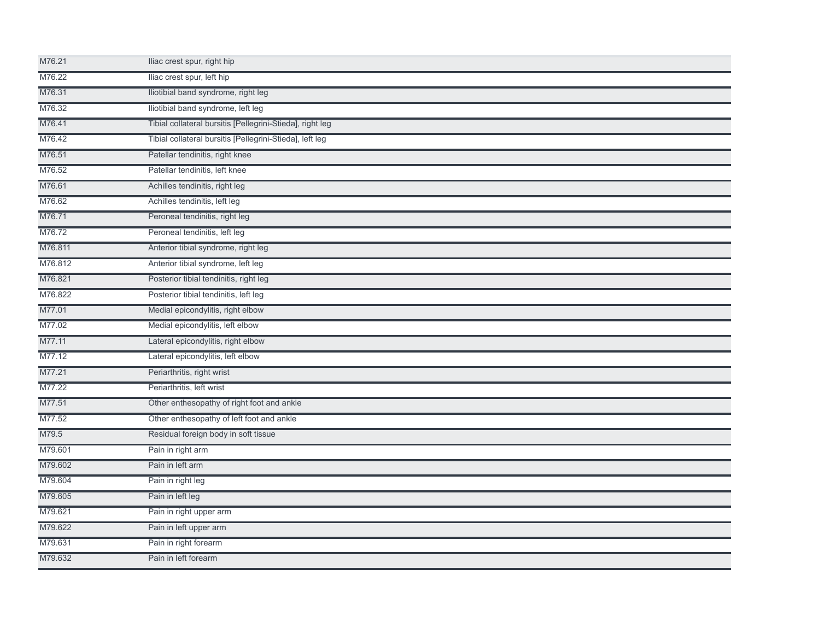| M76.21  | Iliac crest spur, right hip                               |  |
|---------|-----------------------------------------------------------|--|
| M76.22  | Iliac crest spur, left hip                                |  |
| M76.31  | Iliotibial band syndrome, right leg                       |  |
| M76.32  | Iliotibial band syndrome, left leg                        |  |
| M76.41  | Tibial collateral bursitis [Pellegrini-Stieda], right leg |  |
| M76.42  | Tibial collateral bursitis [Pellegrini-Stieda], left leg  |  |
| M76.51  | Patellar tendinitis, right knee                           |  |
| M76.52  | Patellar tendinitis, left knee                            |  |
| M76.61  | Achilles tendinitis, right leg                            |  |
| M76.62  | Achilles tendinitis, left leg                             |  |
| M76.71  | Peroneal tendinitis, right leg                            |  |
| M76.72  | Peroneal tendinitis, left leg                             |  |
| M76.811 | Anterior tibial syndrome, right leg                       |  |
| M76.812 | Anterior tibial syndrome, left leg                        |  |
| M76.821 | Posterior tibial tendinitis, right leg                    |  |
| M76.822 | Posterior tibial tendinitis, left leg                     |  |
| M77.01  | Medial epicondylitis, right elbow                         |  |
| M77.02  | Medial epicondylitis, left elbow                          |  |
| M77.11  | Lateral epicondylitis, right elbow                        |  |
| M77.12  | Lateral epicondylitis, left elbow                         |  |
| M77.21  | Periarthritis, right wrist                                |  |
| M77.22  | Periarthritis, left wrist                                 |  |
| M77.51  | Other enthesopathy of right foot and ankle                |  |
| M77.52  | Other enthesopathy of left foot and ankle                 |  |
| M79.5   | Residual foreign body in soft tissue                      |  |
| M79.601 | Pain in right arm                                         |  |
| M79.602 | Pain in left arm                                          |  |
| M79.604 | Pain in right leg                                         |  |
| M79.605 | Pain in left leg                                          |  |
| M79.621 | Pain in right upper arm                                   |  |
| M79.622 | Pain in left upper arm                                    |  |
| M79.631 | Pain in right forearm                                     |  |
| M79.632 | Pain in left forearm                                      |  |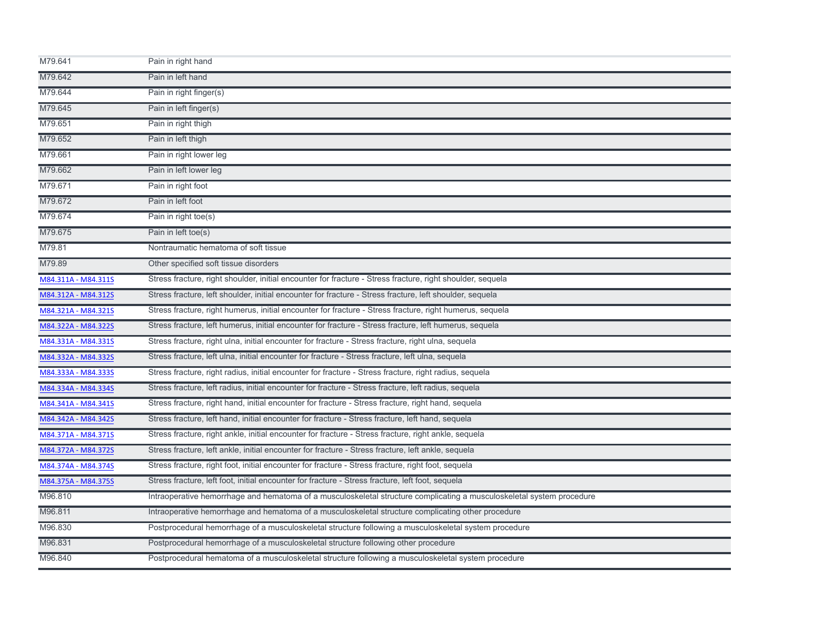| M79.641             | Pain in right hand                                                                                                    |
|---------------------|-----------------------------------------------------------------------------------------------------------------------|
| M79.642             | Pain in left hand                                                                                                     |
| M79.644             | Pain in right finger(s)                                                                                               |
| M79.645             | Pain in left finger(s)                                                                                                |
| M79.651             | Pain in right thigh                                                                                                   |
| M79.652             | Pain in left thigh                                                                                                    |
| M79.661             | Pain in right lower leg                                                                                               |
| M79.662             | Pain in left lower leg                                                                                                |
| M79.671             | Pain in right foot                                                                                                    |
| M79.672             | Pain in left foot                                                                                                     |
| M79.674             | Pain in right toe(s)                                                                                                  |
| M79.675             | Pain in left toe(s)                                                                                                   |
| M79.81              | Nontraumatic hematoma of soft tissue                                                                                  |
| M79.89              | Other specified soft tissue disorders                                                                                 |
| M84.311A - M84.311S | Stress fracture, right shoulder, initial encounter for fracture - Stress fracture, right shoulder, sequela            |
| M84.312A - M84.312S | Stress fracture, left shoulder, initial encounter for fracture - Stress fracture, left shoulder, sequela              |
| M84.321A - M84.321S | Stress fracture, right humerus, initial encounter for fracture - Stress fracture, right humerus, sequela              |
| M84.322A - M84.322S | Stress fracture, left humerus, initial encounter for fracture - Stress fracture, left humerus, sequela                |
| M84.331A - M84.331S | Stress fracture, right ulna, initial encounter for fracture - Stress fracture, right ulna, sequela                    |
| M84.332A - M84.332S | Stress fracture, left ulna, initial encounter for fracture - Stress fracture, left ulna, sequela                      |
| M84.333A - M84.333S | Stress fracture, right radius, initial encounter for fracture - Stress fracture, right radius, sequela                |
| M84.334A - M84.334S | Stress fracture, left radius, initial encounter for fracture - Stress fracture, left radius, sequela                  |
| M84.341A - M84.341S | Stress fracture, right hand, initial encounter for fracture - Stress fracture, right hand, sequela                    |
| M84.342A - M84.342S | Stress fracture, left hand, initial encounter for fracture - Stress fracture, left hand, sequela                      |
| M84.371A - M84.371S | Stress fracture, right ankle, initial encounter for fracture - Stress fracture, right ankle, sequela                  |
| M84.372A - M84.372S | Stress fracture, left ankle, initial encounter for fracture - Stress fracture, left ankle, sequela                    |
| M84.374A - M84.374S | Stress fracture, right foot, initial encounter for fracture - Stress fracture, right foot, sequela                    |
| M84.375A - M84.375S | Stress fracture, left foot, initial encounter for fracture - Stress fracture, left foot, sequela                      |
| M96.810             | Intraoperative hemorrhage and hematoma of a musculoskeletal structure complicating a musculoskeletal system procedure |
| M96.811             | Intraoperative hemorrhage and hematoma of a musculoskeletal structure complicating other procedure                    |
| M96.830             | Postprocedural hemorrhage of a musculoskeletal structure following a musculoskeletal system procedure                 |
| M96.831             | Postprocedural hemorrhage of a musculoskeletal structure following other procedure                                    |
| M96.840             | Postprocedural hematoma of a musculoskeletal structure following a musculoskeletal system procedure                   |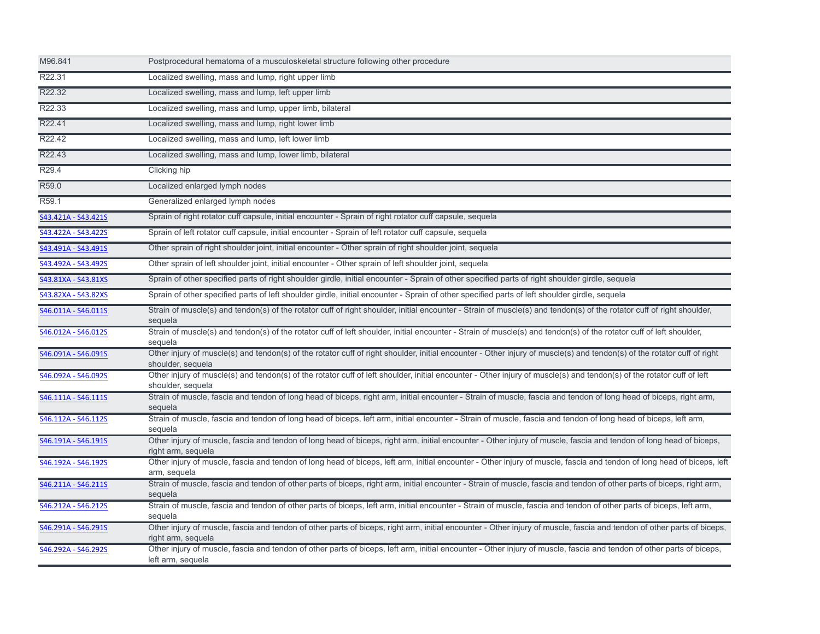| M96.841             | Postprocedural hematoma of a musculoskeletal structure following other procedure                                                                                                             |
|---------------------|----------------------------------------------------------------------------------------------------------------------------------------------------------------------------------------------|
| R22.31              | Localized swelling, mass and lump, right upper limb                                                                                                                                          |
| R22.32              | Localized swelling, mass and lump, left upper limb                                                                                                                                           |
| R22.33              | Localized swelling, mass and lump, upper limb, bilateral                                                                                                                                     |
| R22.41              | Localized swelling, mass and lump, right lower limb                                                                                                                                          |
| R22.42              | Localized swelling, mass and lump, left lower limb                                                                                                                                           |
| R22.43              | Localized swelling, mass and lump, lower limb, bilateral                                                                                                                                     |
| R29.4               | Clicking hip                                                                                                                                                                                 |
| R <sub>59.0</sub>   | Localized enlarged lymph nodes                                                                                                                                                               |
| R <sub>59.1</sub>   | Generalized enlarged lymph nodes                                                                                                                                                             |
| S43.421A - S43.421S | Sprain of right rotator cuff capsule, initial encounter - Sprain of right rotator cuff capsule, sequela                                                                                      |
| S43.422A - S43.422S | Sprain of left rotator cuff capsule, initial encounter - Sprain of left rotator cuff capsule, sequela                                                                                        |
| S43.491A - S43.491S | Other sprain of right shoulder joint, initial encounter - Other sprain of right shoulder joint, sequela                                                                                      |
| S43.492A - S43.492S | Other sprain of left shoulder joint, initial encounter - Other sprain of left shoulder joint, sequela                                                                                        |
| S43.81XA - S43.81XS | Sprain of other specified parts of right shoulder girdle, initial encounter - Sprain of other specified parts of right shoulder girdle, sequela                                              |
| S43.82XA - S43.82XS | Sprain of other specified parts of left shoulder girdle, initial encounter - Sprain of other specified parts of left shoulder girdle, sequela                                                |
| S46.011A - S46.011S | Strain of muscle(s) and tendon(s) of the rotator cuff of right shoulder, initial encounter - Strain of muscle(s) and tendon(s) of the rotator cuff of right shoulder,<br>sequela             |
| S46.012A - S46.012S | Strain of muscle(s) and tendon(s) of the rotator cuff of left shoulder, initial encounter - Strain of muscle(s) and tendon(s) of the rotator cuff of left shoulder,<br>sequela               |
| S46.091A - S46.091S | Other injury of muscle(s) and tendon(s) of the rotator cuff of right shoulder, initial encounter - Other injury of muscle(s) and tendon(s) of the rotator cuff of right<br>shoulder, sequela |
| S46.092A - S46.092S | Other injury of muscle(s) and tendon(s) of the rotator cuff of left shoulder, initial encounter - Other injury of muscle(s) and tendon(s) of the rotator cuff of left<br>shoulder, sequela   |
| S46.111A - S46.111S | Strain of muscle, fascia and tendon of long head of biceps, right arm, initial encounter - Strain of muscle, fascia and tendon of long head of biceps, right arm,<br>sequela                 |
| S46.112A - S46.112S | Strain of muscle, fascia and tendon of long head of biceps, left arm, initial encounter - Strain of muscle, fascia and tendon of long head of biceps, left arm,<br>sequela                   |
| S46.191A - S46.191S | Other injury of muscle, fascia and tendon of long head of biceps, right arm, initial encounter - Other injury of muscle, fascia and tendon of long head of biceps,<br>right arm, sequela     |
| S46.192A - S46.192S | Other injury of muscle, fascia and tendon of long head of biceps, left arm, initial encounter - Other injury of muscle, fascia and tendon of long head of biceps, left<br>arm, sequela       |
| S46.211A - S46.211S | Strain of muscle, fascia and tendon of other parts of biceps, right arm, initial encounter - Strain of muscle, fascia and tendon of other parts of biceps, right arm,<br>sequela             |
| S46.212A - S46.212S | Strain of muscle, fascia and tendon of other parts of biceps, left arm, initial encounter - Strain of muscle, fascia and tendon of other parts of biceps, left arm,<br>sequela               |
| S46.291A - S46.291S | Other injury of muscle, fascia and tendon of other parts of biceps, right arm, initial encounter - Other injury of muscle, fascia and tendon of other parts of biceps,<br>right arm, sequela |
| S46.292A - S46.292S | Other injury of muscle, fascia and tendon of other parts of biceps, left arm, initial encounter - Other injury of muscle, fascia and tendon of other parts of biceps,<br>left arm, sequela   |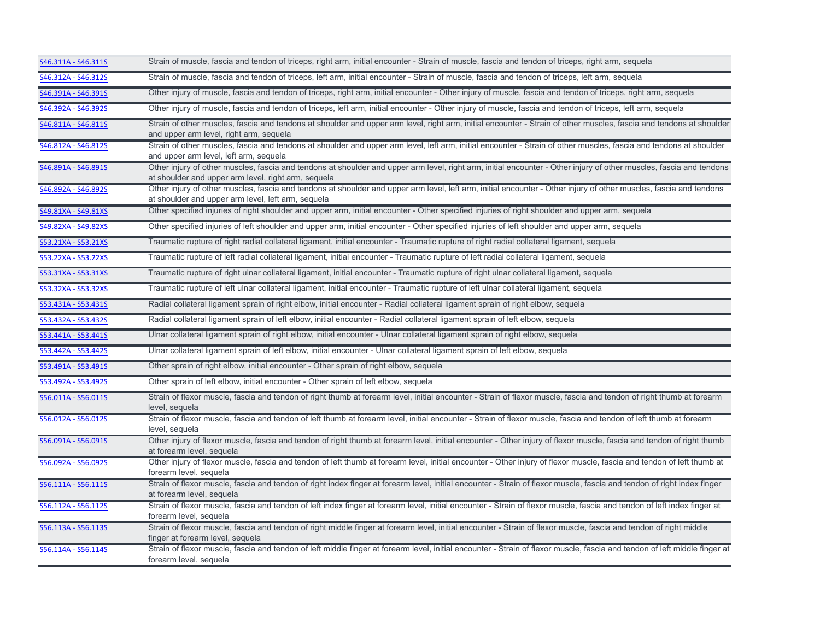| S46.311A - S46.311S | Strain of muscle, fascia and tendon of triceps, right arm, initial encounter - Strain of muscle, fascia and tendon of triceps, right arm, sequela                                                                          |
|---------------------|----------------------------------------------------------------------------------------------------------------------------------------------------------------------------------------------------------------------------|
| S46.312A - S46.312S | Strain of muscle, fascia and tendon of triceps, left arm, initial encounter - Strain of muscle, fascia and tendon of triceps, left arm, sequela                                                                            |
| S46.391A - S46.391S | Other injury of muscle, fascia and tendon of triceps, right arm, initial encounter - Other injury of muscle, fascia and tendon of triceps, right arm, sequela                                                              |
| S46.392A - S46.392S | Other injury of muscle, fascia and tendon of triceps, left arm, initial encounter - Other injury of muscle, fascia and tendon of triceps, left arm, sequela                                                                |
| S46.811A - S46.811S | Strain of other muscles, fascia and tendons at shoulder and upper arm level, right arm, initial encounter - Strain of other muscles, fascia and tendons at shoulder<br>and upper arm level, right arm, sequela             |
| S46.812A - S46.812S | Strain of other muscles, fascia and tendons at shoulder and upper arm level, left arm, initial encounter - Strain of other muscles, fascia and tendons at shoulder<br>and upper arm level, left arm, sequela               |
| S46.891A - S46.891S | Other injury of other muscles, fascia and tendons at shoulder and upper arm level, right arm, initial encounter - Other injury of other muscles, fascia and tendons<br>at shoulder and upper arm level, right arm, sequela |
| S46.892A - S46.892S | Other injury of other muscles, fascia and tendons at shoulder and upper arm level, left arm, initial encounter - Other injury of other muscles, fascia and tendons<br>at shoulder and upper arm level, left arm, sequela   |
| S49.81XA - S49.81XS | Other specified injuries of right shoulder and upper arm, initial encounter - Other specified injuries of right shoulder and upper arm, sequela                                                                            |
| S49.82XA - S49.82XS | Other specified injuries of left shoulder and upper arm, initial encounter - Other specified injuries of left shoulder and upper arm, sequela                                                                              |
| S53.21XA - S53.21XS | Traumatic rupture of right radial collateral ligament, initial encounter - Traumatic rupture of right radial collateral ligament, sequela                                                                                  |
| S53.22XA - S53.22XS | Traumatic rupture of left radial collateral ligament, initial encounter - Traumatic rupture of left radial collateral ligament, sequela                                                                                    |
| S53.31XA - S53.31XS | Traumatic rupture of right ulnar collateral ligament, initial encounter - Traumatic rupture of right ulnar collateral ligament, sequela                                                                                    |
| S53.32XA - S53.32XS | Traumatic rupture of left ulnar collateral ligament, initial encounter - Traumatic rupture of left ulnar collateral ligament, sequela                                                                                      |
| S53.431A - S53.431S | Radial collateral ligament sprain of right elbow, initial encounter - Radial collateral ligament sprain of right elbow, sequela                                                                                            |
| S53.432A - S53.432S | Radial collateral ligament sprain of left elbow, initial encounter - Radial collateral ligament sprain of left elbow, sequela                                                                                              |
| S53.441A - S53.441S | Ulnar collateral ligament sprain of right elbow, initial encounter - Ulnar collateral ligament sprain of right elbow, sequela                                                                                              |
| S53.442A - S53.442S | Ulnar collateral ligament sprain of left elbow, initial encounter - Ulnar collateral ligament sprain of left elbow, sequela                                                                                                |
| S53.491A - S53.491S | Other sprain of right elbow, initial encounter - Other sprain of right elbow, sequela                                                                                                                                      |
| S53.492A - S53.492S | Other sprain of left elbow, initial encounter - Other sprain of left elbow, sequela                                                                                                                                        |
| S56.011A - S56.011S | Strain of flexor muscle, fascia and tendon of right thumb at forearm level, initial encounter - Strain of flexor muscle, fascia and tendon of right thumb at forearm<br>level, sequela                                     |
| S56.012A - S56.012S | Strain of flexor muscle, fascia and tendon of left thumb at forearm level, initial encounter - Strain of flexor muscle, fascia and tendon of left thumb at forearm<br>level, sequela                                       |
| S56.091A - S56.091S | Other injury of flexor muscle, fascia and tendon of right thumb at forearm level, initial encounter - Other injury of flexor muscle, fascia and tendon of right thumb<br>at forearm level, sequela                         |
| S56.092A - S56.092S | Other injury of flexor muscle, fascia and tendon of left thumb at forearm level, initial encounter - Other injury of flexor muscle, fascia and tendon of left thumb at<br>forearm level, sequela                           |
| S56.111A - S56.111S | Strain of flexor muscle, fascia and tendon of right index finger at forearm level, initial encounter - Strain of flexor muscle, fascia and tendon of right index finger<br>at forearm level, sequela                       |
| S56.112A - S56.112S | Strain of flexor muscle, fascia and tendon of left index finger at forearm level, initial encounter - Strain of flexor muscle, fascia and tendon of left index finger at<br>forearm level, sequela                         |
| S56.113A - S56.113S | Strain of flexor muscle, fascia and tendon of right middle finger at forearm level, initial encounter - Strain of flexor muscle, fascia and tendon of right middle<br>finger at forearm level, sequela                     |
| S56.114A - S56.114S | Strain of flexor muscle, fascia and tendon of left middle finger at forearm level, initial encounter - Strain of flexor muscle, fascia and tendon of left middle finger at<br>forearm level, sequela                       |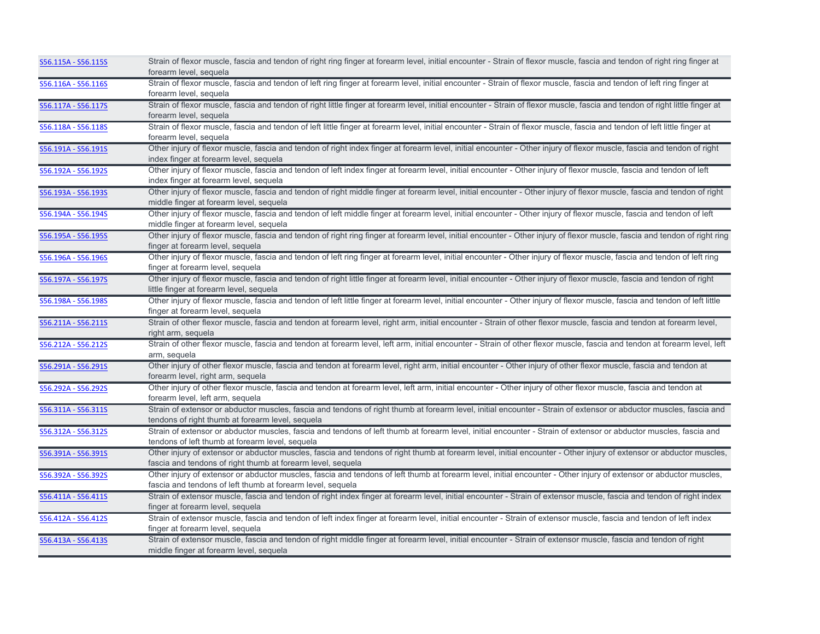| S56.115A - S56.115S | Strain of flexor muscle, fascia and tendon of right ring finger at forearm level, initial encounter - Strain of flexor muscle, fascia and tendon of right ring finger at<br>forearm level, sequela                                 |
|---------------------|------------------------------------------------------------------------------------------------------------------------------------------------------------------------------------------------------------------------------------|
| S56.116A - S56.116S | Strain of flexor muscle, fascia and tendon of left ring finger at forearm level, initial encounter - Strain of flexor muscle, fascia and tendon of left ring finger at<br>forearm level, sequela                                   |
| S56.117A - S56.117S | Strain of flexor muscle, fascia and tendon of right little finger at forearm level, initial encounter - Strain of flexor muscle, fascia and tendon of right little finger at<br>forearm level, sequela                             |
| S56.118A - S56.118S | Strain of flexor muscle, fascia and tendon of left little finger at forearm level, initial encounter - Strain of flexor muscle, fascia and tendon of left little finger at<br>forearm level, sequela                               |
| S56.191A - S56.191S | Other injury of flexor muscle, fascia and tendon of right index finger at forearm level, initial encounter - Other injury of flexor muscle, fascia and tendon of right<br>index finger at forearm level, sequela                   |
| S56.192A - S56.192S | Other injury of flexor muscle, fascia and tendon of left index finger at forearm level, initial encounter - Other injury of flexor muscle, fascia and tendon of left<br>index finger at forearm level, sequela                     |
| S56.193A - S56.193S | Other injury of flexor muscle, fascia and tendon of right middle finger at forearm level, initial encounter - Other injury of flexor muscle, fascia and tendon of right<br>middle finger at forearm level, sequela                 |
| S56.194A - S56.194S | Other injury of flexor muscle, fascia and tendon of left middle finger at forearm level, initial encounter - Other injury of flexor muscle, fascia and tendon of left<br>middle finger at forearm level, sequela                   |
| S56.195A - S56.195S | Other injury of flexor muscle, fascia and tendon of right ring finger at forearm level, initial encounter - Other injury of flexor muscle, fascia and tendon of right ring<br>finger at forearm level, sequela                     |
| S56.196A - S56.196S | Other injury of flexor muscle, fascia and tendon of left ring finger at forearm level, initial encounter - Other injury of flexor muscle, fascia and tendon of left ring<br>finger at forearm level, sequela                       |
| S56.197A - S56.197S | Other injury of flexor muscle, fascia and tendon of right little finger at forearm level, initial encounter - Other injury of flexor muscle, fascia and tendon of right<br>little finger at forearm level, sequela                 |
| S56.198A - S56.198S | Other injury of flexor muscle, fascia and tendon of left little finger at forearm level, initial encounter - Other injury of flexor muscle, fascia and tendon of left little<br>finger at forearm level, sequela                   |
| S56.211A - S56.211S | Strain of other flexor muscle, fascia and tendon at forearm level, right arm, initial encounter - Strain of other flexor muscle, fascia and tendon at forearm level,<br>right arm, sequela                                         |
| S56.212A - S56.212S | Strain of other flexor muscle, fascia and tendon at forearm level, left arm, initial encounter - Strain of other flexor muscle, fascia and tendon at forearm level, left<br>arm, sequela                                           |
| S56.291A - S56.291S | Other injury of other flexor muscle, fascia and tendon at forearm level, right arm, initial encounter - Other injury of other flexor muscle, fascia and tendon at<br>forearm level, right arm, sequela                             |
| S56.292A - S56.292S | Other injury of other flexor muscle, fascia and tendon at forearm level, left arm, initial encounter - Other injury of other flexor muscle, fascia and tendon at<br>forearm level, left arm, sequela                               |
| S56.311A - S56.311S | Strain of extensor or abductor muscles, fascia and tendons of right thumb at forearm level, initial encounter - Strain of extensor or abductor muscles, fascia and<br>tendons of right thumb at forearm level, sequela             |
| S56.312A - S56.312S | Strain of extensor or abductor muscles, fascia and tendons of left thumb at forearm level, initial encounter - Strain of extensor or abductor muscles, fascia and<br>tendons of left thumb at forearm level, sequela               |
| S56.391A - S56.391S | Other injury of extensor or abductor muscles, fascia and tendons of right thumb at forearm level, initial encounter - Other injury of extensor or abductor muscles,<br>fascia and tendons of right thumb at forearm level, sequela |
| S56.392A - S56.392S | Other injury of extensor or abductor muscles, fascia and tendons of left thumb at forearm level, initial encounter - Other injury of extensor or abductor muscles,<br>fascia and tendons of left thumb at forearm level, sequela   |
| S56.411A - S56.411S | Strain of extensor muscle, fascia and tendon of right index finger at forearm level, initial encounter - Strain of extensor muscle, fascia and tendon of right index<br>finger at forearm level, sequela                           |
| S56.412A - S56.412S | Strain of extensor muscle, fascia and tendon of left index finger at forearm level, initial encounter - Strain of extensor muscle, fascia and tendon of left index<br>finger at forearm level, sequela                             |
| S56.413A - S56.413S | Strain of extensor muscle, fascia and tendon of right middle finger at forearm level, initial encounter - Strain of extensor muscle, fascia and tendon of right<br>middle finger at forearm level, sequela                         |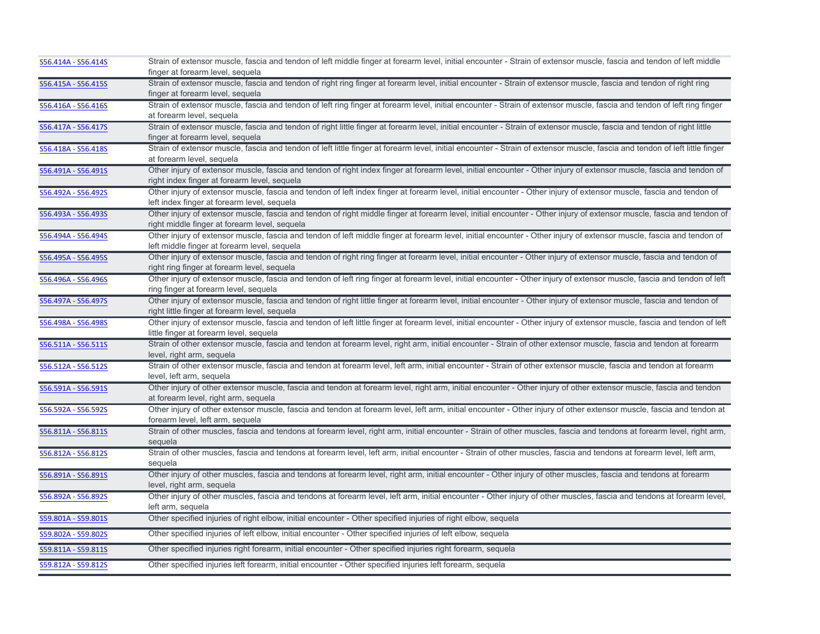| finger at forearm level, sequela<br>Strain of extensor muscle, fascia and tendon of right ring finger at forearm level, initial encounter - Strain of extensor muscle, fascia and tendon of right ring<br>S56.415A - S56.415S<br>finger at forearm level, sequela<br>Strain of extensor muscle, fascia and tendon of left ring finger at forearm level, initial encounter - Strain of extensor muscle, fascia and tendon of left ring finger<br>S56.416A - S56.416S<br>at forearm level, sequela<br>Strain of extensor muscle, fascia and tendon of right little finger at forearm level, initial encounter - Strain of extensor muscle, fascia and tendon of right little<br>S56.417A - S56.417S<br>finger at forearm level, sequela<br>Strain of extensor muscle, fascia and tendon of left little finger at forearm level, initial encounter - Strain of extensor muscle, fascia and tendon of left little finger<br>S56.418A - S56.418S<br>at forearm level, sequela<br>S56.491A - S56.491S<br>Other injury of extensor muscle, fascia and tendon of right index finger at forearm level, initial encounter - Other injury of extensor muscle, fascia and tendon of<br>right index finger at forearm level, sequela<br>Other injury of extensor muscle, fascia and tendon of left index finger at forearm level, initial encounter - Other injury of extensor muscle, fascia and tendon of<br>S56.492A - S56.492S<br>left index finger at forearm level, sequela<br>S56.493A - S56.493S<br>Other injury of extensor muscle, fascia and tendon of right middle finger at forearm level, initial encounter - Other injury of extensor muscle, fascia and tendon of<br>right middle finger at forearm level, sequela<br>Other injury of extensor muscle, fascia and tendon of left middle finger at forearm level, initial encounter - Other injury of extensor muscle, fascia and tendon of<br>S56.494A - S56.494S<br>left middle finger at forearm level, sequela<br>Other injury of extensor muscle, fascia and tendon of right ring finger at forearm level, initial encounter - Other injury of extensor muscle, fascia and tendon of<br>S56.495A - S56.495S<br>right ring finger at forearm level, sequela<br>Other injury of extensor muscle, fascia and tendon of left ring finger at forearm level, initial encounter - Other injury of extensor muscle, fascia and tendon of left<br>S56.496A - S56.496S<br>ring finger at forearm level, sequela<br>Other injury of extensor muscle, fascia and tendon of right little finger at forearm level, initial encounter - Other injury of extensor muscle, fascia and tendon of<br>S56.497A - S56.497S<br>right little finger at forearm level, sequela<br>Other injury of extensor muscle, fascia and tendon of left little finger at forearm level, initial encounter - Other injury of extensor muscle, fascia and tendon of left<br>S56.498A - S56.498S<br>little finger at forearm level, sequela<br>Strain of other extensor muscle, fascia and tendon at forearm level, right arm, initial encounter - Strain of other extensor muscle, fascia and tendon at forearm<br>S56.511A - S56.511S<br>level, right arm, sequela<br>S56.512A - S56.512S<br>Strain of other extensor muscle, fascia and tendon at forearm level, left arm, initial encounter - Strain of other extensor muscle, fascia and tendon at forearm<br>level, left arm, sequela<br>Other injury of other extensor muscle, fascia and tendon at forearm level, right arm, initial encounter - Other injury of other extensor muscle, fascia and tendon<br>S56.591A - S56.591S<br>at forearm level, right arm, sequela<br>Other injury of other extensor muscle, fascia and tendon at forearm level, left arm, initial encounter - Other injury of other extensor muscle, fascia and tendon at<br>S56.592A - S56.592S<br>forearm level, left arm, sequela<br>Strain of other muscles, fascia and tendons at forearm level, right arm, initial encounter - Strain of other muscles, fascia and tendons at forearm level, right arm,<br>S56.811A - S56.811S<br>sequela<br>Strain of other muscles, fascia and tendons at forearm level, left arm, initial encounter - Strain of other muscles, fascia and tendons at forearm level, left arm,<br>S56.812A - S56.812S<br>sequela<br>Other injury of other muscles, fascia and tendons at forearm level, right arm, initial encounter - Other injury of other muscles, fascia and tendons at forearm<br>S56.891A - S56.891S<br>level, right arm, sequela<br>Other injury of other muscles, fascia and tendons at forearm level, left arm, initial encounter - Other injury of other muscles, fascia and tendons at forearm level,<br>S56.892A - S56.892S<br>left arm, sequela<br>S59.801A - S59.801S<br>Other specified injuries of right elbow, initial encounter - Other specified injuries of right elbow, sequela<br>Other specified injuries of left elbow, initial encounter - Other specified injuries of left elbow, sequela<br>S59.802A - S59.802S<br>Other specified injuries right forearm, initial encounter - Other specified injuries right forearm, sequela<br>S59.811A - S59.811S<br>Other specified injuries left forearm, initial encounter - Other specified injuries left forearm, sequela<br>S59.812A - S59.812S | S56.414A - S56.414S | Strain of extensor muscle, fascia and tendon of left middle finger at forearm level, initial encounter - Strain of extensor muscle, fascia and tendon of left middle |
|--------------------------------------------------------------------------------------------------------------------------------------------------------------------------------------------------------------------------------------------------------------------------------------------------------------------------------------------------------------------------------------------------------------------------------------------------------------------------------------------------------------------------------------------------------------------------------------------------------------------------------------------------------------------------------------------------------------------------------------------------------------------------------------------------------------------------------------------------------------------------------------------------------------------------------------------------------------------------------------------------------------------------------------------------------------------------------------------------------------------------------------------------------------------------------------------------------------------------------------------------------------------------------------------------------------------------------------------------------------------------------------------------------------------------------------------------------------------------------------------------------------------------------------------------------------------------------------------------------------------------------------------------------------------------------------------------------------------------------------------------------------------------------------------------------------------------------------------------------------------------------------------------------------------------------------------------------------------------------------------------------------------------------------------------------------------------------------------------------------------------------------------------------------------------------------------------------------------------------------------------------------------------------------------------------------------------------------------------------------------------------------------------------------------------------------------------------------------------------------------------------------------------------------------------------------------------------------------------------------------------------------------------------------------------------------------------------------------------------------------------------------------------------------------------------------------------------------------------------------------------------------------------------------------------------------------------------------------------------------------------------------------------------------------------------------------------------------------------------------------------------------------------------------------------------------------------------------------------------------------------------------------------------------------------------------------------------------------------------------------------------------------------------------------------------------------------------------------------------------------------------------------------------------------------------------------------------------------------------------------------------------------------------------------------------------------------------------------------------------------------------------------------------------------------------------------------------------------------------------------------------------------------------------------------------------------------------------------------------------------------------------------------------------------------------------------------------------------------------------------------------------------------------------------------------------------------------------------------------------------------------------------------------------------------------------------------------------------------------------------------------------------------------------------------------------------------------------------------------------------------------------------------------------------------------------------------------------------------------------------------------------------------------------------------------------------------------------------------------------------------------------------------------------------------------------------------------------------------------------------------------------------------------------------------------------------------------------------------------------------------------------------------------------------------------------------------------------------------------------------------------------------------------------------------------------------------------------------------------------------------------------------------------------------------------------|---------------------|----------------------------------------------------------------------------------------------------------------------------------------------------------------------|
|                                                                                                                                                                                                                                                                                                                                                                                                                                                                                                                                                                                                                                                                                                                                                                                                                                                                                                                                                                                                                                                                                                                                                                                                                                                                                                                                                                                                                                                                                                                                                                                                                                                                                                                                                                                                                                                                                                                                                                                                                                                                                                                                                                                                                                                                                                                                                                                                                                                                                                                                                                                                                                                                                                                                                                                                                                                                                                                                                                                                                                                                                                                                                                                                                                                                                                                                                                                                                                                                                                                                                                                                                                                                                                                                                                                                                                                                                                                                                                                                                                                                                                                                                                                                                                                                                                                                                                                                                                                                                                                                                                                                                                                                                                                                                                                                                                                                                                                                                                                                                                                                                                                                                                                                                                                                                                              |                     |                                                                                                                                                                      |
|                                                                                                                                                                                                                                                                                                                                                                                                                                                                                                                                                                                                                                                                                                                                                                                                                                                                                                                                                                                                                                                                                                                                                                                                                                                                                                                                                                                                                                                                                                                                                                                                                                                                                                                                                                                                                                                                                                                                                                                                                                                                                                                                                                                                                                                                                                                                                                                                                                                                                                                                                                                                                                                                                                                                                                                                                                                                                                                                                                                                                                                                                                                                                                                                                                                                                                                                                                                                                                                                                                                                                                                                                                                                                                                                                                                                                                                                                                                                                                                                                                                                                                                                                                                                                                                                                                                                                                                                                                                                                                                                                                                                                                                                                                                                                                                                                                                                                                                                                                                                                                                                                                                                                                                                                                                                                                              |                     |                                                                                                                                                                      |
|                                                                                                                                                                                                                                                                                                                                                                                                                                                                                                                                                                                                                                                                                                                                                                                                                                                                                                                                                                                                                                                                                                                                                                                                                                                                                                                                                                                                                                                                                                                                                                                                                                                                                                                                                                                                                                                                                                                                                                                                                                                                                                                                                                                                                                                                                                                                                                                                                                                                                                                                                                                                                                                                                                                                                                                                                                                                                                                                                                                                                                                                                                                                                                                                                                                                                                                                                                                                                                                                                                                                                                                                                                                                                                                                                                                                                                                                                                                                                                                                                                                                                                                                                                                                                                                                                                                                                                                                                                                                                                                                                                                                                                                                                                                                                                                                                                                                                                                                                                                                                                                                                                                                                                                                                                                                                                              |                     |                                                                                                                                                                      |
|                                                                                                                                                                                                                                                                                                                                                                                                                                                                                                                                                                                                                                                                                                                                                                                                                                                                                                                                                                                                                                                                                                                                                                                                                                                                                                                                                                                                                                                                                                                                                                                                                                                                                                                                                                                                                                                                                                                                                                                                                                                                                                                                                                                                                                                                                                                                                                                                                                                                                                                                                                                                                                                                                                                                                                                                                                                                                                                                                                                                                                                                                                                                                                                                                                                                                                                                                                                                                                                                                                                                                                                                                                                                                                                                                                                                                                                                                                                                                                                                                                                                                                                                                                                                                                                                                                                                                                                                                                                                                                                                                                                                                                                                                                                                                                                                                                                                                                                                                                                                                                                                                                                                                                                                                                                                                                              |                     |                                                                                                                                                                      |
|                                                                                                                                                                                                                                                                                                                                                                                                                                                                                                                                                                                                                                                                                                                                                                                                                                                                                                                                                                                                                                                                                                                                                                                                                                                                                                                                                                                                                                                                                                                                                                                                                                                                                                                                                                                                                                                                                                                                                                                                                                                                                                                                                                                                                                                                                                                                                                                                                                                                                                                                                                                                                                                                                                                                                                                                                                                                                                                                                                                                                                                                                                                                                                                                                                                                                                                                                                                                                                                                                                                                                                                                                                                                                                                                                                                                                                                                                                                                                                                                                                                                                                                                                                                                                                                                                                                                                                                                                                                                                                                                                                                                                                                                                                                                                                                                                                                                                                                                                                                                                                                                                                                                                                                                                                                                                                              |                     |                                                                                                                                                                      |
|                                                                                                                                                                                                                                                                                                                                                                                                                                                                                                                                                                                                                                                                                                                                                                                                                                                                                                                                                                                                                                                                                                                                                                                                                                                                                                                                                                                                                                                                                                                                                                                                                                                                                                                                                                                                                                                                                                                                                                                                                                                                                                                                                                                                                                                                                                                                                                                                                                                                                                                                                                                                                                                                                                                                                                                                                                                                                                                                                                                                                                                                                                                                                                                                                                                                                                                                                                                                                                                                                                                                                                                                                                                                                                                                                                                                                                                                                                                                                                                                                                                                                                                                                                                                                                                                                                                                                                                                                                                                                                                                                                                                                                                                                                                                                                                                                                                                                                                                                                                                                                                                                                                                                                                                                                                                                                              |                     |                                                                                                                                                                      |
|                                                                                                                                                                                                                                                                                                                                                                                                                                                                                                                                                                                                                                                                                                                                                                                                                                                                                                                                                                                                                                                                                                                                                                                                                                                                                                                                                                                                                                                                                                                                                                                                                                                                                                                                                                                                                                                                                                                                                                                                                                                                                                                                                                                                                                                                                                                                                                                                                                                                                                                                                                                                                                                                                                                                                                                                                                                                                                                                                                                                                                                                                                                                                                                                                                                                                                                                                                                                                                                                                                                                                                                                                                                                                                                                                                                                                                                                                                                                                                                                                                                                                                                                                                                                                                                                                                                                                                                                                                                                                                                                                                                                                                                                                                                                                                                                                                                                                                                                                                                                                                                                                                                                                                                                                                                                                                              |                     |                                                                                                                                                                      |
|                                                                                                                                                                                                                                                                                                                                                                                                                                                                                                                                                                                                                                                                                                                                                                                                                                                                                                                                                                                                                                                                                                                                                                                                                                                                                                                                                                                                                                                                                                                                                                                                                                                                                                                                                                                                                                                                                                                                                                                                                                                                                                                                                                                                                                                                                                                                                                                                                                                                                                                                                                                                                                                                                                                                                                                                                                                                                                                                                                                                                                                                                                                                                                                                                                                                                                                                                                                                                                                                                                                                                                                                                                                                                                                                                                                                                                                                                                                                                                                                                                                                                                                                                                                                                                                                                                                                                                                                                                                                                                                                                                                                                                                                                                                                                                                                                                                                                                                                                                                                                                                                                                                                                                                                                                                                                                              |                     |                                                                                                                                                                      |
|                                                                                                                                                                                                                                                                                                                                                                                                                                                                                                                                                                                                                                                                                                                                                                                                                                                                                                                                                                                                                                                                                                                                                                                                                                                                                                                                                                                                                                                                                                                                                                                                                                                                                                                                                                                                                                                                                                                                                                                                                                                                                                                                                                                                                                                                                                                                                                                                                                                                                                                                                                                                                                                                                                                                                                                                                                                                                                                                                                                                                                                                                                                                                                                                                                                                                                                                                                                                                                                                                                                                                                                                                                                                                                                                                                                                                                                                                                                                                                                                                                                                                                                                                                                                                                                                                                                                                                                                                                                                                                                                                                                                                                                                                                                                                                                                                                                                                                                                                                                                                                                                                                                                                                                                                                                                                                              |                     |                                                                                                                                                                      |
|                                                                                                                                                                                                                                                                                                                                                                                                                                                                                                                                                                                                                                                                                                                                                                                                                                                                                                                                                                                                                                                                                                                                                                                                                                                                                                                                                                                                                                                                                                                                                                                                                                                                                                                                                                                                                                                                                                                                                                                                                                                                                                                                                                                                                                                                                                                                                                                                                                                                                                                                                                                                                                                                                                                                                                                                                                                                                                                                                                                                                                                                                                                                                                                                                                                                                                                                                                                                                                                                                                                                                                                                                                                                                                                                                                                                                                                                                                                                                                                                                                                                                                                                                                                                                                                                                                                                                                                                                                                                                                                                                                                                                                                                                                                                                                                                                                                                                                                                                                                                                                                                                                                                                                                                                                                                                                              |                     |                                                                                                                                                                      |
|                                                                                                                                                                                                                                                                                                                                                                                                                                                                                                                                                                                                                                                                                                                                                                                                                                                                                                                                                                                                                                                                                                                                                                                                                                                                                                                                                                                                                                                                                                                                                                                                                                                                                                                                                                                                                                                                                                                                                                                                                                                                                                                                                                                                                                                                                                                                                                                                                                                                                                                                                                                                                                                                                                                                                                                                                                                                                                                                                                                                                                                                                                                                                                                                                                                                                                                                                                                                                                                                                                                                                                                                                                                                                                                                                                                                                                                                                                                                                                                                                                                                                                                                                                                                                                                                                                                                                                                                                                                                                                                                                                                                                                                                                                                                                                                                                                                                                                                                                                                                                                                                                                                                                                                                                                                                                                              |                     |                                                                                                                                                                      |
|                                                                                                                                                                                                                                                                                                                                                                                                                                                                                                                                                                                                                                                                                                                                                                                                                                                                                                                                                                                                                                                                                                                                                                                                                                                                                                                                                                                                                                                                                                                                                                                                                                                                                                                                                                                                                                                                                                                                                                                                                                                                                                                                                                                                                                                                                                                                                                                                                                                                                                                                                                                                                                                                                                                                                                                                                                                                                                                                                                                                                                                                                                                                                                                                                                                                                                                                                                                                                                                                                                                                                                                                                                                                                                                                                                                                                                                                                                                                                                                                                                                                                                                                                                                                                                                                                                                                                                                                                                                                                                                                                                                                                                                                                                                                                                                                                                                                                                                                                                                                                                                                                                                                                                                                                                                                                                              |                     |                                                                                                                                                                      |
|                                                                                                                                                                                                                                                                                                                                                                                                                                                                                                                                                                                                                                                                                                                                                                                                                                                                                                                                                                                                                                                                                                                                                                                                                                                                                                                                                                                                                                                                                                                                                                                                                                                                                                                                                                                                                                                                                                                                                                                                                                                                                                                                                                                                                                                                                                                                                                                                                                                                                                                                                                                                                                                                                                                                                                                                                                                                                                                                                                                                                                                                                                                                                                                                                                                                                                                                                                                                                                                                                                                                                                                                                                                                                                                                                                                                                                                                                                                                                                                                                                                                                                                                                                                                                                                                                                                                                                                                                                                                                                                                                                                                                                                                                                                                                                                                                                                                                                                                                                                                                                                                                                                                                                                                                                                                                                              |                     |                                                                                                                                                                      |
|                                                                                                                                                                                                                                                                                                                                                                                                                                                                                                                                                                                                                                                                                                                                                                                                                                                                                                                                                                                                                                                                                                                                                                                                                                                                                                                                                                                                                                                                                                                                                                                                                                                                                                                                                                                                                                                                                                                                                                                                                                                                                                                                                                                                                                                                                                                                                                                                                                                                                                                                                                                                                                                                                                                                                                                                                                                                                                                                                                                                                                                                                                                                                                                                                                                                                                                                                                                                                                                                                                                                                                                                                                                                                                                                                                                                                                                                                                                                                                                                                                                                                                                                                                                                                                                                                                                                                                                                                                                                                                                                                                                                                                                                                                                                                                                                                                                                                                                                                                                                                                                                                                                                                                                                                                                                                                              |                     |                                                                                                                                                                      |
|                                                                                                                                                                                                                                                                                                                                                                                                                                                                                                                                                                                                                                                                                                                                                                                                                                                                                                                                                                                                                                                                                                                                                                                                                                                                                                                                                                                                                                                                                                                                                                                                                                                                                                                                                                                                                                                                                                                                                                                                                                                                                                                                                                                                                                                                                                                                                                                                                                                                                                                                                                                                                                                                                                                                                                                                                                                                                                                                                                                                                                                                                                                                                                                                                                                                                                                                                                                                                                                                                                                                                                                                                                                                                                                                                                                                                                                                                                                                                                                                                                                                                                                                                                                                                                                                                                                                                                                                                                                                                                                                                                                                                                                                                                                                                                                                                                                                                                                                                                                                                                                                                                                                                                                                                                                                                                              |                     |                                                                                                                                                                      |
|                                                                                                                                                                                                                                                                                                                                                                                                                                                                                                                                                                                                                                                                                                                                                                                                                                                                                                                                                                                                                                                                                                                                                                                                                                                                                                                                                                                                                                                                                                                                                                                                                                                                                                                                                                                                                                                                                                                                                                                                                                                                                                                                                                                                                                                                                                                                                                                                                                                                                                                                                                                                                                                                                                                                                                                                                                                                                                                                                                                                                                                                                                                                                                                                                                                                                                                                                                                                                                                                                                                                                                                                                                                                                                                                                                                                                                                                                                                                                                                                                                                                                                                                                                                                                                                                                                                                                                                                                                                                                                                                                                                                                                                                                                                                                                                                                                                                                                                                                                                                                                                                                                                                                                                                                                                                                                              |                     |                                                                                                                                                                      |
|                                                                                                                                                                                                                                                                                                                                                                                                                                                                                                                                                                                                                                                                                                                                                                                                                                                                                                                                                                                                                                                                                                                                                                                                                                                                                                                                                                                                                                                                                                                                                                                                                                                                                                                                                                                                                                                                                                                                                                                                                                                                                                                                                                                                                                                                                                                                                                                                                                                                                                                                                                                                                                                                                                                                                                                                                                                                                                                                                                                                                                                                                                                                                                                                                                                                                                                                                                                                                                                                                                                                                                                                                                                                                                                                                                                                                                                                                                                                                                                                                                                                                                                                                                                                                                                                                                                                                                                                                                                                                                                                                                                                                                                                                                                                                                                                                                                                                                                                                                                                                                                                                                                                                                                                                                                                                                              |                     |                                                                                                                                                                      |
|                                                                                                                                                                                                                                                                                                                                                                                                                                                                                                                                                                                                                                                                                                                                                                                                                                                                                                                                                                                                                                                                                                                                                                                                                                                                                                                                                                                                                                                                                                                                                                                                                                                                                                                                                                                                                                                                                                                                                                                                                                                                                                                                                                                                                                                                                                                                                                                                                                                                                                                                                                                                                                                                                                                                                                                                                                                                                                                                                                                                                                                                                                                                                                                                                                                                                                                                                                                                                                                                                                                                                                                                                                                                                                                                                                                                                                                                                                                                                                                                                                                                                                                                                                                                                                                                                                                                                                                                                                                                                                                                                                                                                                                                                                                                                                                                                                                                                                                                                                                                                                                                                                                                                                                                                                                                                                              |                     |                                                                                                                                                                      |
|                                                                                                                                                                                                                                                                                                                                                                                                                                                                                                                                                                                                                                                                                                                                                                                                                                                                                                                                                                                                                                                                                                                                                                                                                                                                                                                                                                                                                                                                                                                                                                                                                                                                                                                                                                                                                                                                                                                                                                                                                                                                                                                                                                                                                                                                                                                                                                                                                                                                                                                                                                                                                                                                                                                                                                                                                                                                                                                                                                                                                                                                                                                                                                                                                                                                                                                                                                                                                                                                                                                                                                                                                                                                                                                                                                                                                                                                                                                                                                                                                                                                                                                                                                                                                                                                                                                                                                                                                                                                                                                                                                                                                                                                                                                                                                                                                                                                                                                                                                                                                                                                                                                                                                                                                                                                                                              |                     |                                                                                                                                                                      |
|                                                                                                                                                                                                                                                                                                                                                                                                                                                                                                                                                                                                                                                                                                                                                                                                                                                                                                                                                                                                                                                                                                                                                                                                                                                                                                                                                                                                                                                                                                                                                                                                                                                                                                                                                                                                                                                                                                                                                                                                                                                                                                                                                                                                                                                                                                                                                                                                                                                                                                                                                                                                                                                                                                                                                                                                                                                                                                                                                                                                                                                                                                                                                                                                                                                                                                                                                                                                                                                                                                                                                                                                                                                                                                                                                                                                                                                                                                                                                                                                                                                                                                                                                                                                                                                                                                                                                                                                                                                                                                                                                                                                                                                                                                                                                                                                                                                                                                                                                                                                                                                                                                                                                                                                                                                                                                              |                     |                                                                                                                                                                      |
|                                                                                                                                                                                                                                                                                                                                                                                                                                                                                                                                                                                                                                                                                                                                                                                                                                                                                                                                                                                                                                                                                                                                                                                                                                                                                                                                                                                                                                                                                                                                                                                                                                                                                                                                                                                                                                                                                                                                                                                                                                                                                                                                                                                                                                                                                                                                                                                                                                                                                                                                                                                                                                                                                                                                                                                                                                                                                                                                                                                                                                                                                                                                                                                                                                                                                                                                                                                                                                                                                                                                                                                                                                                                                                                                                                                                                                                                                                                                                                                                                                                                                                                                                                                                                                                                                                                                                                                                                                                                                                                                                                                                                                                                                                                                                                                                                                                                                                                                                                                                                                                                                                                                                                                                                                                                                                              |                     |                                                                                                                                                                      |
|                                                                                                                                                                                                                                                                                                                                                                                                                                                                                                                                                                                                                                                                                                                                                                                                                                                                                                                                                                                                                                                                                                                                                                                                                                                                                                                                                                                                                                                                                                                                                                                                                                                                                                                                                                                                                                                                                                                                                                                                                                                                                                                                                                                                                                                                                                                                                                                                                                                                                                                                                                                                                                                                                                                                                                                                                                                                                                                                                                                                                                                                                                                                                                                                                                                                                                                                                                                                                                                                                                                                                                                                                                                                                                                                                                                                                                                                                                                                                                                                                                                                                                                                                                                                                                                                                                                                                                                                                                                                                                                                                                                                                                                                                                                                                                                                                                                                                                                                                                                                                                                                                                                                                                                                                                                                                                              |                     |                                                                                                                                                                      |
|                                                                                                                                                                                                                                                                                                                                                                                                                                                                                                                                                                                                                                                                                                                                                                                                                                                                                                                                                                                                                                                                                                                                                                                                                                                                                                                                                                                                                                                                                                                                                                                                                                                                                                                                                                                                                                                                                                                                                                                                                                                                                                                                                                                                                                                                                                                                                                                                                                                                                                                                                                                                                                                                                                                                                                                                                                                                                                                                                                                                                                                                                                                                                                                                                                                                                                                                                                                                                                                                                                                                                                                                                                                                                                                                                                                                                                                                                                                                                                                                                                                                                                                                                                                                                                                                                                                                                                                                                                                                                                                                                                                                                                                                                                                                                                                                                                                                                                                                                                                                                                                                                                                                                                                                                                                                                                              |                     |                                                                                                                                                                      |
|                                                                                                                                                                                                                                                                                                                                                                                                                                                                                                                                                                                                                                                                                                                                                                                                                                                                                                                                                                                                                                                                                                                                                                                                                                                                                                                                                                                                                                                                                                                                                                                                                                                                                                                                                                                                                                                                                                                                                                                                                                                                                                                                                                                                                                                                                                                                                                                                                                                                                                                                                                                                                                                                                                                                                                                                                                                                                                                                                                                                                                                                                                                                                                                                                                                                                                                                                                                                                                                                                                                                                                                                                                                                                                                                                                                                                                                                                                                                                                                                                                                                                                                                                                                                                                                                                                                                                                                                                                                                                                                                                                                                                                                                                                                                                                                                                                                                                                                                                                                                                                                                                                                                                                                                                                                                                                              |                     |                                                                                                                                                                      |
|                                                                                                                                                                                                                                                                                                                                                                                                                                                                                                                                                                                                                                                                                                                                                                                                                                                                                                                                                                                                                                                                                                                                                                                                                                                                                                                                                                                                                                                                                                                                                                                                                                                                                                                                                                                                                                                                                                                                                                                                                                                                                                                                                                                                                                                                                                                                                                                                                                                                                                                                                                                                                                                                                                                                                                                                                                                                                                                                                                                                                                                                                                                                                                                                                                                                                                                                                                                                                                                                                                                                                                                                                                                                                                                                                                                                                                                                                                                                                                                                                                                                                                                                                                                                                                                                                                                                                                                                                                                                                                                                                                                                                                                                                                                                                                                                                                                                                                                                                                                                                                                                                                                                                                                                                                                                                                              |                     |                                                                                                                                                                      |
|                                                                                                                                                                                                                                                                                                                                                                                                                                                                                                                                                                                                                                                                                                                                                                                                                                                                                                                                                                                                                                                                                                                                                                                                                                                                                                                                                                                                                                                                                                                                                                                                                                                                                                                                                                                                                                                                                                                                                                                                                                                                                                                                                                                                                                                                                                                                                                                                                                                                                                                                                                                                                                                                                                                                                                                                                                                                                                                                                                                                                                                                                                                                                                                                                                                                                                                                                                                                                                                                                                                                                                                                                                                                                                                                                                                                                                                                                                                                                                                                                                                                                                                                                                                                                                                                                                                                                                                                                                                                                                                                                                                                                                                                                                                                                                                                                                                                                                                                                                                                                                                                                                                                                                                                                                                                                                              |                     |                                                                                                                                                                      |
|                                                                                                                                                                                                                                                                                                                                                                                                                                                                                                                                                                                                                                                                                                                                                                                                                                                                                                                                                                                                                                                                                                                                                                                                                                                                                                                                                                                                                                                                                                                                                                                                                                                                                                                                                                                                                                                                                                                                                                                                                                                                                                                                                                                                                                                                                                                                                                                                                                                                                                                                                                                                                                                                                                                                                                                                                                                                                                                                                                                                                                                                                                                                                                                                                                                                                                                                                                                                                                                                                                                                                                                                                                                                                                                                                                                                                                                                                                                                                                                                                                                                                                                                                                                                                                                                                                                                                                                                                                                                                                                                                                                                                                                                                                                                                                                                                                                                                                                                                                                                                                                                                                                                                                                                                                                                                                              |                     |                                                                                                                                                                      |
|                                                                                                                                                                                                                                                                                                                                                                                                                                                                                                                                                                                                                                                                                                                                                                                                                                                                                                                                                                                                                                                                                                                                                                                                                                                                                                                                                                                                                                                                                                                                                                                                                                                                                                                                                                                                                                                                                                                                                                                                                                                                                                                                                                                                                                                                                                                                                                                                                                                                                                                                                                                                                                                                                                                                                                                                                                                                                                                                                                                                                                                                                                                                                                                                                                                                                                                                                                                                                                                                                                                                                                                                                                                                                                                                                                                                                                                                                                                                                                                                                                                                                                                                                                                                                                                                                                                                                                                                                                                                                                                                                                                                                                                                                                                                                                                                                                                                                                                                                                                                                                                                                                                                                                                                                                                                                                              |                     |                                                                                                                                                                      |
|                                                                                                                                                                                                                                                                                                                                                                                                                                                                                                                                                                                                                                                                                                                                                                                                                                                                                                                                                                                                                                                                                                                                                                                                                                                                                                                                                                                                                                                                                                                                                                                                                                                                                                                                                                                                                                                                                                                                                                                                                                                                                                                                                                                                                                                                                                                                                                                                                                                                                                                                                                                                                                                                                                                                                                                                                                                                                                                                                                                                                                                                                                                                                                                                                                                                                                                                                                                                                                                                                                                                                                                                                                                                                                                                                                                                                                                                                                                                                                                                                                                                                                                                                                                                                                                                                                                                                                                                                                                                                                                                                                                                                                                                                                                                                                                                                                                                                                                                                                                                                                                                                                                                                                                                                                                                                                              |                     |                                                                                                                                                                      |
|                                                                                                                                                                                                                                                                                                                                                                                                                                                                                                                                                                                                                                                                                                                                                                                                                                                                                                                                                                                                                                                                                                                                                                                                                                                                                                                                                                                                                                                                                                                                                                                                                                                                                                                                                                                                                                                                                                                                                                                                                                                                                                                                                                                                                                                                                                                                                                                                                                                                                                                                                                                                                                                                                                                                                                                                                                                                                                                                                                                                                                                                                                                                                                                                                                                                                                                                                                                                                                                                                                                                                                                                                                                                                                                                                                                                                                                                                                                                                                                                                                                                                                                                                                                                                                                                                                                                                                                                                                                                                                                                                                                                                                                                                                                                                                                                                                                                                                                                                                                                                                                                                                                                                                                                                                                                                                              |                     |                                                                                                                                                                      |
|                                                                                                                                                                                                                                                                                                                                                                                                                                                                                                                                                                                                                                                                                                                                                                                                                                                                                                                                                                                                                                                                                                                                                                                                                                                                                                                                                                                                                                                                                                                                                                                                                                                                                                                                                                                                                                                                                                                                                                                                                                                                                                                                                                                                                                                                                                                                                                                                                                                                                                                                                                                                                                                                                                                                                                                                                                                                                                                                                                                                                                                                                                                                                                                                                                                                                                                                                                                                                                                                                                                                                                                                                                                                                                                                                                                                                                                                                                                                                                                                                                                                                                                                                                                                                                                                                                                                                                                                                                                                                                                                                                                                                                                                                                                                                                                                                                                                                                                                                                                                                                                                                                                                                                                                                                                                                                              |                     |                                                                                                                                                                      |
|                                                                                                                                                                                                                                                                                                                                                                                                                                                                                                                                                                                                                                                                                                                                                                                                                                                                                                                                                                                                                                                                                                                                                                                                                                                                                                                                                                                                                                                                                                                                                                                                                                                                                                                                                                                                                                                                                                                                                                                                                                                                                                                                                                                                                                                                                                                                                                                                                                                                                                                                                                                                                                                                                                                                                                                                                                                                                                                                                                                                                                                                                                                                                                                                                                                                                                                                                                                                                                                                                                                                                                                                                                                                                                                                                                                                                                                                                                                                                                                                                                                                                                                                                                                                                                                                                                                                                                                                                                                                                                                                                                                                                                                                                                                                                                                                                                                                                                                                                                                                                                                                                                                                                                                                                                                                                                              |                     |                                                                                                                                                                      |
|                                                                                                                                                                                                                                                                                                                                                                                                                                                                                                                                                                                                                                                                                                                                                                                                                                                                                                                                                                                                                                                                                                                                                                                                                                                                                                                                                                                                                                                                                                                                                                                                                                                                                                                                                                                                                                                                                                                                                                                                                                                                                                                                                                                                                                                                                                                                                                                                                                                                                                                                                                                                                                                                                                                                                                                                                                                                                                                                                                                                                                                                                                                                                                                                                                                                                                                                                                                                                                                                                                                                                                                                                                                                                                                                                                                                                                                                                                                                                                                                                                                                                                                                                                                                                                                                                                                                                                                                                                                                                                                                                                                                                                                                                                                                                                                                                                                                                                                                                                                                                                                                                                                                                                                                                                                                                                              |                     |                                                                                                                                                                      |
|                                                                                                                                                                                                                                                                                                                                                                                                                                                                                                                                                                                                                                                                                                                                                                                                                                                                                                                                                                                                                                                                                                                                                                                                                                                                                                                                                                                                                                                                                                                                                                                                                                                                                                                                                                                                                                                                                                                                                                                                                                                                                                                                                                                                                                                                                                                                                                                                                                                                                                                                                                                                                                                                                                                                                                                                                                                                                                                                                                                                                                                                                                                                                                                                                                                                                                                                                                                                                                                                                                                                                                                                                                                                                                                                                                                                                                                                                                                                                                                                                                                                                                                                                                                                                                                                                                                                                                                                                                                                                                                                                                                                                                                                                                                                                                                                                                                                                                                                                                                                                                                                                                                                                                                                                                                                                                              |                     |                                                                                                                                                                      |
|                                                                                                                                                                                                                                                                                                                                                                                                                                                                                                                                                                                                                                                                                                                                                                                                                                                                                                                                                                                                                                                                                                                                                                                                                                                                                                                                                                                                                                                                                                                                                                                                                                                                                                                                                                                                                                                                                                                                                                                                                                                                                                                                                                                                                                                                                                                                                                                                                                                                                                                                                                                                                                                                                                                                                                                                                                                                                                                                                                                                                                                                                                                                                                                                                                                                                                                                                                                                                                                                                                                                                                                                                                                                                                                                                                                                                                                                                                                                                                                                                                                                                                                                                                                                                                                                                                                                                                                                                                                                                                                                                                                                                                                                                                                                                                                                                                                                                                                                                                                                                                                                                                                                                                                                                                                                                                              |                     |                                                                                                                                                                      |
|                                                                                                                                                                                                                                                                                                                                                                                                                                                                                                                                                                                                                                                                                                                                                                                                                                                                                                                                                                                                                                                                                                                                                                                                                                                                                                                                                                                                                                                                                                                                                                                                                                                                                                                                                                                                                                                                                                                                                                                                                                                                                                                                                                                                                                                                                                                                                                                                                                                                                                                                                                                                                                                                                                                                                                                                                                                                                                                                                                                                                                                                                                                                                                                                                                                                                                                                                                                                                                                                                                                                                                                                                                                                                                                                                                                                                                                                                                                                                                                                                                                                                                                                                                                                                                                                                                                                                                                                                                                                                                                                                                                                                                                                                                                                                                                                                                                                                                                                                                                                                                                                                                                                                                                                                                                                                                              |                     |                                                                                                                                                                      |
|                                                                                                                                                                                                                                                                                                                                                                                                                                                                                                                                                                                                                                                                                                                                                                                                                                                                                                                                                                                                                                                                                                                                                                                                                                                                                                                                                                                                                                                                                                                                                                                                                                                                                                                                                                                                                                                                                                                                                                                                                                                                                                                                                                                                                                                                                                                                                                                                                                                                                                                                                                                                                                                                                                                                                                                                                                                                                                                                                                                                                                                                                                                                                                                                                                                                                                                                                                                                                                                                                                                                                                                                                                                                                                                                                                                                                                                                                                                                                                                                                                                                                                                                                                                                                                                                                                                                                                                                                                                                                                                                                                                                                                                                                                                                                                                                                                                                                                                                                                                                                                                                                                                                                                                                                                                                                                              |                     |                                                                                                                                                                      |
|                                                                                                                                                                                                                                                                                                                                                                                                                                                                                                                                                                                                                                                                                                                                                                                                                                                                                                                                                                                                                                                                                                                                                                                                                                                                                                                                                                                                                                                                                                                                                                                                                                                                                                                                                                                                                                                                                                                                                                                                                                                                                                                                                                                                                                                                                                                                                                                                                                                                                                                                                                                                                                                                                                                                                                                                                                                                                                                                                                                                                                                                                                                                                                                                                                                                                                                                                                                                                                                                                                                                                                                                                                                                                                                                                                                                                                                                                                                                                                                                                                                                                                                                                                                                                                                                                                                                                                                                                                                                                                                                                                                                                                                                                                                                                                                                                                                                                                                                                                                                                                                                                                                                                                                                                                                                                                              |                     |                                                                                                                                                                      |
|                                                                                                                                                                                                                                                                                                                                                                                                                                                                                                                                                                                                                                                                                                                                                                                                                                                                                                                                                                                                                                                                                                                                                                                                                                                                                                                                                                                                                                                                                                                                                                                                                                                                                                                                                                                                                                                                                                                                                                                                                                                                                                                                                                                                                                                                                                                                                                                                                                                                                                                                                                                                                                                                                                                                                                                                                                                                                                                                                                                                                                                                                                                                                                                                                                                                                                                                                                                                                                                                                                                                                                                                                                                                                                                                                                                                                                                                                                                                                                                                                                                                                                                                                                                                                                                                                                                                                                                                                                                                                                                                                                                                                                                                                                                                                                                                                                                                                                                                                                                                                                                                                                                                                                                                                                                                                                              |                     |                                                                                                                                                                      |
|                                                                                                                                                                                                                                                                                                                                                                                                                                                                                                                                                                                                                                                                                                                                                                                                                                                                                                                                                                                                                                                                                                                                                                                                                                                                                                                                                                                                                                                                                                                                                                                                                                                                                                                                                                                                                                                                                                                                                                                                                                                                                                                                                                                                                                                                                                                                                                                                                                                                                                                                                                                                                                                                                                                                                                                                                                                                                                                                                                                                                                                                                                                                                                                                                                                                                                                                                                                                                                                                                                                                                                                                                                                                                                                                                                                                                                                                                                                                                                                                                                                                                                                                                                                                                                                                                                                                                                                                                                                                                                                                                                                                                                                                                                                                                                                                                                                                                                                                                                                                                                                                                                                                                                                                                                                                                                              |                     |                                                                                                                                                                      |
|                                                                                                                                                                                                                                                                                                                                                                                                                                                                                                                                                                                                                                                                                                                                                                                                                                                                                                                                                                                                                                                                                                                                                                                                                                                                                                                                                                                                                                                                                                                                                                                                                                                                                                                                                                                                                                                                                                                                                                                                                                                                                                                                                                                                                                                                                                                                                                                                                                                                                                                                                                                                                                                                                                                                                                                                                                                                                                                                                                                                                                                                                                                                                                                                                                                                                                                                                                                                                                                                                                                                                                                                                                                                                                                                                                                                                                                                                                                                                                                                                                                                                                                                                                                                                                                                                                                                                                                                                                                                                                                                                                                                                                                                                                                                                                                                                                                                                                                                                                                                                                                                                                                                                                                                                                                                                                              |                     |                                                                                                                                                                      |
|                                                                                                                                                                                                                                                                                                                                                                                                                                                                                                                                                                                                                                                                                                                                                                                                                                                                                                                                                                                                                                                                                                                                                                                                                                                                                                                                                                                                                                                                                                                                                                                                                                                                                                                                                                                                                                                                                                                                                                                                                                                                                                                                                                                                                                                                                                                                                                                                                                                                                                                                                                                                                                                                                                                                                                                                                                                                                                                                                                                                                                                                                                                                                                                                                                                                                                                                                                                                                                                                                                                                                                                                                                                                                                                                                                                                                                                                                                                                                                                                                                                                                                                                                                                                                                                                                                                                                                                                                                                                                                                                                                                                                                                                                                                                                                                                                                                                                                                                                                                                                                                                                                                                                                                                                                                                                                              |                     |                                                                                                                                                                      |
|                                                                                                                                                                                                                                                                                                                                                                                                                                                                                                                                                                                                                                                                                                                                                                                                                                                                                                                                                                                                                                                                                                                                                                                                                                                                                                                                                                                                                                                                                                                                                                                                                                                                                                                                                                                                                                                                                                                                                                                                                                                                                                                                                                                                                                                                                                                                                                                                                                                                                                                                                                                                                                                                                                                                                                                                                                                                                                                                                                                                                                                                                                                                                                                                                                                                                                                                                                                                                                                                                                                                                                                                                                                                                                                                                                                                                                                                                                                                                                                                                                                                                                                                                                                                                                                                                                                                                                                                                                                                                                                                                                                                                                                                                                                                                                                                                                                                                                                                                                                                                                                                                                                                                                                                                                                                                                              |                     |                                                                                                                                                                      |
|                                                                                                                                                                                                                                                                                                                                                                                                                                                                                                                                                                                                                                                                                                                                                                                                                                                                                                                                                                                                                                                                                                                                                                                                                                                                                                                                                                                                                                                                                                                                                                                                                                                                                                                                                                                                                                                                                                                                                                                                                                                                                                                                                                                                                                                                                                                                                                                                                                                                                                                                                                                                                                                                                                                                                                                                                                                                                                                                                                                                                                                                                                                                                                                                                                                                                                                                                                                                                                                                                                                                                                                                                                                                                                                                                                                                                                                                                                                                                                                                                                                                                                                                                                                                                                                                                                                                                                                                                                                                                                                                                                                                                                                                                                                                                                                                                                                                                                                                                                                                                                                                                                                                                                                                                                                                                                              |                     |                                                                                                                                                                      |
|                                                                                                                                                                                                                                                                                                                                                                                                                                                                                                                                                                                                                                                                                                                                                                                                                                                                                                                                                                                                                                                                                                                                                                                                                                                                                                                                                                                                                                                                                                                                                                                                                                                                                                                                                                                                                                                                                                                                                                                                                                                                                                                                                                                                                                                                                                                                                                                                                                                                                                                                                                                                                                                                                                                                                                                                                                                                                                                                                                                                                                                                                                                                                                                                                                                                                                                                                                                                                                                                                                                                                                                                                                                                                                                                                                                                                                                                                                                                                                                                                                                                                                                                                                                                                                                                                                                                                                                                                                                                                                                                                                                                                                                                                                                                                                                                                                                                                                                                                                                                                                                                                                                                                                                                                                                                                                              |                     |                                                                                                                                                                      |
|                                                                                                                                                                                                                                                                                                                                                                                                                                                                                                                                                                                                                                                                                                                                                                                                                                                                                                                                                                                                                                                                                                                                                                                                                                                                                                                                                                                                                                                                                                                                                                                                                                                                                                                                                                                                                                                                                                                                                                                                                                                                                                                                                                                                                                                                                                                                                                                                                                                                                                                                                                                                                                                                                                                                                                                                                                                                                                                                                                                                                                                                                                                                                                                                                                                                                                                                                                                                                                                                                                                                                                                                                                                                                                                                                                                                                                                                                                                                                                                                                                                                                                                                                                                                                                                                                                                                                                                                                                                                                                                                                                                                                                                                                                                                                                                                                                                                                                                                                                                                                                                                                                                                                                                                                                                                                                              |                     |                                                                                                                                                                      |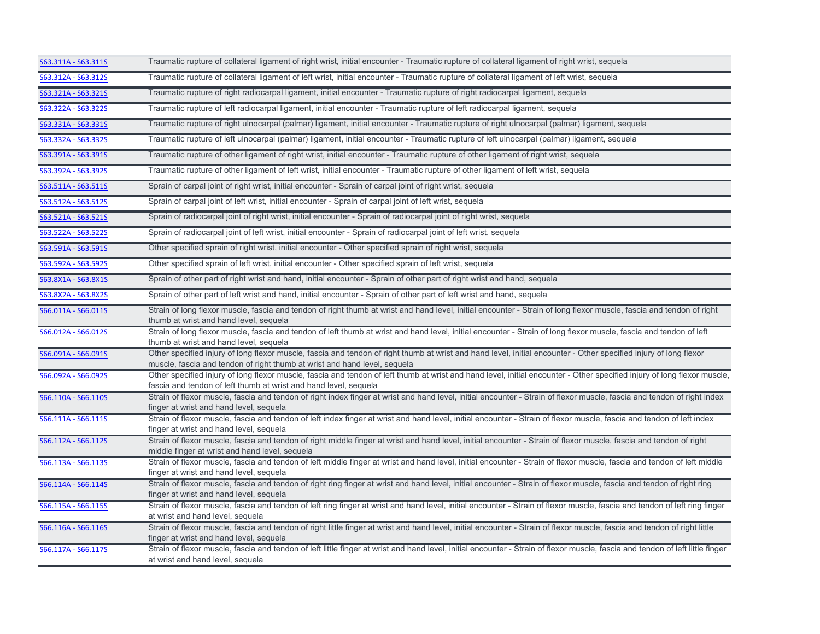| S63.311A - S63.311S | Traumatic rupture of collateral ligament of right wrist, initial encounter - Traumatic rupture of collateral ligament of right wrist, sequela                                                                                                  |
|---------------------|------------------------------------------------------------------------------------------------------------------------------------------------------------------------------------------------------------------------------------------------|
| S63.312A - S63.312S | Traumatic rupture of collateral ligament of left wrist, initial encounter - Traumatic rupture of collateral ligament of left wrist, sequela                                                                                                    |
| S63.321A - S63.321S | Traumatic rupture of right radiocarpal ligament, initial encounter - Traumatic rupture of right radiocarpal ligament, sequela                                                                                                                  |
| S63.322A - S63.322S | Traumatic rupture of left radiocarpal ligament, initial encounter - Traumatic rupture of left radiocarpal ligament, sequela                                                                                                                    |
| S63.331A - S63.331S | Traumatic rupture of right ulnocarpal (palmar) ligament, initial encounter - Traumatic rupture of right ulnocarpal (palmar) ligament, sequela                                                                                                  |
| S63.332A - S63.332S | Traumatic rupture of left ulnocarpal (palmar) ligament, initial encounter - Traumatic rupture of left ulnocarpal (palmar) ligament, sequela                                                                                                    |
| S63.391A - S63.391S | Traumatic rupture of other ligament of right wrist, initial encounter - Traumatic rupture of other ligament of right wrist, sequela                                                                                                            |
| S63.392A - S63.392S | Traumatic rupture of other ligament of left wrist, initial encounter - Traumatic rupture of other ligament of left wrist, sequela                                                                                                              |
| S63.511A - S63.511S | Sprain of carpal joint of right wrist, initial encounter - Sprain of carpal joint of right wrist, sequela                                                                                                                                      |
| S63.512A - S63.512S | Sprain of carpal joint of left wrist, initial encounter - Sprain of carpal joint of left wrist, sequela                                                                                                                                        |
| S63.521A - S63.521S | Sprain of radiocarpal joint of right wrist, initial encounter - Sprain of radiocarpal joint of right wrist, sequela                                                                                                                            |
| S63.522A - S63.522S | Sprain of radiocarpal joint of left wrist, initial encounter - Sprain of radiocarpal joint of left wrist, sequela                                                                                                                              |
| S63.591A - S63.591S | Other specified sprain of right wrist, initial encounter - Other specified sprain of right wrist, sequela                                                                                                                                      |
| S63.592A - S63.592S | Other specified sprain of left wrist, initial encounter - Other specified sprain of left wrist, sequela                                                                                                                                        |
| S63.8X1A - S63.8X1S | Sprain of other part of right wrist and hand, initial encounter - Sprain of other part of right wrist and hand, sequela                                                                                                                        |
| S63.8X2A - S63.8X2S | Sprain of other part of left wrist and hand, initial encounter - Sprain of other part of left wrist and hand, sequela                                                                                                                          |
| S66.011A - S66.011S | Strain of long flexor muscle, fascia and tendon of right thumb at wrist and hand level, initial encounter - Strain of long flexor muscle, fascia and tendon of right<br>thumb at wrist and hand level, sequela                                 |
| S66.012A - S66.012S | Strain of long flexor muscle, fascia and tendon of left thumb at wrist and hand level, initial encounter - Strain of long flexor muscle, fascia and tendon of left<br>thumb at wrist and hand level, sequela                                   |
| S66.091A - S66.091S | Other specified injury of long flexor muscle, fascia and tendon of right thumb at wrist and hand level, initial encounter - Other specified injury of long flexor<br>muscle, fascia and tendon of right thumb at wrist and hand level, sequela |
| S66.092A - S66.092S | Other specified injury of long flexor muscle, fascia and tendon of left thumb at wrist and hand level, initial encounter - Other specified injury of long flexor muscle,<br>fascia and tendon of left thumb at wrist and hand level, sequela   |
| S66.110A - S66.110S | Strain of flexor muscle, fascia and tendon of right index finger at wrist and hand level, initial encounter - Strain of flexor muscle, fascia and tendon of right index<br>finger at wrist and hand level, sequela                             |
| S66.111A - S66.111S | Strain of flexor muscle, fascia and tendon of left index finger at wrist and hand level, initial encounter - Strain of flexor muscle, fascia and tendon of left index<br>finger at wrist and hand level, sequela                               |
| S66.112A - S66.112S | Strain of flexor muscle, fascia and tendon of right middle finger at wrist and hand level, initial encounter - Strain of flexor muscle, fascia and tendon of right<br>middle finger at wrist and hand level, sequela                           |
| S66.113A - S66.113S | Strain of flexor muscle, fascia and tendon of left middle finger at wrist and hand level, initial encounter - Strain of flexor muscle, fascia and tendon of left middle<br>finger at wrist and hand level, sequela                             |
| S66.114A - S66.114S | Strain of flexor muscle, fascia and tendon of right ring finger at wrist and hand level, initial encounter - Strain of flexor muscle, fascia and tendon of right ring<br>finger at wrist and hand level, sequela                               |
| S66.115A - S66.115S | Strain of flexor muscle, fascia and tendon of left ring finger at wrist and hand level, initial encounter - Strain of flexor muscle, fascia and tendon of left ring finger<br>at wrist and hand level, sequela                                 |
| S66.116A - S66.116S | Strain of flexor muscle, fascia and tendon of right little finger at wrist and hand level, initial encounter - Strain of flexor muscle, fascia and tendon of right little<br>finger at wrist and hand level, sequela                           |
| S66.117A - S66.117S | Strain of flexor muscle, fascia and tendon of left little finger at wrist and hand level, initial encounter - Strain of flexor muscle, fascia and tendon of left little finger<br>at wrist and hand level, sequela                             |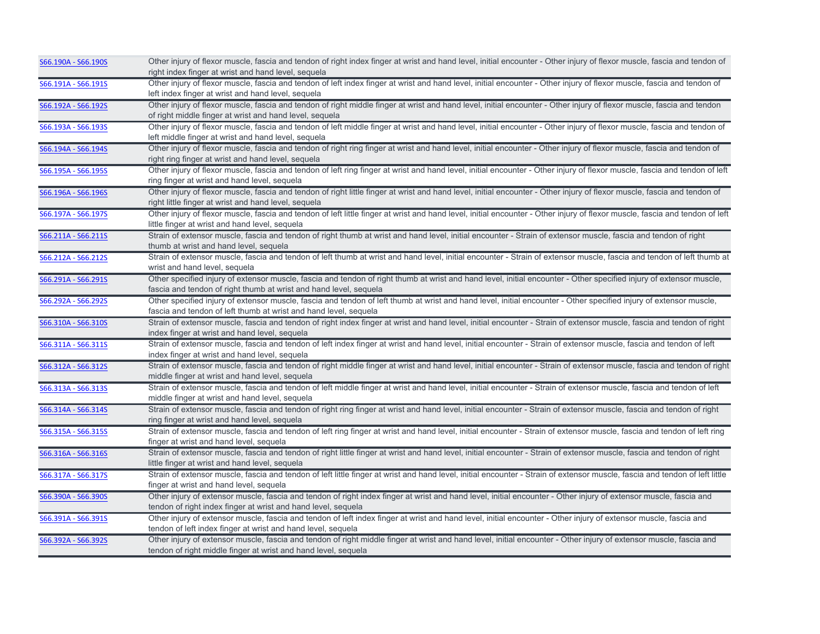| S66.190A - S66.190S | Other injury of flexor muscle, fascia and tendon of right index finger at wrist and hand level, initial encounter - Other injury of flexor muscle, fascia and tendon of      |
|---------------------|------------------------------------------------------------------------------------------------------------------------------------------------------------------------------|
|                     | right index finger at wrist and hand level, sequela                                                                                                                          |
| S66.191A - S66.191S | Other injury of flexor muscle, fascia and tendon of left index finger at wrist and hand level, initial encounter - Other injury of flexor muscle, fascia and tendon of       |
|                     | left index finger at wrist and hand level, sequela                                                                                                                           |
| S66.192A - S66.192S | Other injury of flexor muscle, fascia and tendon of right middle finger at wrist and hand level, initial encounter - Other injury of flexor muscle, fascia and tendon        |
|                     | of right middle finger at wrist and hand level, sequela                                                                                                                      |
| S66.193A - S66.193S | Other injury of flexor muscle, fascia and tendon of left middle finger at wrist and hand level, initial encounter - Other injury of flexor muscle, fascia and tendon of      |
|                     | left middle finger at wrist and hand level, sequela                                                                                                                          |
| S66.194A - S66.194S | Other injury of flexor muscle, fascia and tendon of right ring finger at wrist and hand level, initial encounter - Other injury of flexor muscle, fascia and tendon of       |
|                     | right ring finger at wrist and hand level, sequela                                                                                                                           |
| S66.195A - S66.195S | Other injury of flexor muscle, fascia and tendon of left ring finger at wrist and hand level, initial encounter - Other injury of flexor muscle, fascia and tendon of left   |
|                     | ring finger at wrist and hand level, sequela                                                                                                                                 |
| S66.196A - S66.196S | Other injury of flexor muscle, fascia and tendon of right little finger at wrist and hand level, initial encounter - Other injury of flexor muscle, fascia and tendon of     |
|                     | right little finger at wrist and hand level, sequela                                                                                                                         |
| S66.197A - S66.197S | Other injury of flexor muscle, fascia and tendon of left little finger at wrist and hand level, initial encounter - Other injury of flexor muscle, fascia and tendon of left |
|                     | little finger at wrist and hand level, sequela                                                                                                                               |
| S66.211A - S66.211S | Strain of extensor muscle, fascia and tendon of right thumb at wrist and hand level, initial encounter - Strain of extensor muscle, fascia and tendon of right               |
|                     | thumb at wrist and hand level, sequela                                                                                                                                       |
| S66.212A - S66.212S | Strain of extensor muscle, fascia and tendon of left thumb at wrist and hand level, initial encounter - Strain of extensor muscle, fascia and tendon of left thumb at        |
|                     | wrist and hand level, sequela                                                                                                                                                |
| S66.291A - S66.291S | Other specified injury of extensor muscle, fascia and tendon of right thumb at wrist and hand level, initial encounter - Other specified injury of extensor muscle,          |
|                     | fascia and tendon of right thumb at wrist and hand level, sequela                                                                                                            |
| S66.292A - S66.292S | Other specified injury of extensor muscle, fascia and tendon of left thumb at wrist and hand level, initial encounter - Other specified injury of extensor muscle,           |
|                     | fascia and tendon of left thumb at wrist and hand level, sequela                                                                                                             |
| S66.310A - S66.310S | Strain of extensor muscle, fascia and tendon of right index finger at wrist and hand level, initial encounter - Strain of extensor muscle, fascia and tendon of right        |
|                     | index finger at wrist and hand level, sequela                                                                                                                                |
| S66.311A - S66.311S | Strain of extensor muscle, fascia and tendon of left index finger at wrist and hand level, initial encounter - Strain of extensor muscle, fascia and tendon of left          |
|                     | index finger at wrist and hand level, sequela                                                                                                                                |
| S66.312A - S66.312S | Strain of extensor muscle, fascia and tendon of right middle finger at wrist and hand level, initial encounter - Strain of extensor muscle, fascia and tendon of right       |
|                     | middle finger at wrist and hand level, sequela                                                                                                                               |
| S66.313A - S66.313S | Strain of extensor muscle, fascia and tendon of left middle finger at wrist and hand level, initial encounter - Strain of extensor muscle, fascia and tendon of left         |
|                     | middle finger at wrist and hand level, sequela                                                                                                                               |
| S66.314A - S66.314S | Strain of extensor muscle, fascia and tendon of right ring finger at wrist and hand level, initial encounter - Strain of extensor muscle, fascia and tendon of right         |
|                     | ring finger at wrist and hand level, sequela                                                                                                                                 |
| S66.315A - S66.315S | Strain of extensor muscle, fascia and tendon of left ring finger at wrist and hand level, initial encounter - Strain of extensor muscle, fascia and tendon of left ring      |
|                     | finger at wrist and hand level, sequela                                                                                                                                      |
| S66.316A - S66.316S | Strain of extensor muscle, fascia and tendon of right little finger at wrist and hand level, initial encounter - Strain of extensor muscle, fascia and tendon of right       |
|                     | little finger at wrist and hand level, sequela                                                                                                                               |
| S66.317A - S66.317S | Strain of extensor muscle, fascia and tendon of left little finger at wrist and hand level, initial encounter - Strain of extensor muscle, fascia and tendon of left little  |
|                     | finger at wrist and hand level, sequela                                                                                                                                      |
| S66.390A - S66.390S | Other injury of extensor muscle, fascia and tendon of right index finger at wrist and hand level, initial encounter - Other injury of extensor muscle, fascia and            |
|                     | tendon of right index finger at wrist and hand level, sequela                                                                                                                |
| S66.391A - S66.391S | Other injury of extensor muscle, fascia and tendon of left index finger at wrist and hand level, initial encounter - Other injury of extensor muscle, fascia and             |
|                     | tendon of left index finger at wrist and hand level, sequela                                                                                                                 |
| S66.392A - S66.392S | Other injury of extensor muscle, fascia and tendon of right middle finger at wrist and hand level, initial encounter - Other injury of extensor muscle, fascia and           |
|                     | tendon of right middle finger at wrist and hand level, sequela                                                                                                               |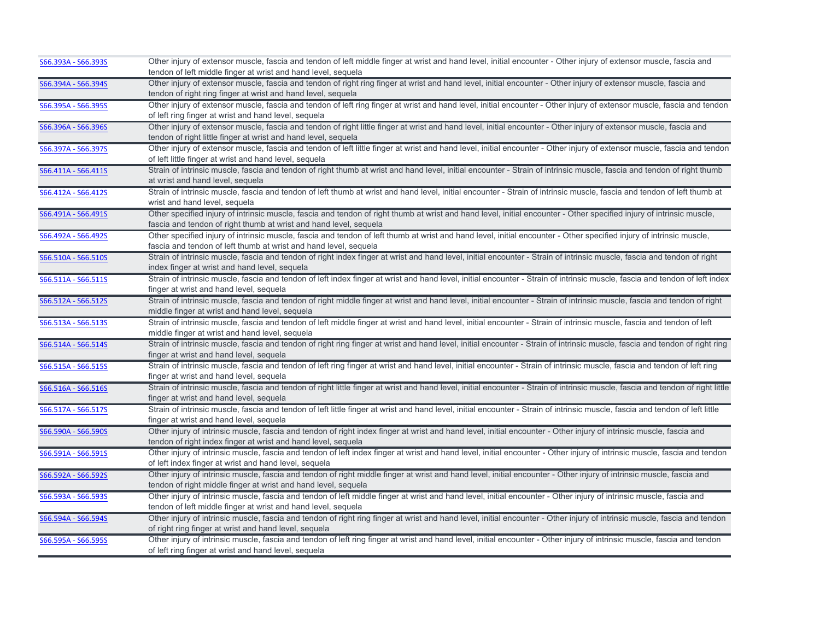| S66.393A - S66.393S | Other injury of extensor muscle, fascia and tendon of left middle finger at wrist and hand level, initial encounter - Other injury of extensor muscle, fascia and               |
|---------------------|---------------------------------------------------------------------------------------------------------------------------------------------------------------------------------|
|                     | tendon of left middle finger at wrist and hand level, sequela                                                                                                                   |
| S66.394A - S66.394S | Other injury of extensor muscle, fascia and tendon of right ring finger at wrist and hand level, initial encounter - Other injury of extensor muscle, fascia and                |
|                     | tendon of right ring finger at wrist and hand level, sequela                                                                                                                    |
| S66.395A - S66.395S | Other injury of extensor muscle, fascia and tendon of left ring finger at wrist and hand level, initial encounter - Other injury of extensor muscle, fascia and tendon          |
|                     | of left ring finger at wrist and hand level, sequela                                                                                                                            |
| S66.396A - S66.396S | Other injury of extensor muscle, fascia and tendon of right little finger at wrist and hand level, initial encounter - Other injury of extensor muscle, fascia and              |
|                     | tendon of right little finger at wrist and hand level, sequela                                                                                                                  |
| S66.397A - S66.397S | Other injury of extensor muscle, fascia and tendon of left little finger at wrist and hand level, initial encounter - Other injury of extensor muscle, fascia and tendon        |
|                     | of left little finger at wrist and hand level, sequela                                                                                                                          |
| S66.411A - S66.411S | Strain of intrinsic muscle, fascia and tendon of right thumb at wrist and hand level, initial encounter - Strain of intrinsic muscle, fascia and tendon of right thumb          |
|                     | at wrist and hand level, sequela                                                                                                                                                |
| S66.412A - S66.412S | Strain of intrinsic muscle, fascia and tendon of left thumb at wrist and hand level, initial encounter - Strain of intrinsic muscle, fascia and tendon of left thumb at         |
|                     | wrist and hand level, sequela                                                                                                                                                   |
| S66.491A - S66.491S | Other specified injury of intrinsic muscle, fascia and tendon of right thumb at wrist and hand level, initial encounter - Other specified injury of intrinsic muscle,           |
|                     | fascia and tendon of right thumb at wrist and hand level, sequela                                                                                                               |
| S66.492A - S66.492S | Other specified injury of intrinsic muscle, fascia and tendon of left thumb at wrist and hand level, initial encounter - Other specified injury of intrinsic muscle,            |
|                     | fascia and tendon of left thumb at wrist and hand level, sequela                                                                                                                |
| S66.510A - S66.510S | Strain of intrinsic muscle, fascia and tendon of right index finger at wrist and hand level, initial encounter - Strain of intrinsic muscle, fascia and tendon of right         |
|                     | index finger at wrist and hand level, sequela                                                                                                                                   |
| S66.511A - S66.511S | Strain of intrinsic muscle, fascia and tendon of left index finger at wrist and hand level, initial encounter - Strain of intrinsic muscle, fascia and tendon of left index     |
|                     | finger at wrist and hand level, sequela                                                                                                                                         |
| S66.512A - S66.512S | Strain of intrinsic muscle, fascia and tendon of right middle finger at wrist and hand level, initial encounter - Strain of intrinsic muscle, fascia and tendon of right        |
|                     | middle finger at wrist and hand level, sequela                                                                                                                                  |
| S66.513A - S66.513S | Strain of intrinsic muscle, fascia and tendon of left middle finger at wrist and hand level, initial encounter - Strain of intrinsic muscle, fascia and tendon of left          |
|                     | middle finger at wrist and hand level, sequela                                                                                                                                  |
| S66.514A - S66.514S | Strain of intrinsic muscle, fascia and tendon of right ring finger at wrist and hand level, initial encounter - Strain of intrinsic muscle, fascia and tendon of right ring     |
|                     | finger at wrist and hand level, sequela                                                                                                                                         |
| S66.515A - S66.515S | Strain of intrinsic muscle, fascia and tendon of left ring finger at wrist and hand level, initial encounter - Strain of intrinsic muscle, fascia and tendon of left ring       |
|                     | finger at wrist and hand level, sequela                                                                                                                                         |
| S66.516A - S66.516S | Strain of intrinsic muscle, fascia and tendon of right little finger at wrist and hand level, initial encounter - Strain of intrinsic muscle, fascia and tendon of right little |
|                     | finger at wrist and hand level, sequela                                                                                                                                         |
| S66.517A - S66.517S | Strain of intrinsic muscle, fascia and tendon of left little finger at wrist and hand level, initial encounter - Strain of intrinsic muscle, fascia and tendon of left little   |
|                     | finger at wrist and hand level, sequela                                                                                                                                         |
| S66.590A - S66.590S | Other injury of intrinsic muscle, fascia and tendon of right index finger at wrist and hand level, initial encounter - Other injury of intrinsic muscle, fascia and             |
|                     | tendon of right index finger at wrist and hand level, sequela                                                                                                                   |
| S66.591A - S66.591S | Other injury of intrinsic muscle, fascia and tendon of left index finger at wrist and hand level, initial encounter - Other injury of intrinsic muscle, fascia and tendon       |
|                     | of left index finger at wrist and hand level, sequela                                                                                                                           |
| S66.592A - S66.592S | Other injury of intrinsic muscle, fascia and tendon of right middle finger at wrist and hand level, initial encounter - Other injury of intrinsic muscle, fascia and            |
|                     | tendon of right middle finger at wrist and hand level, sequela                                                                                                                  |
| S66.593A - S66.593S | Other injury of intrinsic muscle, fascia and tendon of left middle finger at wrist and hand level, initial encounter - Other injury of intrinsic muscle, fascia and             |
|                     | tendon of left middle finger at wrist and hand level, sequela                                                                                                                   |
| S66.594A - S66.594S | Other injury of intrinsic muscle, fascia and tendon of right ring finger at wrist and hand level, initial encounter - Other injury of intrinsic muscle, fascia and tendon       |
|                     | of right ring finger at wrist and hand level, sequela                                                                                                                           |
| S66.595A - S66.595S | Other injury of intrinsic muscle, fascia and tendon of left ring finger at wrist and hand level, initial encounter - Other injury of intrinsic muscle, fascia and tendon        |
|                     | of left ring finger at wrist and hand level, sequela                                                                                                                            |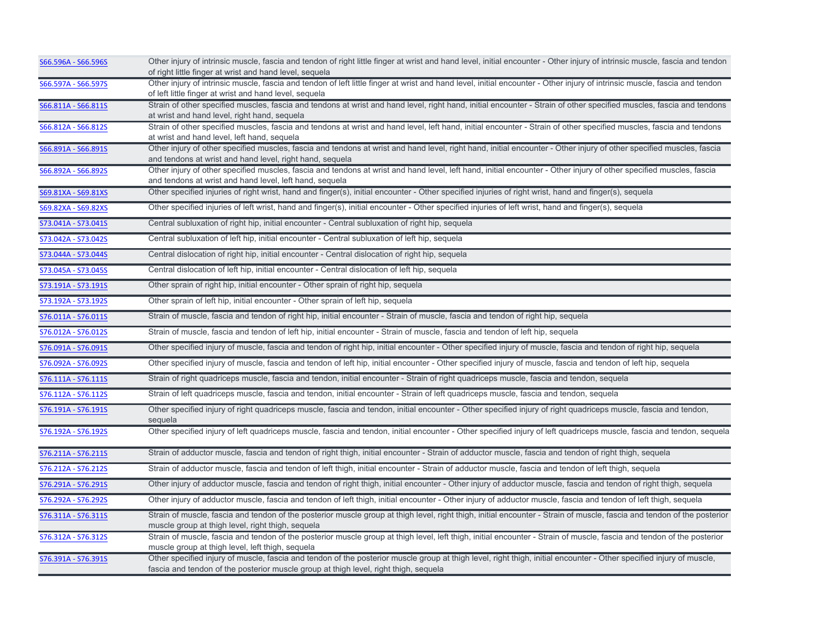| S66.596A - S66.596S | Other injury of intrinsic muscle, fascia and tendon of right little finger at wrist and hand level, initial encounter - Other injury of intrinsic muscle, fascia and tendon<br>of right little finger at wrist and hand level, sequela                       |
|---------------------|--------------------------------------------------------------------------------------------------------------------------------------------------------------------------------------------------------------------------------------------------------------|
| S66.597A - S66.597S | Other injury of intrinsic muscle, fascia and tendon of left little finger at wrist and hand level, initial encounter - Other injury of intrinsic muscle, fascia and tendon<br>of left little finger at wrist and hand level, sequela                         |
| S66.811A - S66.811S | Strain of other specified muscles, fascia and tendons at wrist and hand level, right hand, initial encounter - Strain of other specified muscles, fascia and tendons<br>at wrist and hand level, right hand, sequela                                         |
| S66.812A - S66.812S | Strain of other specified muscles, fascia and tendons at wrist and hand level, left hand, initial encounter - Strain of other specified muscles, fascia and tendons<br>at wrist and hand level, left hand, sequela                                           |
| S66.891A - S66.891S | Other injury of other specified muscles, fascia and tendons at wrist and hand level, right hand, initial encounter - Other injury of other specified muscles, fascia<br>and tendons at wrist and hand level, right hand, sequela                             |
| S66.892A - S66.892S | Other injury of other specified muscles, fascia and tendons at wrist and hand level, left hand, initial encounter - Other injury of other specified muscles, fascia<br>and tendons at wrist and hand level, left hand, sequela                               |
| S69.81XA - S69.81XS | Other specified injuries of right wrist, hand and finger(s), initial encounter - Other specified injuries of right wrist, hand and finger(s), sequela                                                                                                        |
| S69.82XA - S69.82XS | Other specified injuries of left wrist, hand and finger(s), initial encounter - Other specified injuries of left wrist, hand and finger(s), sequela                                                                                                          |
| S73.041A - S73.041S | Central subluxation of right hip, initial encounter - Central subluxation of right hip, sequela                                                                                                                                                              |
| S73.042A - S73.042S | Central subluxation of left hip, initial encounter - Central subluxation of left hip, sequela                                                                                                                                                                |
| S73.044A - S73.044S | Central dislocation of right hip, initial encounter - Central dislocation of right hip, sequela                                                                                                                                                              |
| S73.045A - S73.045S | Central dislocation of left hip, initial encounter - Central dislocation of left hip, sequela                                                                                                                                                                |
| S73.191A - S73.191S | Other sprain of right hip, initial encounter - Other sprain of right hip, sequela                                                                                                                                                                            |
| S73.192A - S73.192S | Other sprain of left hip, initial encounter - Other sprain of left hip, sequela                                                                                                                                                                              |
| S76.011A - S76.011S | Strain of muscle, fascia and tendon of right hip, initial encounter - Strain of muscle, fascia and tendon of right hip, sequela                                                                                                                              |
| S76.012A - S76.012S | Strain of muscle, fascia and tendon of left hip, initial encounter - Strain of muscle, fascia and tendon of left hip, sequela                                                                                                                                |
| S76.091A - S76.091S | Other specified injury of muscle, fascia and tendon of right hip, initial encounter - Other specified injury of muscle, fascia and tendon of right hip, sequela                                                                                              |
| S76.092A - S76.092S | Other specified injury of muscle, fascia and tendon of left hip, initial encounter - Other specified injury of muscle, fascia and tendon of left hip, sequela                                                                                                |
| S76.111A - S76.111S | Strain of right quadriceps muscle, fascia and tendon, initial encounter - Strain of right quadriceps muscle, fascia and tendon, sequela                                                                                                                      |
| S76.112A - S76.112S | Strain of left quadriceps muscle, fascia and tendon, initial encounter - Strain of left quadriceps muscle, fascia and tendon, sequela                                                                                                                        |
| S76.191A - S76.191S | Other specified injury of right quadriceps muscle, fascia and tendon, initial encounter - Other specified injury of right quadriceps muscle, fascia and tendon,<br>sequela                                                                                   |
| S76.192A - S76.192S | Other specified injury of left quadriceps muscle, fascia and tendon, initial encounter - Other specified injury of left quadriceps muscle, fascia and tendon, sequela                                                                                        |
| S76.211A - S76.211S | Strain of adductor muscle, fascia and tendon of right thigh, initial encounter - Strain of adductor muscle, fascia and tendon of right thigh, sequela                                                                                                        |
| S76.212A - S76.212S | Strain of adductor muscle, fascia and tendon of left thigh, initial encounter - Strain of adductor muscle, fascia and tendon of left thigh, sequela                                                                                                          |
| S76.291A - S76.291S | Other injury of adductor muscle, fascia and tendon of right thigh, initial encounter - Other injury of adductor muscle, fascia and tendon of right thigh, sequela                                                                                            |
| S76.292A - S76.292S | Other injury of adductor muscle, fascia and tendon of left thigh, initial encounter - Other injury of adductor muscle, fascia and tendon of left thigh, sequela                                                                                              |
| S76.311A - S76.311S | Strain of muscle, fascia and tendon of the posterior muscle group at thigh level, right thigh, initial encounter - Strain of muscle, fascia and tendon of the posterior<br>muscle group at thigh level, right thigh, sequela                                 |
| S76.312A - S76.312S | Strain of muscle, fascia and tendon of the posterior muscle group at thigh level, left thigh, initial encounter - Strain of muscle, fascia and tendon of the posterior<br>muscle group at thigh level, left thigh, sequela                                   |
| S76.391A - S76.391S | Other specified injury of muscle, fascia and tendon of the posterior muscle group at thigh level, right thigh, initial encounter - Other specified injury of muscle,<br>fascia and tendon of the posterior muscle group at thigh level, right thigh, sequela |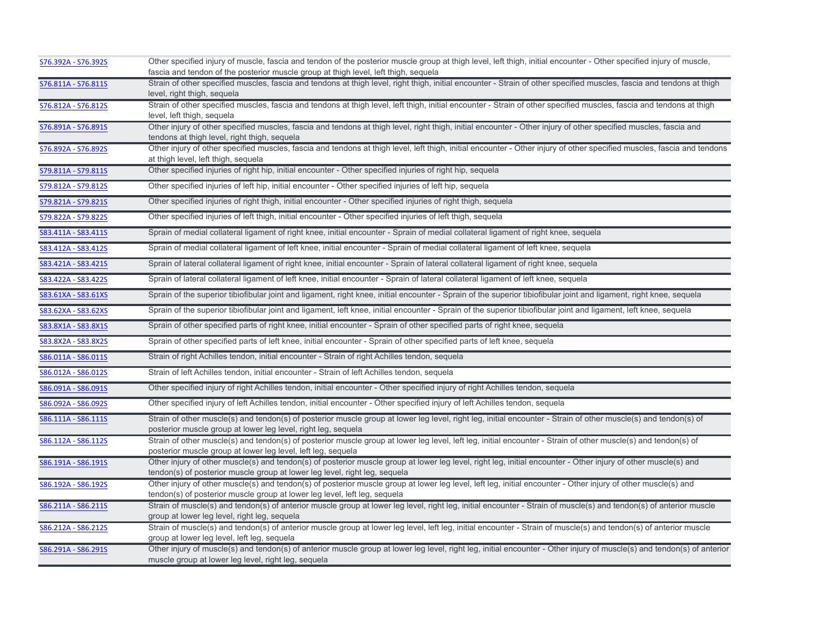| S76.392A - S76.392S | Other specified injury of muscle, fascia and tendon of the posterior muscle group at thigh level, left thigh, initial encounter - Other specified injury of muscle,<br>fascia and tendon of the posterior muscle group at thigh level, left thigh, sequela |
|---------------------|------------------------------------------------------------------------------------------------------------------------------------------------------------------------------------------------------------------------------------------------------------|
| S76.811A - S76.811S | Strain of other specified muscles, fascia and tendons at thigh level, right thigh, initial encounter - Strain of other specified muscles, fascia and tendons at thigh<br>level, right thigh, sequela                                                       |
| S76.812A - S76.812S | Strain of other specified muscles, fascia and tendons at thigh level, left thigh, initial encounter - Strain of other specified muscles, fascia and tendons at thigh<br>level, left thigh, sequela                                                         |
| S76.891A - S76.891S | Other injury of other specified muscles, fascia and tendons at thigh level, right thigh, initial encounter - Other injury of other specified muscles, fascia and<br>tendons at thigh level, right thigh, sequela                                           |
| S76.892A - S76.892S | Other injury of other specified muscles, fascia and tendons at thigh level, left thigh, initial encounter - Other injury of other specified muscles, fascia and tendons<br>at thigh level, left thigh, sequela                                             |
| S79.811A - S79.811S | Other specified injuries of right hip, initial encounter - Other specified injuries of right hip, sequela                                                                                                                                                  |
| S79.812A - S79.812S | Other specified injuries of left hip, initial encounter - Other specified injuries of left hip, sequela                                                                                                                                                    |
| S79.821A - S79.821S | Other specified injuries of right thigh, initial encounter - Other specified injuries of right thigh, sequela                                                                                                                                              |
| S79.822A - S79.822S | Other specified injuries of left thigh, initial encounter - Other specified injuries of left thigh, sequela                                                                                                                                                |
| S83.411A - S83.411S | Sprain of medial collateral ligament of right knee, initial encounter - Sprain of medial collateral ligament of right knee, sequela                                                                                                                        |
| S83.412A - S83.412S | Sprain of medial collateral ligament of left knee, initial encounter - Sprain of medial collateral ligament of left knee, sequela                                                                                                                          |
| S83.421A - S83.421S | Sprain of lateral collateral ligament of right knee, initial encounter - Sprain of lateral collateral ligament of right knee, sequela                                                                                                                      |
| S83.422A - S83.422S | Sprain of lateral collateral ligament of left knee, initial encounter - Sprain of lateral collateral ligament of left knee, sequela                                                                                                                        |
| S83.61XA - S83.61XS | Sprain of the superior tibiofibular joint and ligament, right knee, initial encounter - Sprain of the superior tibiofibular joint and ligament, right knee, sequela                                                                                        |
| S83.62XA - S83.62XS | Sprain of the superior tibiofibular joint and ligament, left knee, initial encounter - Sprain of the superior tibiofibular joint and ligament, left knee, sequela                                                                                          |
| S83.8X1A - S83.8X1S | Sprain of other specified parts of right knee, initial encounter - Sprain of other specified parts of right knee, sequela                                                                                                                                  |
| S83.8X2A - S83.8X2S | Sprain of other specified parts of left knee, initial encounter - Sprain of other specified parts of left knee, sequela                                                                                                                                    |
| S86.011A - S86.011S | Strain of right Achilles tendon, initial encounter - Strain of right Achilles tendon, sequela                                                                                                                                                              |
| S86.012A - S86.012S | Strain of left Achilles tendon, initial encounter - Strain of left Achilles tendon, sequela                                                                                                                                                                |
| S86.091A - S86.091S | Other specified injury of right Achilles tendon, initial encounter - Other specified injury of right Achilles tendon, sequela                                                                                                                              |
| S86.092A - S86.092S | Other specified injury of left Achilles tendon, initial encounter - Other specified injury of left Achilles tendon, sequela                                                                                                                                |
| S86.111A - S86.111S | Strain of other muscle(s) and tendon(s) of posterior muscle group at lower leg level, right leg, initial encounter - Strain of other muscle(s) and tendon(s) of<br>posterior muscle group at lower leg level, right leg, sequela                           |
| S86.112A - S86.112S | Strain of other muscle(s) and tendon(s) of posterior muscle group at lower leg level, left leg, initial encounter - Strain of other muscle(s) and tendon(s) of<br>posterior muscle group at lower leg level, left leg, sequela                             |
| S86.191A - S86.191S | Other injury of other muscle(s) and tendon(s) of posterior muscle group at lower leg level, right leg, initial encounter - Other injury of other muscle(s) and<br>tendon(s) of posterior muscle group at lower leg level, right leg, sequela               |
| S86.192A - S86.192S | Other injury of other muscle(s) and tendon(s) of posterior muscle group at lower leg level, left leg, initial encounter - Other injury of other muscle(s) and<br>tendon(s) of posterior muscle group at lower leg level, left leg, sequela                 |
| S86.211A - S86.211S | Strain of muscle(s) and tendon(s) of anterior muscle group at lower leg level, right leg, initial encounter - Strain of muscle(s) and tendon(s) of anterior muscle<br>group at lower leg level, right leg, sequela                                         |
| S86.212A - S86.212S | Strain of muscle(s) and tendon(s) of anterior muscle group at lower leg level, left leg, initial encounter - Strain of muscle(s) and tendon(s) of anterior muscle<br>group at lower leg level, left leg, sequela                                           |
| S86.291A - S86.291S | Other injury of muscle(s) and tendon(s) of anterior muscle group at lower leg level, right leg, initial encounter - Other injury of muscle(s) and tendon(s) of anterior<br>muscle group at lower leg level, right leg, sequela                             |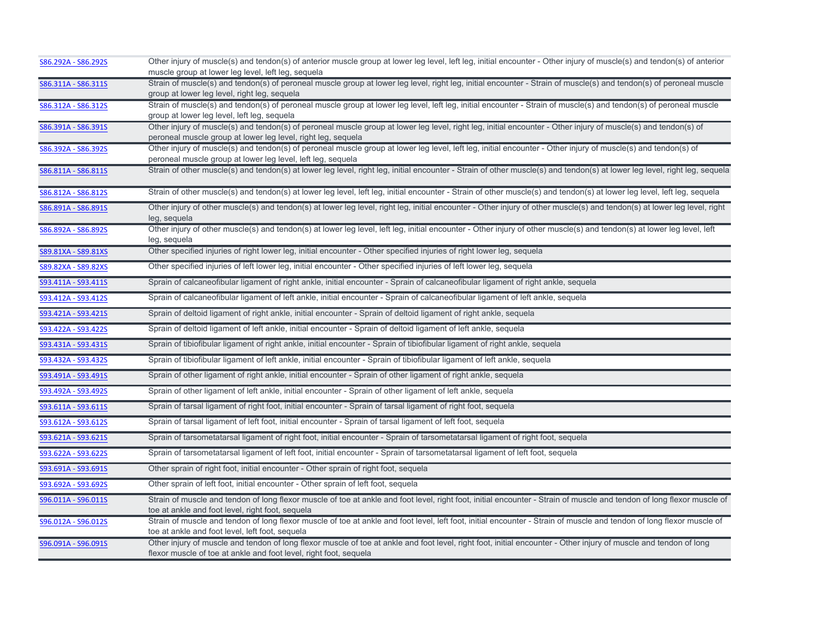| S86.292A - S86.292S | Other injury of muscle(s) and tendon(s) of anterior muscle group at lower leg level, left leg, initial encounter - Other injury of muscle(s) and tendon(s) of anterior                                                                 |
|---------------------|----------------------------------------------------------------------------------------------------------------------------------------------------------------------------------------------------------------------------------------|
|                     | muscle group at lower leg level, left leg, sequela                                                                                                                                                                                     |
| S86.311A - S86.311S | Strain of muscle(s) and tendon(s) of peroneal muscle group at lower leg level, right leg, initial encounter - Strain of muscle(s) and tendon(s) of peroneal muscle<br>group at lower leg level, right leg, sequela                     |
| S86.312A - S86.312S | Strain of muscle(s) and tendon(s) of peroneal muscle group at lower leg level, left leg, initial encounter - Strain of muscle(s) and tendon(s) of peroneal muscle                                                                      |
|                     | group at lower leg level, left leg, sequela                                                                                                                                                                                            |
| S86.391A - S86.391S | Other injury of muscle(s) and tendon(s) of peroneal muscle group at lower leg level, right leg, initial encounter - Other injury of muscle(s) and tendon(s) of<br>peroneal muscle group at lower leg level, right leg, sequela         |
| S86.392A - S86.392S | Other injury of muscle(s) and tendon(s) of peroneal muscle group at lower leg level, left leg, initial encounter - Other injury of muscle(s) and tendon(s) of<br>peroneal muscle group at lower leg level, left leg, sequela           |
| S86.811A - S86.811S | Strain of other muscle(s) and tendon(s) at lower leg level, right leg, initial encounter - Strain of other muscle(s) and tendon(s) at lower leg level, right leg, sequela                                                              |
| S86.812A - S86.812S | Strain of other muscle(s) and tendon(s) at lower leg level, left leg, initial encounter - Strain of other muscle(s) and tendon(s) at lower leg level, left leg, sequela                                                                |
| S86.891A - S86.891S | Other injury of other muscle(s) and tendon(s) at lower leg level, right leg, initial encounter - Other injury of other muscle(s) and tendon(s) at lower leg level, right<br>leg, sequela                                               |
| S86.892A - S86.892S | Other injury of other muscle(s) and tendon(s) at lower leg level, left leg, initial encounter - Other injury of other muscle(s) and tendon(s) at lower leg level, left<br>leg, sequela                                                 |
| S89.81XA - S89.81XS | Other specified injuries of right lower leg, initial encounter - Other specified injuries of right lower leg, sequela                                                                                                                  |
| S89.82XA - S89.82XS | Other specified injuries of left lower leg, initial encounter - Other specified injuries of left lower leg, sequela                                                                                                                    |
| S93.411A - S93.411S | Sprain of calcaneofibular ligament of right ankle, initial encounter - Sprain of calcaneofibular ligament of right ankle, sequela                                                                                                      |
| S93.412A - S93.412S | Sprain of calcaneofibular ligament of left ankle, initial encounter - Sprain of calcaneofibular ligament of left ankle, sequela                                                                                                        |
| S93.421A - S93.421S | Sprain of deltoid ligament of right ankle, initial encounter - Sprain of deltoid ligament of right ankle, sequela                                                                                                                      |
| S93.422A - S93.422S | Sprain of deltoid ligament of left ankle, initial encounter - Sprain of deltoid ligament of left ankle, sequela                                                                                                                        |
| S93.431A - S93.431S | Sprain of tibiofibular ligament of right ankle, initial encounter - Sprain of tibiofibular ligament of right ankle, sequela                                                                                                            |
| S93.432A - S93.432S | Sprain of tibiofibular ligament of left ankle, initial encounter - Sprain of tibiofibular ligament of left ankle, sequela                                                                                                              |
| S93.491A - S93.491S | Sprain of other ligament of right ankle, initial encounter - Sprain of other ligament of right ankle, sequela                                                                                                                          |
| S93.492A - S93.492S | Sprain of other ligament of left ankle, initial encounter - Sprain of other ligament of left ankle, sequela                                                                                                                            |
| S93.611A - S93.611S | Sprain of tarsal ligament of right foot, initial encounter - Sprain of tarsal ligament of right foot, sequela                                                                                                                          |
| S93.612A - S93.612S | Sprain of tarsal ligament of left foot, initial encounter - Sprain of tarsal ligament of left foot, sequela                                                                                                                            |
| S93.621A - S93.621S | Sprain of tarsometatarsal ligament of right foot, initial encounter - Sprain of tarsometatarsal ligament of right foot, sequela                                                                                                        |
| S93.622A - S93.622S | Sprain of tarsometatarsal ligament of left foot, initial encounter - Sprain of tarsometatarsal ligament of left foot, sequela                                                                                                          |
| S93.691A - S93.691S | Other sprain of right foot, initial encounter - Other sprain of right foot, sequela                                                                                                                                                    |
| S93.692A - S93.692S | Other sprain of left foot, initial encounter - Other sprain of left foot, sequela                                                                                                                                                      |
| S96.011A - S96.011S | Strain of muscle and tendon of long flexor muscle of toe at ankle and foot level, right foot, initial encounter - Strain of muscle and tendon of long flexor muscle of<br>toe at ankle and foot level, right foot, sequela             |
| S96.012A - S96.012S | Strain of muscle and tendon of long flexor muscle of toe at ankle and foot level, left foot, initial encounter - Strain of muscle and tendon of long flexor muscle of<br>toe at ankle and foot level, left foot, sequela               |
| S96.091A - S96.091S | Other injury of muscle and tendon of long flexor muscle of toe at ankle and foot level, right foot, initial encounter - Other injury of muscle and tendon of long<br>flexor muscle of toe at ankle and foot level, right foot, sequela |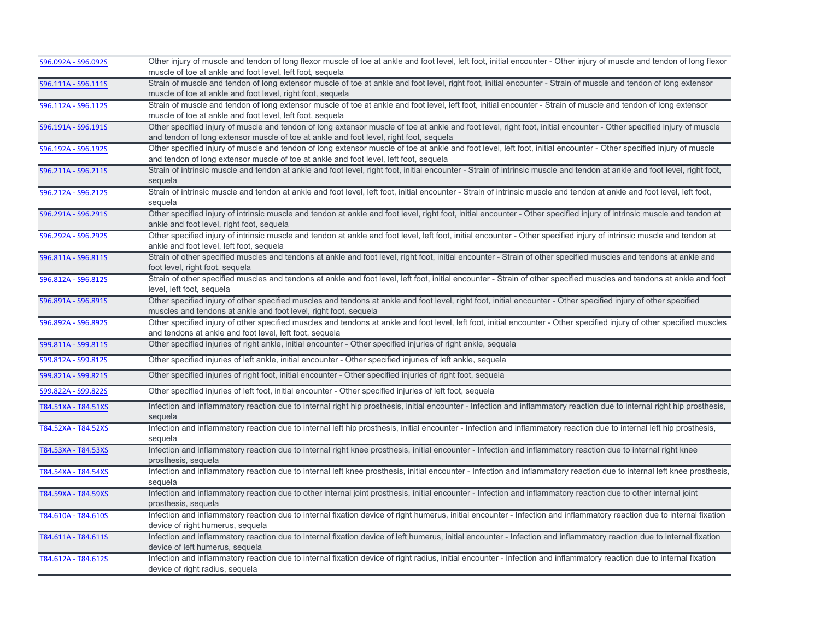| S96.092A - S96.092S | Other injury of muscle and tendon of long flexor muscle of toe at ankle and foot level, left foot, initial encounter - Other injury of muscle and tendon of long flexor<br>muscle of toe at ankle and foot level, left foot, sequela |
|---------------------|--------------------------------------------------------------------------------------------------------------------------------------------------------------------------------------------------------------------------------------|
|                     | Strain of muscle and tendon of long extensor muscle of toe at ankle and foot level, right foot, initial encounter - Strain of muscle and tendon of long extensor                                                                     |
| S96.111A - S96.111S | muscle of toe at ankle and foot level, right foot, sequela                                                                                                                                                                           |
| S96.112A - S96.112S | Strain of muscle and tendon of long extensor muscle of toe at ankle and foot level, left foot, initial encounter - Strain of muscle and tendon of long extensor                                                                      |
|                     | muscle of toe at ankle and foot level, left foot, sequela                                                                                                                                                                            |
| S96.191A - S96.191S | Other specified injury of muscle and tendon of long extensor muscle of toe at ankle and foot level, right foot, initial encounter - Other specified injury of muscle                                                                 |
|                     | and tendon of long extensor muscle of toe at ankle and foot level, right foot, sequela                                                                                                                                               |
| S96.192A - S96.192S | Other specified injury of muscle and tendon of long extensor muscle of toe at ankle and foot level, left foot, initial encounter - Other specified injury of muscle                                                                  |
|                     | and tendon of long extensor muscle of toe at ankle and foot level, left foot, sequela                                                                                                                                                |
| S96.211A - S96.211S | Strain of intrinsic muscle and tendon at ankle and foot level, right foot, initial encounter - Strain of intrinsic muscle and tendon at ankle and foot level, right foot,                                                            |
|                     | sequela                                                                                                                                                                                                                              |
| S96.212A - S96.212S | Strain of intrinsic muscle and tendon at ankle and foot level, left foot, initial encounter - Strain of intrinsic muscle and tendon at ankle and foot level, left foot,<br>sequela                                                   |
| S96.291A - S96.291S | Other specified injury of intrinsic muscle and tendon at ankle and foot level, right foot, initial encounter - Other specified injury of intrinsic muscle and tendon at                                                              |
|                     | ankle and foot level, right foot, sequela                                                                                                                                                                                            |
| S96.292A - S96.292S | Other specified injury of intrinsic muscle and tendon at ankle and foot level, left foot, initial encounter - Other specified injury of intrinsic muscle and tendon at                                                               |
|                     | ankle and foot level, left foot, sequela                                                                                                                                                                                             |
| S96.811A - S96.811S | Strain of other specified muscles and tendons at ankle and foot level, right foot, initial encounter - Strain of other specified muscles and tendons at ankle and                                                                    |
|                     | foot level, right foot, sequela                                                                                                                                                                                                      |
| S96.812A - S96.812S | Strain of other specified muscles and tendons at ankle and foot level, left foot, initial encounter - Strain of other specified muscles and tendons at ankle and foot                                                                |
|                     | level, left foot, sequela                                                                                                                                                                                                            |
| S96.891A - S96.891S | Other specified injury of other specified muscles and tendons at ankle and foot level, right foot, initial encounter - Other specified injury of other specified                                                                     |
|                     | muscles and tendons at ankle and foot level, right foot, sequela                                                                                                                                                                     |
| S96.892A - S96.892S | Other specified injury of other specified muscles and tendons at ankle and foot level, left foot, initial encounter - Other specified injury of other specified muscles                                                              |
|                     | and tendons at ankle and foot level, left foot, sequela                                                                                                                                                                              |
| S99.811A - S99.811S | Other specified injuries of right ankle, initial encounter - Other specified injuries of right ankle, sequela                                                                                                                        |
| S99.812A - S99.812S | Other specified injuries of left ankle, initial encounter - Other specified injuries of left ankle, sequela                                                                                                                          |
| S99.821A - S99.821S | Other specified injuries of right foot, initial encounter - Other specified injuries of right foot, sequela                                                                                                                          |
| S99.822A - S99.822S | Other specified injuries of left foot, initial encounter - Other specified injuries of left foot, sequela                                                                                                                            |
| T84.51XA - T84.51XS | Infection and inflammatory reaction due to internal right hip prosthesis, initial encounter - Infection and inflammatory reaction due to internal right hip prosthesis,                                                              |
|                     | sequela                                                                                                                                                                                                                              |
| T84.52XA - T84.52XS | Infection and inflammatory reaction due to internal left hip prosthesis, initial encounter - Infection and inflammatory reaction due to internal left hip prosthesis,                                                                |
|                     | sequela                                                                                                                                                                                                                              |
| T84.53XA - T84.53XS | Infection and inflammatory reaction due to internal right knee prosthesis, initial encounter - Infection and inflammatory reaction due to internal right knee                                                                        |
|                     | prosthesis, sequela                                                                                                                                                                                                                  |
| T84.54XA - T84.54XS | Infection and inflammatory reaction due to internal left knee prosthesis, initial encounter - Infection and inflammatory reaction due to internal left knee prosthesis,<br>sequela                                                   |
| T84.59XA - T84.59XS | Infection and inflammatory reaction due to other internal joint prosthesis, initial encounter - Infection and inflammatory reaction due to other internal joint                                                                      |
|                     | prosthesis, sequela                                                                                                                                                                                                                  |
|                     |                                                                                                                                                                                                                                      |
|                     |                                                                                                                                                                                                                                      |
| T84.610A - T84.610S | Infection and inflammatory reaction due to internal fixation device of right humerus, initial encounter - Infection and inflammatory reaction due to internal fixation<br>device of right humerus, sequela                           |
|                     | Infection and inflammatory reaction due to internal fixation device of left humerus, initial encounter - Infection and inflammatory reaction due to internal fixation                                                                |
| T84.611A - T84.611S | device of left humerus, sequela                                                                                                                                                                                                      |
| T84.612A - T84.612S | Infection and inflammatory reaction due to internal fixation device of right radius, initial encounter - Infection and inflammatory reaction due to internal fixation                                                                |